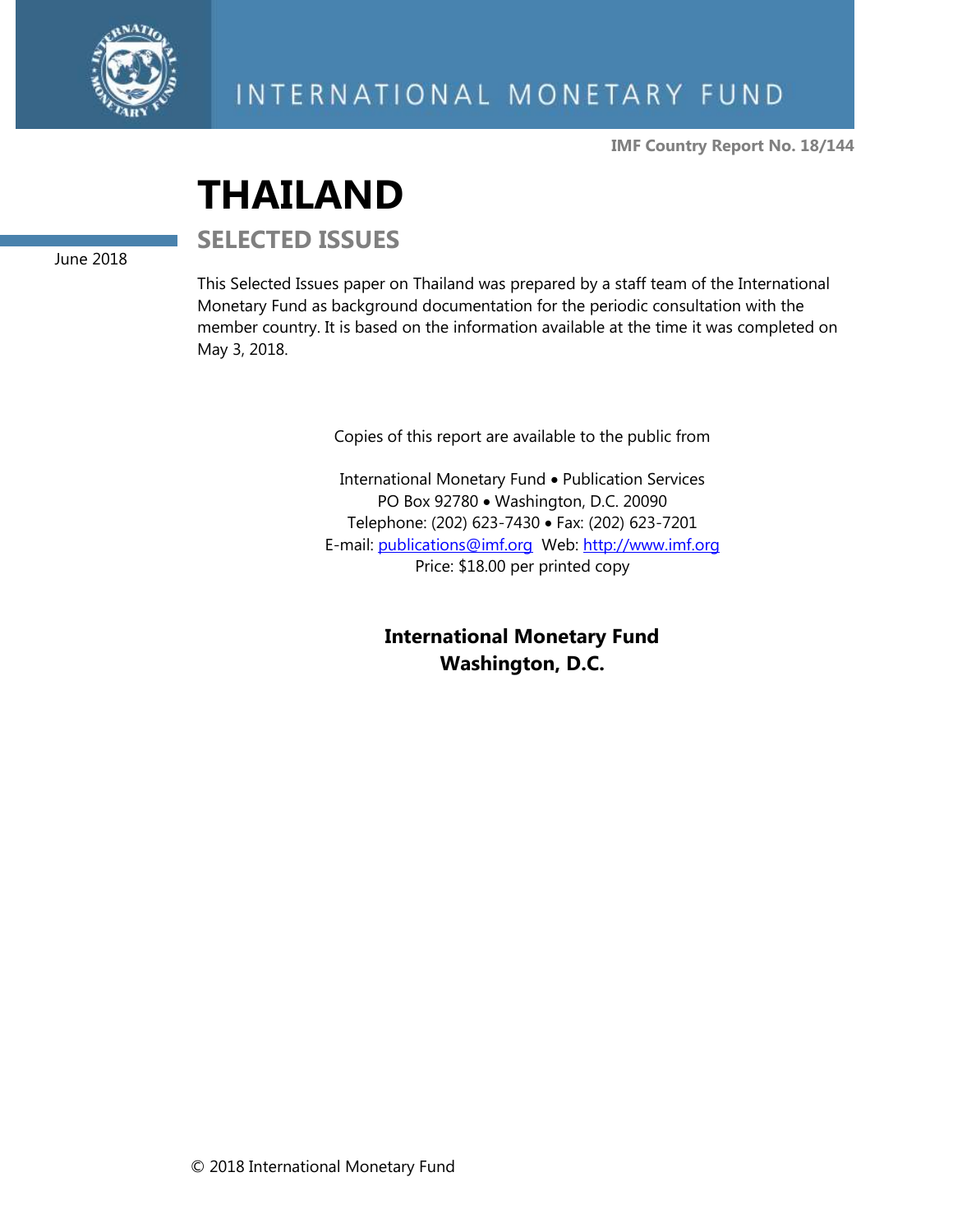

**IMF Country Report No. 18/144**

# **THAILAND**

**SELECTED ISSUES**

June 2018

This Selected Issues paper on Thailand was prepared by a staff team of the International Monetary Fund as background documentation for the periodic consultation with the member country. It is based on the information available at the time it was completed on May 3, 2018.

Copies of this report are available to the public from

International Monetary Fund • Publication Services PO Box 92780 • Washington, D.C. 20090 Telephone: (202) 623-7430 • Fax: (202) 623-7201 E-mail: [publications@imf.org](mailto:publications@imf.org) Web: [http://www.imf.org](http://www.imf.org/) Price: \$18.00 per printed copy

> **International Monetary Fund Washington, D.C.**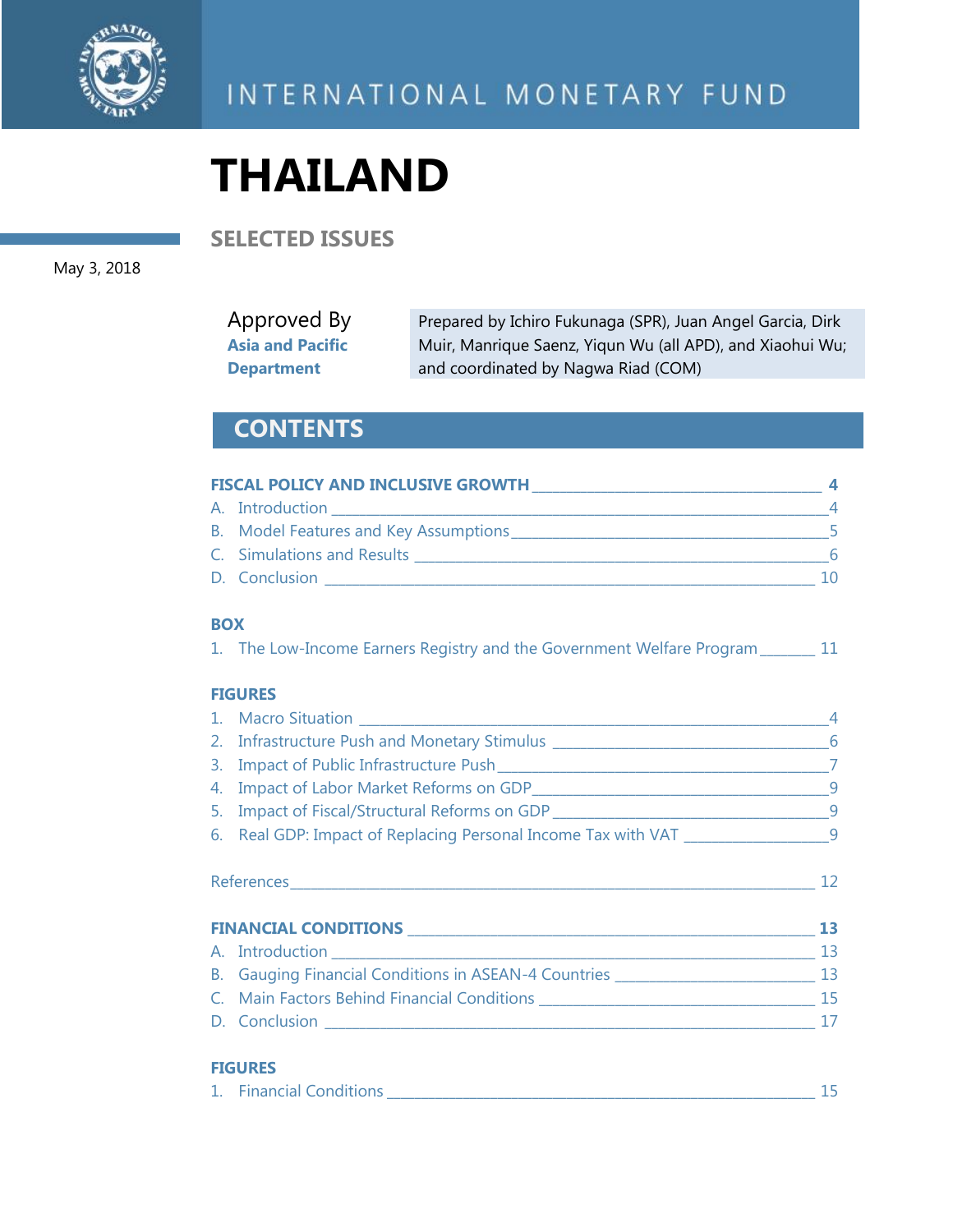

# **THAILAND**

**SELECTED ISSUES**

May 3, 2018

| Approved By             | Prepared by Ichiro Fukunaga (SPR), Juan Angel Garcia, Dirk |
|-------------------------|------------------------------------------------------------|
| <b>Asia and Pacific</b> | Muir, Manrique Saenz, Yiqun Wu (all APD), and Xiaohui Wu;  |
| <b>Department</b>       | and coordinated by Nagwa Riad (COM)                        |

## **CONTENTS**

| <b>FISCAL POLICY AND INCLUSIVE GROWTH</b> |     |
|-------------------------------------------|-----|
| A. Introduction                           |     |
| B. Model Features and Key Assumptions     |     |
| C. Simulations and Results                | 6   |
| D. Conclusion                             | 1 O |

#### **BOX**

|  |  |  | 1. The Low-Income Earners Registry and the Government Welfare Program of | 11 |
|--|--|--|--------------------------------------------------------------------------|----|
|  |  |  |                                                                          |    |

#### **FIGURES**

|                                                                                    | $\overline{4}$ |
|------------------------------------------------------------------------------------|----------------|
|                                                                                    |                |
|                                                                                    |                |
|                                                                                    |                |
|                                                                                    |                |
| 6. Real GDP: Impact of Replacing Personal Income Tax with VAT ___________________9 |                |
|                                                                                    | 12             |
|                                                                                    | 13             |
|                                                                                    |                |
| B. Gauging Financial Conditions in ASEAN-4 Countries ___________________________   | 13             |
|                                                                                    |                |
| D. Conclusion                                                                      | 17             |
|                                                                                    |                |

#### **FIGURES**

| <b>Financial Conditions</b> |  |
|-----------------------------|--|
|                             |  |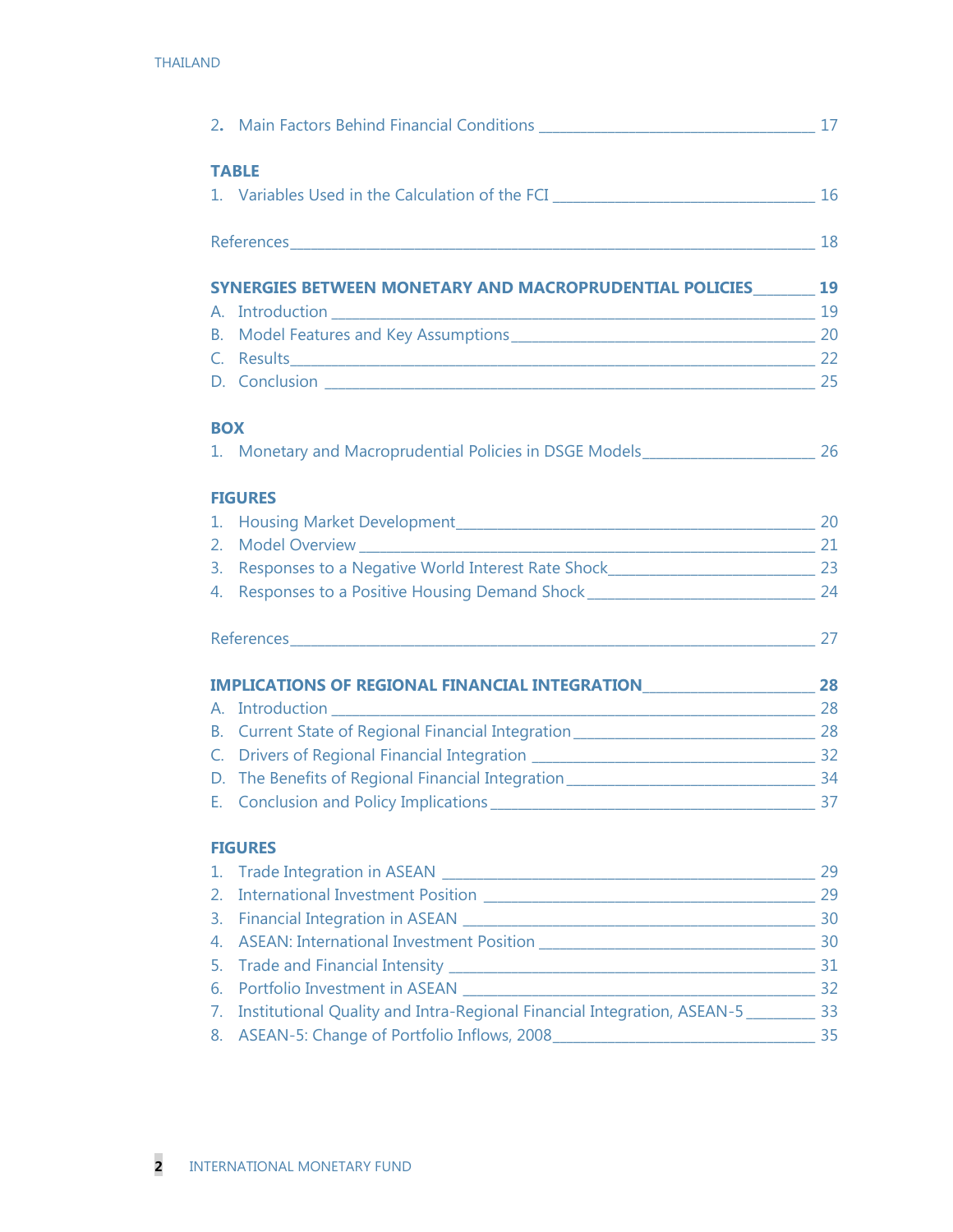|                | <b>TABLE</b>                                                                         |    |
|----------------|--------------------------------------------------------------------------------------|----|
|                |                                                                                      |    |
|                |                                                                                      |    |
|                | SYNERGIES BETWEEN MONETARY AND MACROPRUDENTIAL POLICIES 19                           |    |
|                |                                                                                      |    |
| В.             |                                                                                      |    |
| $\mathsf{C}$ . |                                                                                      |    |
|                |                                                                                      |    |
|                |                                                                                      |    |
| <b>BOX</b>     |                                                                                      |    |
|                | 1. Monetary and Macroprudential Policies in DSGE Models_________________________ 26  |    |
|                | <b>FIGURES</b>                                                                       |    |
| 1.             |                                                                                      |    |
| 2.             | Model Overview 21                                                                    |    |
| 3.             | Responses to a Negative World Interest Rate Shock_______________________________ 23  |    |
|                | 4. Responses to a Positive Housing Demand Shock__________________________________ 24 |    |
|                |                                                                                      |    |
|                |                                                                                      |    |
|                |                                                                                      |    |
| B.             | Current State of Regional Financial Integration__________________________________ 28 |    |
| $C_{\cdot}$    |                                                                                      |    |
|                |                                                                                      |    |
|                |                                                                                      | 37 |
|                | <b>FIGURES</b>                                                                       |    |
| 1.             |                                                                                      |    |
| 2.             |                                                                                      |    |
| 3.             |                                                                                      |    |
| 4.             |                                                                                      |    |
| 5.             |                                                                                      |    |
| 6.             |                                                                                      |    |
| 7.             | Institutional Quality and Intra-Regional Financial Integration, ASEAN-5 _________ 33 |    |
| 8.             |                                                                                      |    |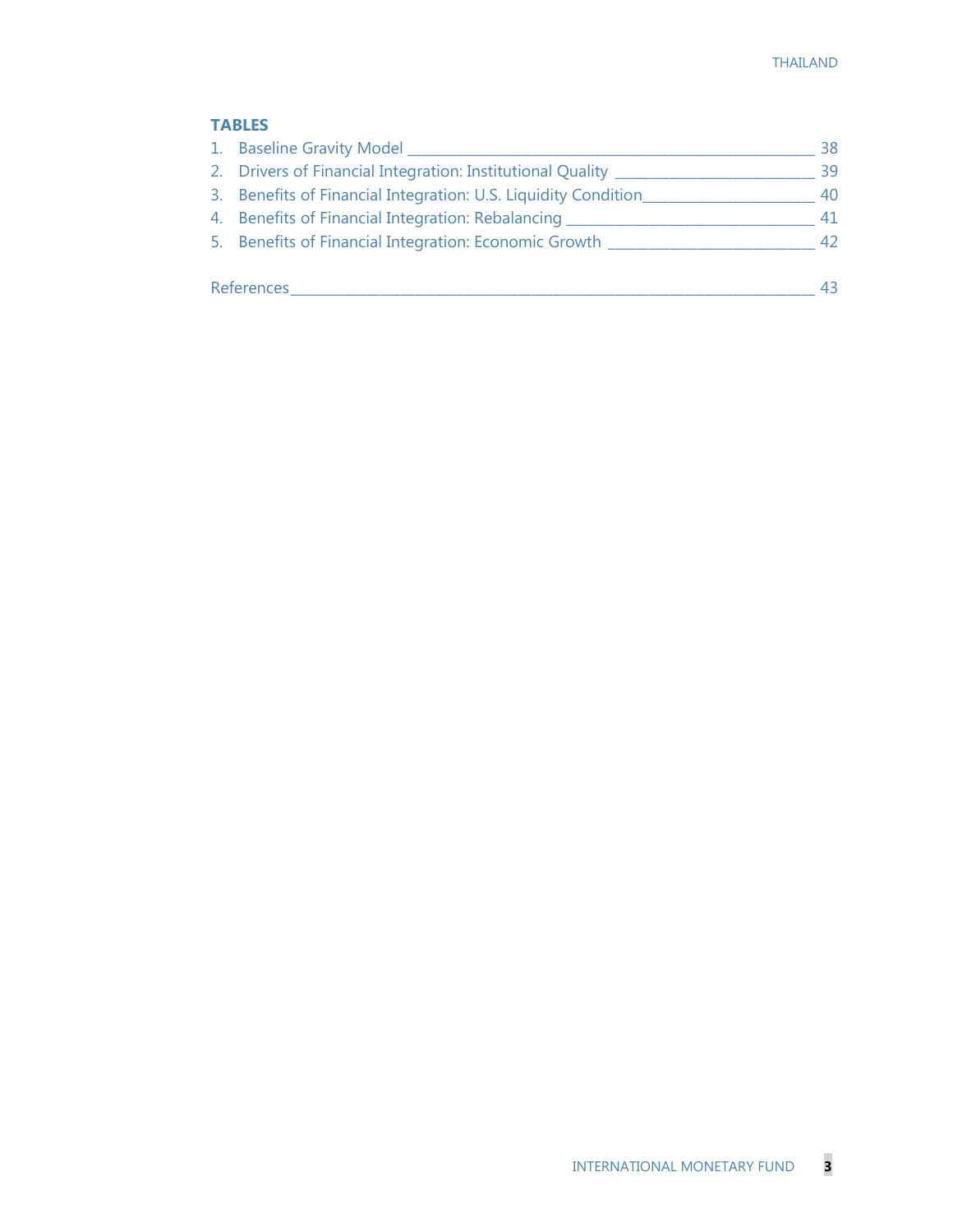#### **TABLES**

| 1. Baseline Gravity Model                                      | 38 |
|----------------------------------------------------------------|----|
| 2. Drivers of Financial Integration: Institutional Quality __  | 39 |
| 3. Benefits of Financial Integration: U.S. Liquidity Condition | 40 |
| 4. Benefits of Financial Integration: Rebalancing __           | 41 |
| 5. Benefits of Financial Integration: Economic Growth _        | 42 |
| References                                                     | 43 |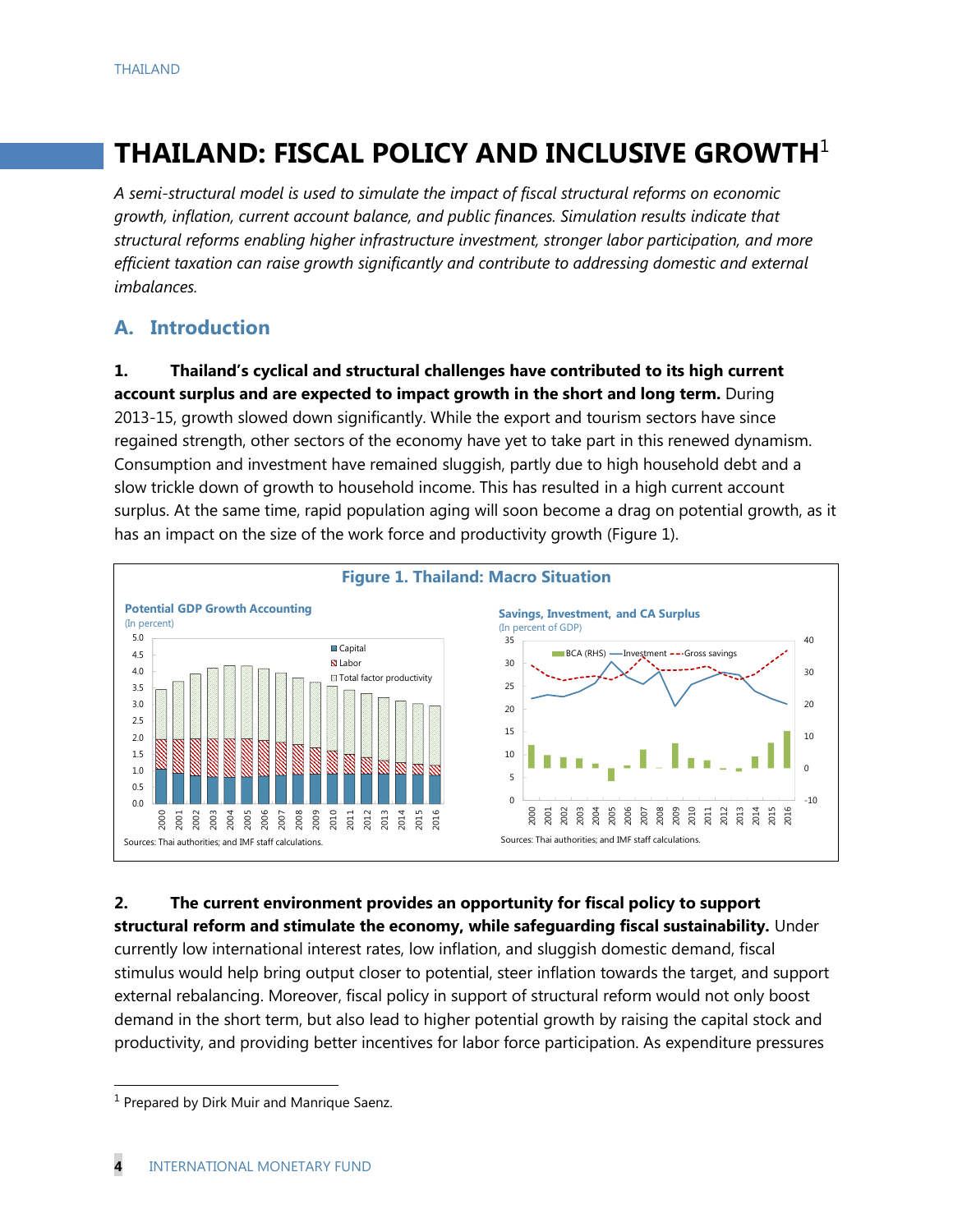# **THAILAND: FISCAL POLICY AND INCLUSIVE GROWTH**<sup>1</sup>

*A semi-structural model is used to simulate the impact of fiscal structural reforms on economic growth, inflation, current account balance, and public finances. Simulation results indicate that structural reforms enabling higher infrastructure investment, stronger labor participation, and more efficient taxation can raise growth significantly and contribute to addressing domestic and external imbalances.*

## **A. Introduction**

**1. Thailand's cyclical and structural challenges have contributed to its high current account surplus and are expected to impact growth in the short and long term.** During 2013-15, growth slowed down significantly. While the export and tourism sectors have since regained strength, other sectors of the economy have yet to take part in this renewed dynamism. Consumption and investment have remained sluggish, partly due to high household debt and a slow trickle down of growth to household income. This has resulted in a high current account surplus. At the same time, rapid population aging will soon become a drag on potential growth, as it has an impact on the size of the work force and productivity growth (Figure 1).



## **2. The current environment provides an opportunity for fiscal policy to support**

**structural reform and stimulate the economy, while safeguarding fiscal sustainability.** Under currently low international interest rates, low inflation, and sluggish domestic demand, fiscal stimulus would help bring output closer to potential, steer inflation towards the target, and support external rebalancing. Moreover, fiscal policy in support of structural reform would not only boost demand in the short term, but also lead to higher potential growth by raising the capital stock and productivity, and providing better incentives for labor force participation. As expenditure pressures

<sup>&</sup>lt;sup>1</sup> Prepared by Dirk Muir and Manrique Saenz.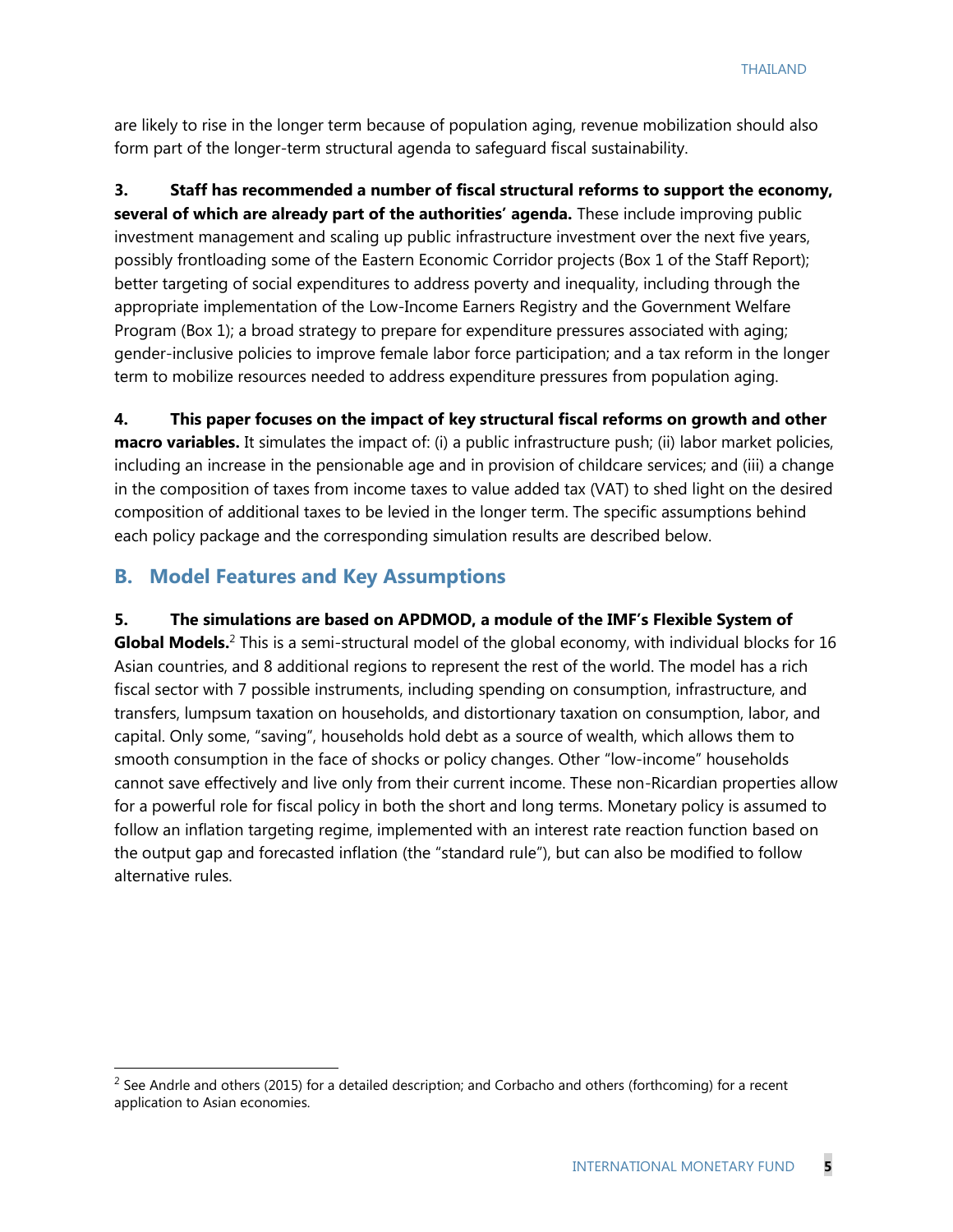are likely to rise in the longer term because of population aging, revenue mobilization should also form part of the longer-term structural agenda to safeguard fiscal sustainability.

**3. Staff has recommended a number of fiscal structural reforms to support the economy, several of which are already part of the authorities' agenda.** These include improving public investment management and scaling up public infrastructure investment over the next five years, possibly frontloading some of the Eastern Economic Corridor projects (Box 1 of the Staff Report); better targeting of social expenditures to address poverty and inequality, including through the appropriate implementation of the Low-Income Earners Registry and the Government Welfare Program (Box 1); a broad strategy to prepare for expenditure pressures associated with aging; gender-inclusive policies to improve female labor force participation; and a tax reform in the longer term to mobilize resources needed to address expenditure pressures from population aging.

**4. This paper focuses on the impact of key structural fiscal reforms on growth and other macro variables.** It simulates the impact of: (i) a public infrastructure push; (ii) labor market policies, including an increase in the pensionable age and in provision of childcare services; and (iii) a change in the composition of taxes from income taxes to value added tax (VAT) to shed light on the desired composition of additional taxes to be levied in the longer term. The specific assumptions behind each policy package and the corresponding simulation results are described below.

#### **B. Model Features and Key Assumptions**

#### **5. The simulations are based on APDMOD, a module of the IMF's Flexible System of**

Global Models.<sup>2</sup> This is a semi-structural model of the global economy, with individual blocks for 16 Asian countries, and 8 additional regions to represent the rest of the world. The model has a rich fiscal sector with 7 possible instruments, including spending on consumption, infrastructure, and transfers, lumpsum taxation on households, and distortionary taxation on consumption, labor, and capital. Only some, "saving", households hold debt as a source of wealth, which allows them to smooth consumption in the face of shocks or policy changes. Other "low-income" households cannot save effectively and live only from their current income. These non-Ricardian properties allow for a powerful role for fiscal policy in both the short and long terms. Monetary policy is assumed to follow an inflation targeting regime, implemented with an interest rate reaction function based on the output gap and forecasted inflation (the "standard rule"), but can also be modified to follow alternative rules.

 $<sup>2</sup>$  See Andrle and others (2015) for a detailed description; and Corbacho and others (forthcoming) for a recent</sup> application to Asian economies.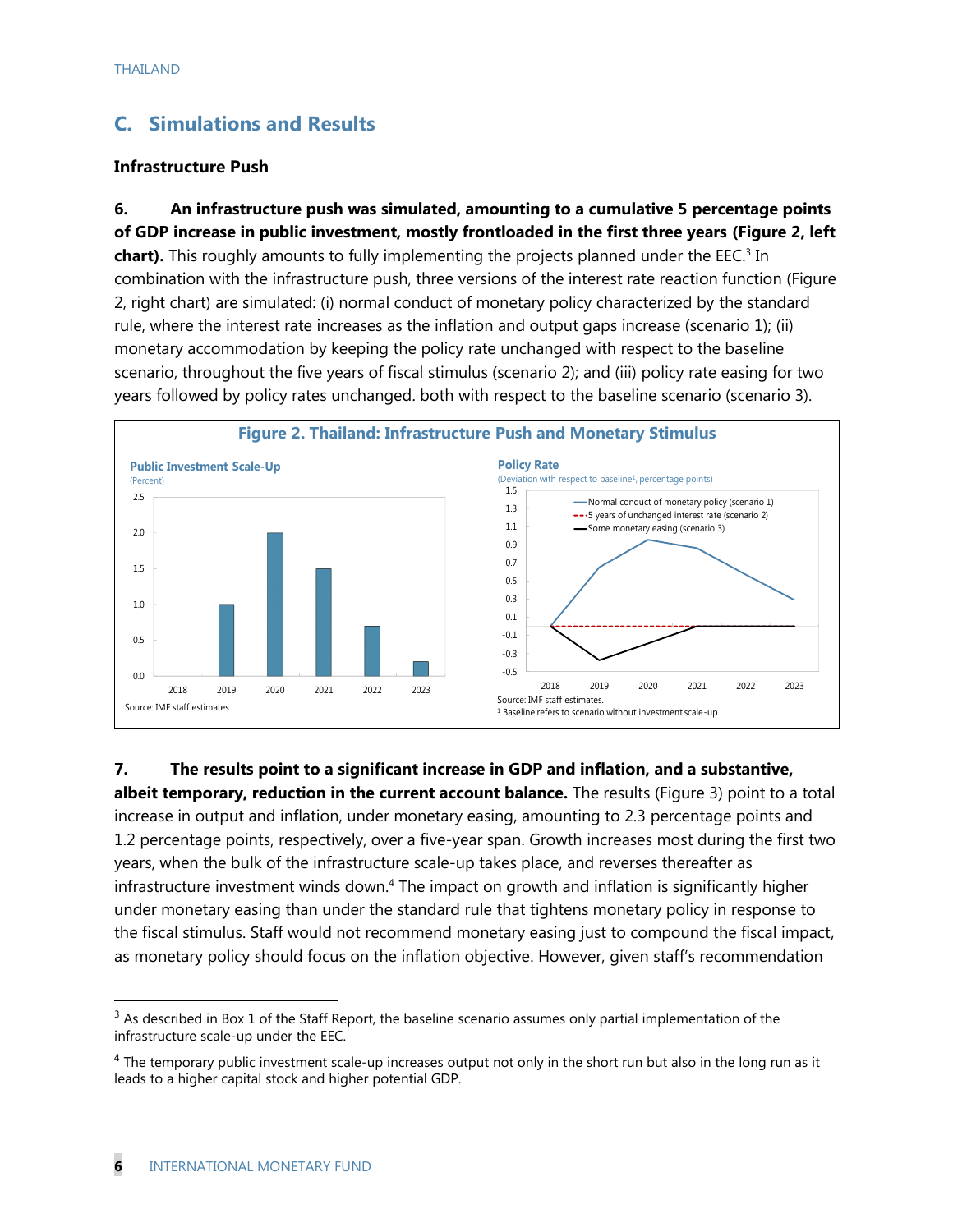## **C. Simulations and Results**

#### **Infrastructure Push**

**6. An infrastructure push was simulated, amounting to a cumulative 5 percentage points of GDP increase in public investment, mostly frontloaded in the first three years (Figure 2, left chart).** This roughly amounts to fully implementing the projects planned under the EEC.<sup>3</sup> In combination with the infrastructure push, three versions of the interest rate reaction function (Figure 2, right chart) are simulated: (i) normal conduct of monetary policy characterized by the standard rule, where the interest rate increases as the inflation and output gaps increase (scenario 1); (ii) monetary accommodation by keeping the policy rate unchanged with respect to the baseline scenario, throughout the five years of fiscal stimulus (scenario 2); and (iii) policy rate easing for two years followed by policy rates unchanged. both with respect to the baseline scenario (scenario 3).



**7. The results point to a significant increase in GDP and inflation, and a substantive,** 

**albeit temporary, reduction in the current account balance.** The results (Figure 3) point to a total increase in output and inflation, under monetary easing, amounting to 2.3 percentage points and 1.2 percentage points, respectively, over a five-year span. Growth increases most during the first two years, when the bulk of the infrastructure scale-up takes place, and reverses thereafter as infrastructure investment winds down. <sup>4</sup> The impact on growth and inflation is significantly higher under monetary easing than under the standard rule that tightens monetary policy in response to the fiscal stimulus. Staff would not recommend monetary easing just to compound the fiscal impact, as monetary policy should focus on the inflation objective. However, given staff's recommendation

 $3$  As described in Box 1 of the Staff Report, the baseline scenario assumes only partial implementation of the infrastructure scale-up under the EEC.

 $4$  The temporary public investment scale-up increases output not only in the short run but also in the long run as it leads to a higher capital stock and higher potential GDP.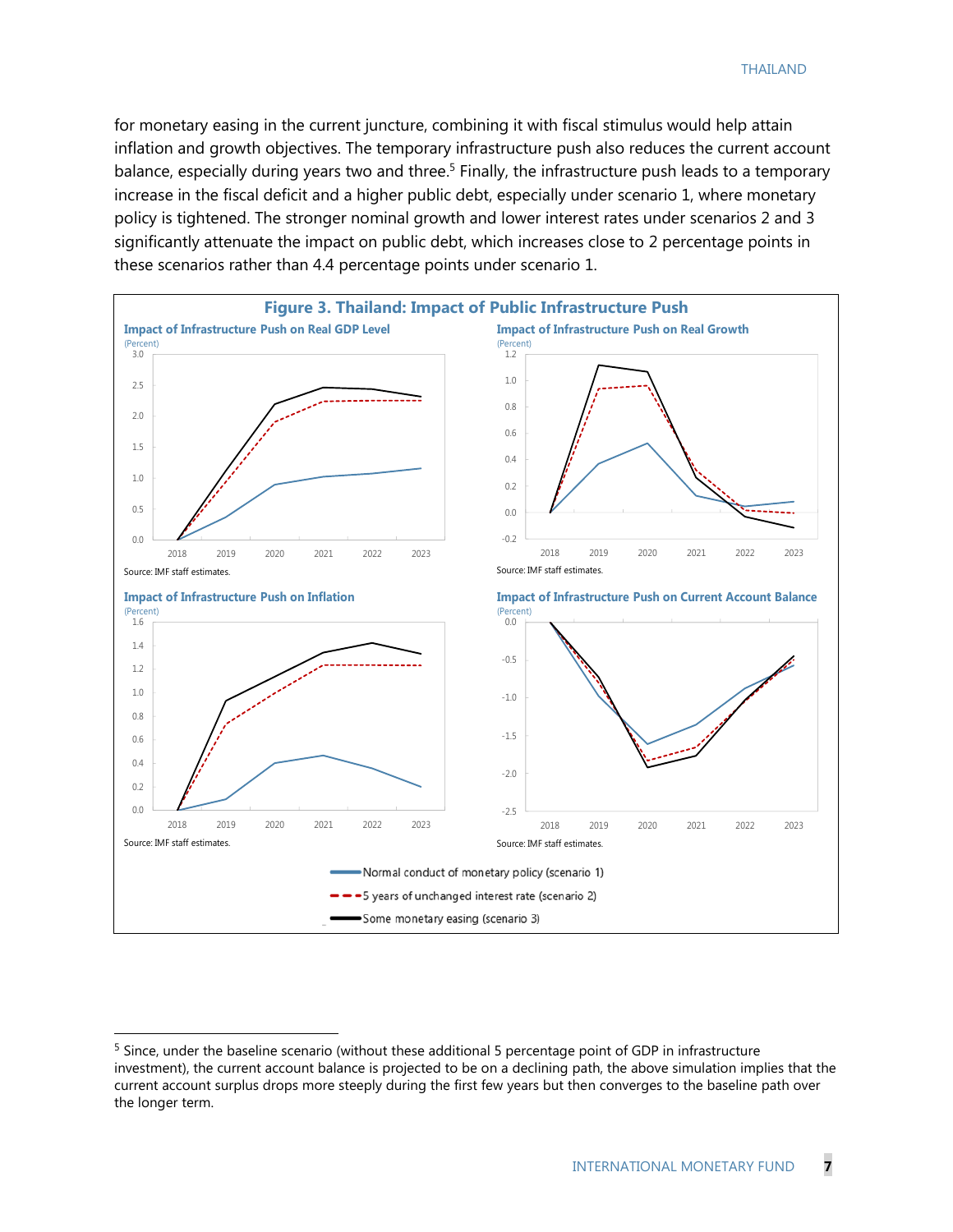for monetary easing in the current juncture, combining it with fiscal stimulus would help attain inflation and growth objectives. The temporary infrastructure push also reduces the current account balance, especially during years two and three.<sup>5</sup> Finally, the infrastructure push leads to a temporary increase in the fiscal deficit and a higher public debt, especially under scenario 1, where monetary policy is tightened. The stronger nominal growth and lower interest rates under scenarios 2 and 3 significantly attenuate the impact on public debt, which increases close to 2 percentage points in these scenarios rather than 4.4 percentage points under scenario 1.



<sup>&</sup>lt;sup>5</sup> Since, under the baseline scenario (without these additional 5 percentage point of GDP in infrastructure investment), the current account balance is projected to be on a declining path, the above simulation implies that the current account surplus drops more steeply during the first few years but then converges to the baseline path over the longer term.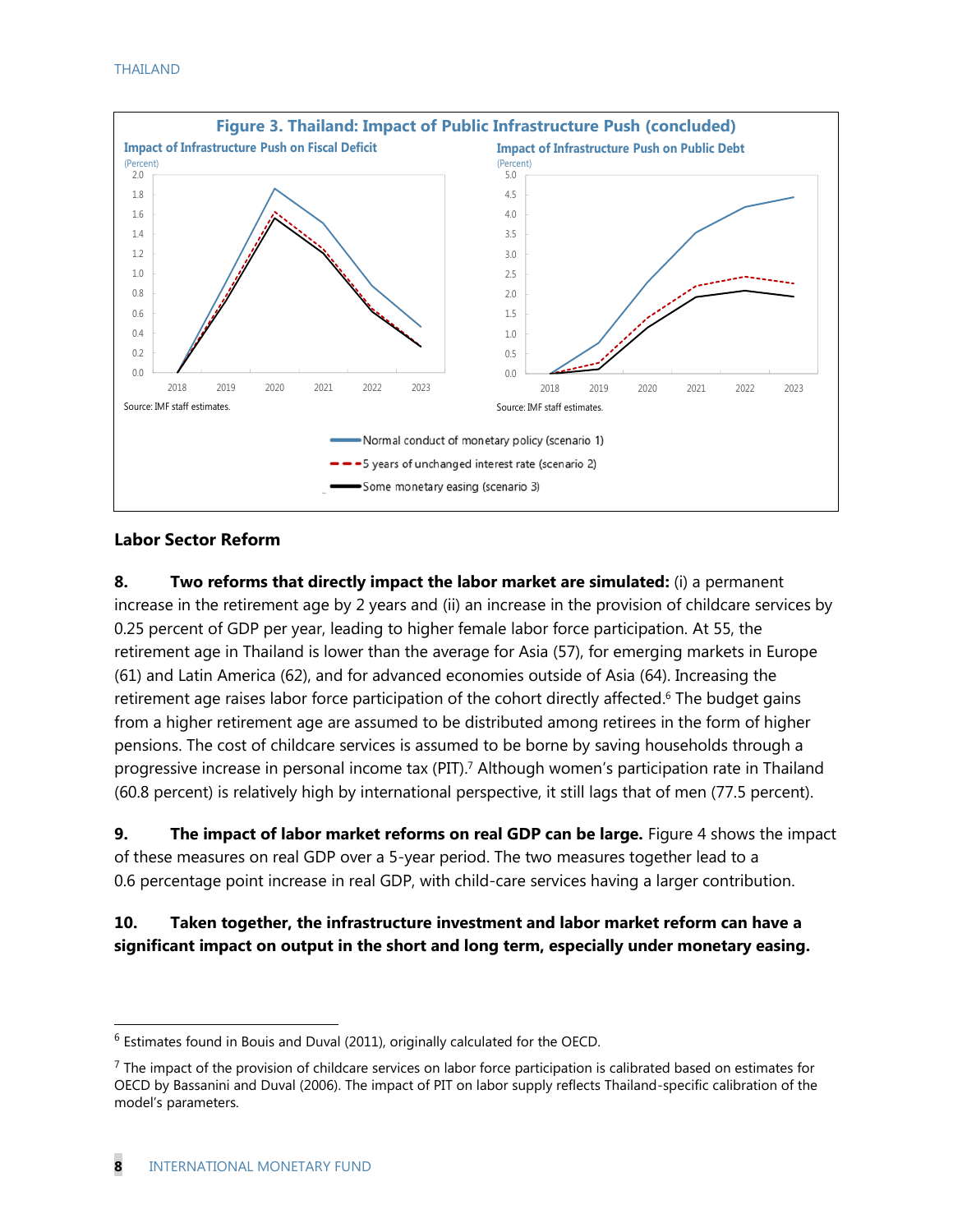

#### **Labor Sector Reform**

**8. Two reforms that directly impact the labor market are simulated:** (i) a permanent increase in the retirement age by 2 years and (ii) an increase in the provision of childcare services by 0.25 percent of GDP per year, leading to higher female labor force participation. At 55, the retirement age in Thailand is lower than the average for Asia (57), for emerging markets in Europe (61) and Latin America (62), and for advanced economies outside of Asia (64). Increasing the retirement age raises labor force participation of the cohort directly affected.<sup>6</sup> The budget gains from a higher retirement age are assumed to be distributed among retirees in the form of higher pensions. The cost of childcare services is assumed to be borne by saving households through a progressive increase in personal income tax (PIT). <sup>7</sup> Although women's participation rate in Thailand (60.8 percent) is relatively high by international perspective, it still lags that of men (77.5 percent).

**9. The impact of labor market reforms on real GDP can be large.** Figure 4 shows the impact of these measures on real GDP over a 5-year period. The two measures together lead to a 0.6 percentage point increase in real GDP, with child-care services having a larger contribution.

#### **10. Taken together, the infrastructure investment and labor market reform can have a significant impact on output in the short and long term, especially under monetary easing.**

 $6$  Estimates found in Bouis and Duval (2011), originally calculated for the OECD.

 $<sup>7</sup>$  The impact of the provision of childcare services on labor force participation is calibrated based on estimates for</sup> OECD by Bassanini and Duval (2006). The impact of PIT on labor supply reflects Thailand-specific calibration of the model's parameters.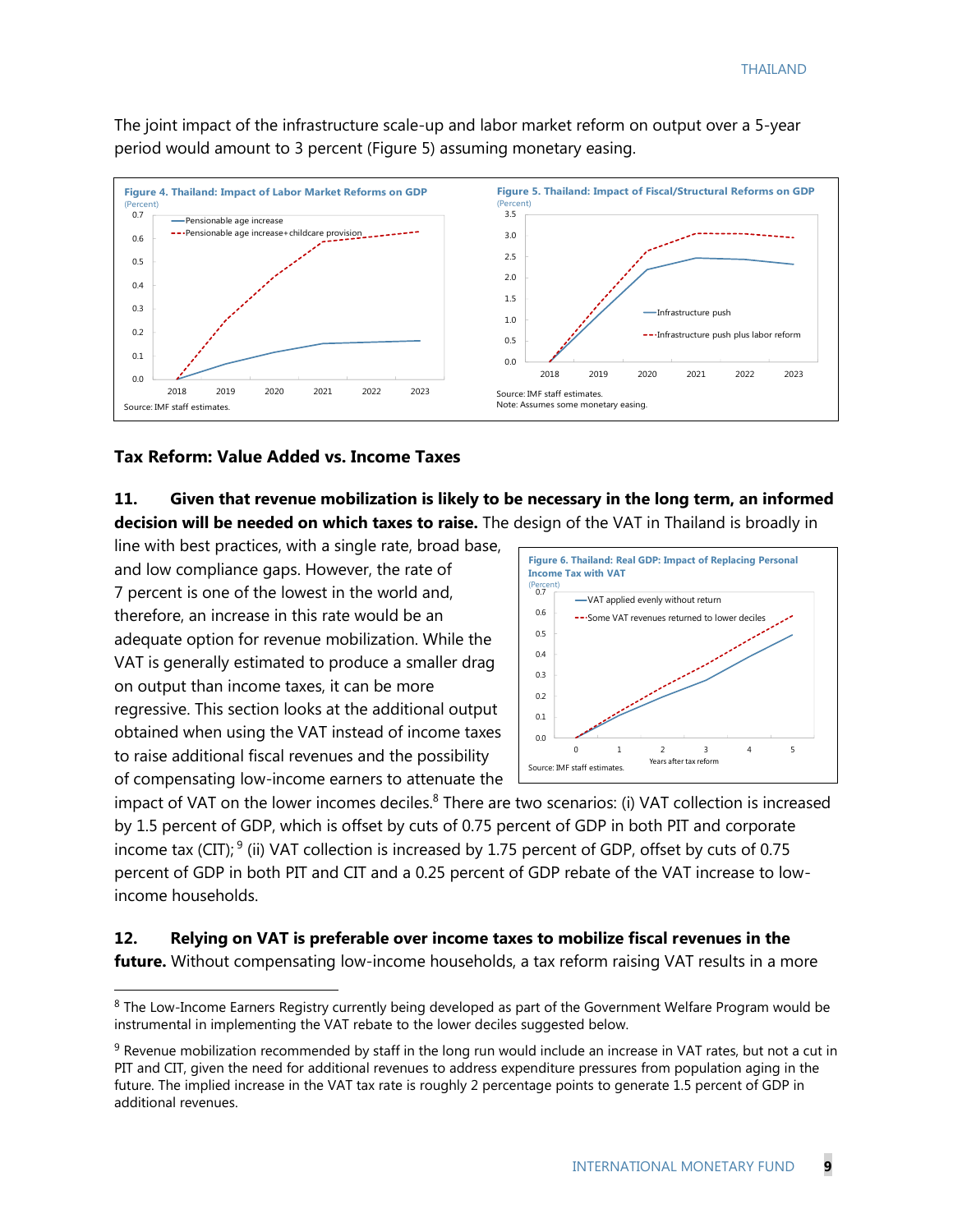The joint impact of the infrastructure scale-up and labor market reform on output over a 5-year period would amount to 3 percent (Figure 5) assuming monetary easing.



#### **Tax Reform: Value Added vs. Income Taxes**

**11. Given that revenue mobilization is likely to be necessary in the long term, an informed decision will be needed on which taxes to raise.** The design of the VAT in Thailand is broadly in

line with best practices, with a single rate, broad base, and low compliance gaps. However, the rate of 7 percent is one of the lowest in the world and, therefore, an increase in this rate would be an adequate option for revenue mobilization. While the VAT is generally estimated to produce a smaller drag on output than income taxes, it can be more regressive. This section looks at the additional output obtained when using the VAT instead of income taxes to raise additional fiscal revenues and the possibility of compensating low-income earners to attenuate the

 $\overline{a}$ 



impact of VAT on the lower incomes deciles. $8$  There are two scenarios: (i) VAT collection is increased by 1.5 percent of GDP, which is offset by cuts of 0.75 percent of GDP in both PIT and corporate income tax (CIT);  $9$  (ii) VAT collection is increased by 1.75 percent of GDP, offset by cuts of 0.75 percent of GDP in both PIT and CIT and a 0.25 percent of GDP rebate of the VAT increase to lowincome households.

#### **12. Relying on VAT is preferable over income taxes to mobilize fiscal revenues in the**

**future.** Without compensating low-income households, a tax reform raising VAT results in a more

<sup>&</sup>lt;sup>8</sup> The Low-Income Earners Registry currently being developed as part of the Government Welfare Program would be instrumental in implementing the VAT rebate to the lower deciles suggested below.

 $9$  Revenue mobilization recommended by staff in the long run would include an increase in VAT rates, but not a cut in PIT and CIT, given the need for additional revenues to address expenditure pressures from population aging in the future. The implied increase in the VAT tax rate is roughly 2 percentage points to generate 1.5 percent of GDP in additional revenues.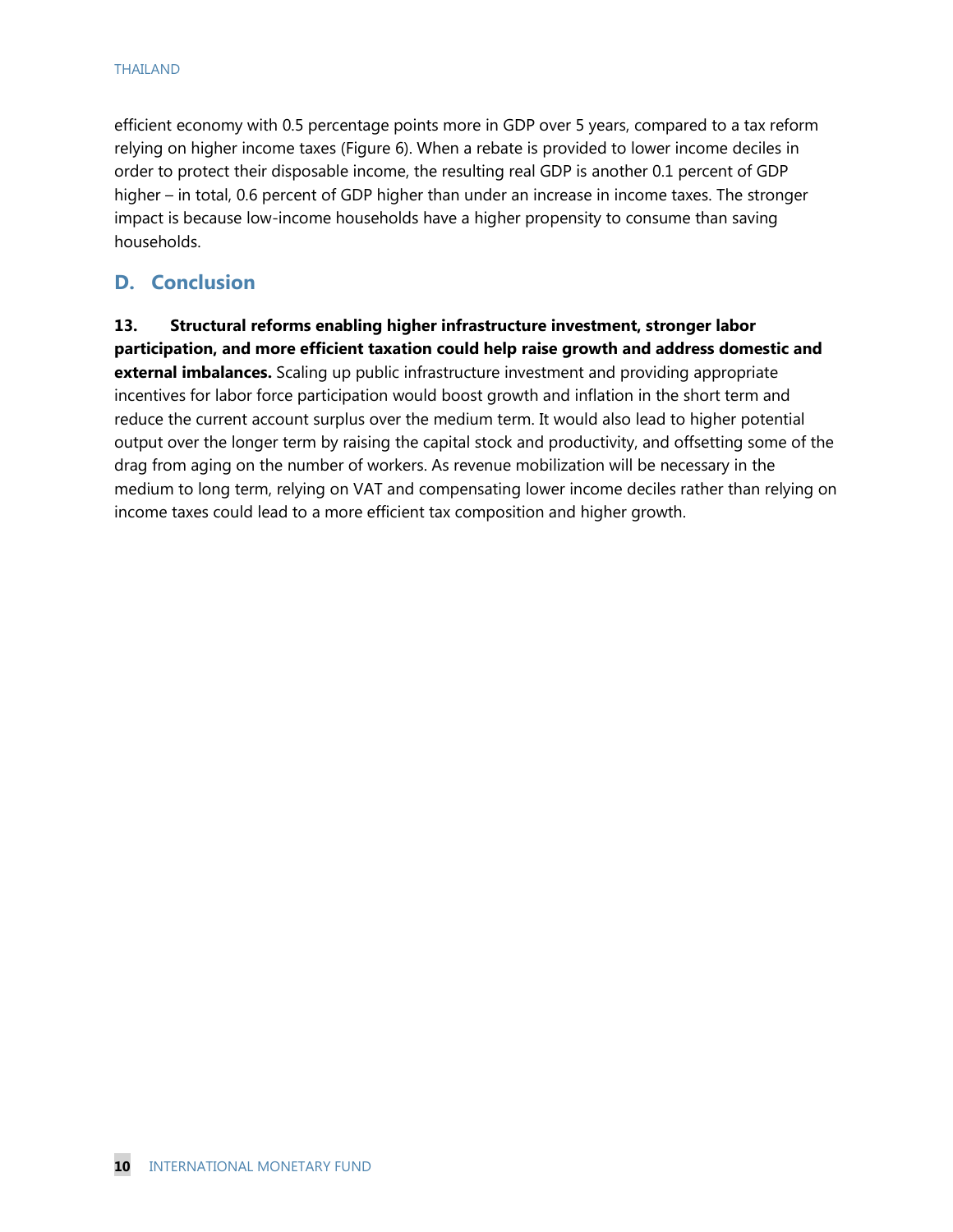efficient economy with 0.5 percentage points more in GDP over 5 years, compared to a tax reform relying on higher income taxes (Figure 6). When a rebate is provided to lower income deciles in order to protect their disposable income, the resulting real GDP is another 0.1 percent of GDP higher – in total, 0.6 percent of GDP higher than under an increase in income taxes. The stronger impact is because low-income households have a higher propensity to consume than saving households.

## **D. Conclusion**

**13. Structural reforms enabling higher infrastructure investment, stronger labor participation, and more efficient taxation could help raise growth and address domestic and external imbalances.** Scaling up public infrastructure investment and providing appropriate incentives for labor force participation would boost growth and inflation in the short term and reduce the current account surplus over the medium term. It would also lead to higher potential output over the longer term by raising the capital stock and productivity, and offsetting some of the drag from aging on the number of workers. As revenue mobilization will be necessary in the medium to long term, relying on VAT and compensating lower income deciles rather than relying on income taxes could lead to a more efficient tax composition and higher growth.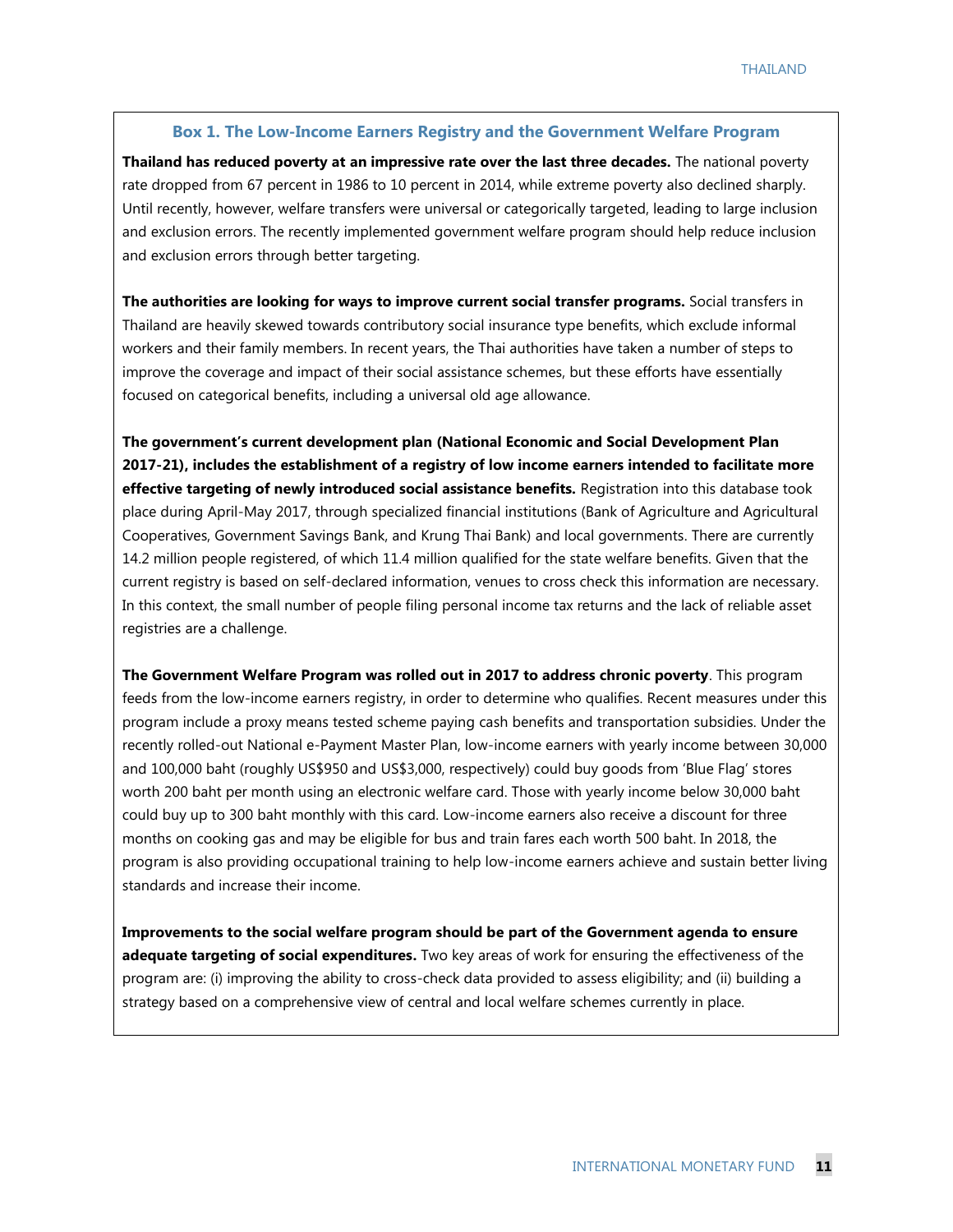#### **Box 1. The Low-Income Earners Registry and the Government Welfare Program**

**Thailand has reduced poverty at an impressive rate over the last three decades.** The national poverty rate dropped from 67 percent in 1986 to 10 percent in 2014, while extreme poverty also declined sharply. Until recently, however, welfare transfers were universal or categorically targeted, leading to large inclusion and exclusion errors. The recently implemented government welfare program should help reduce inclusion and exclusion errors through better targeting.

**The authorities are looking for ways to improve current social transfer programs.** Social transfers in Thailand are heavily skewed towards contributory social insurance type benefits, which exclude informal workers and their family members. In recent years, the Thai authorities have taken a number of steps to improve the coverage and impact of their social assistance schemes, but these efforts have essentially focused on categorical benefits, including a universal old age allowance.

**The government's current development plan (National Economic and Social Development Plan 2017-21), includes the establishment of a registry of low income earners intended to facilitate more effective targeting of newly introduced social assistance benefits.** Registration into this database took place during April-May 2017, through specialized financial institutions (Bank of Agriculture and Agricultural Cooperatives, Government Savings Bank, and Krung Thai Bank) and local governments. There are currently 14.2 million people registered, of which 11.4 million qualified for the state welfare benefits. Given that the current registry is based on self-declared information, venues to cross check this information are necessary. In this context, the small number of people filing personal income tax returns and the lack of reliable asset registries are a challenge.

**The Government Welfare Program was rolled out in 2017 to address chronic poverty**. This program feeds from the low-income earners registry, in order to determine who qualifies. Recent measures under this program include a proxy means tested scheme paying cash benefits and transportation subsidies. Under the recently rolled-out National e-Payment Master Plan, low-income earners with yearly income between 30,000 and 100,000 baht (roughly US\$950 and US\$3,000, respectively) could buy goods from 'Blue Flag' stores worth 200 baht per month using an electronic welfare card. Those with yearly income below 30,000 baht could buy up to 300 baht monthly with this card. Low-income earners also receive a discount for three months on cooking gas and may be eligible for bus and train fares each worth 500 baht. In 2018, the program is also providing occupational training to help low-income earners achieve and sustain better living standards and increase their income.

**Improvements to the social welfare program should be part of the Government agenda to ensure adequate targeting of social expenditures.** Two key areas of work for ensuring the effectiveness of the program are: (i) improving the ability to cross-check data provided to assess eligibility; and (ii) building a strategy based on a comprehensive view of central and local welfare schemes currently in place.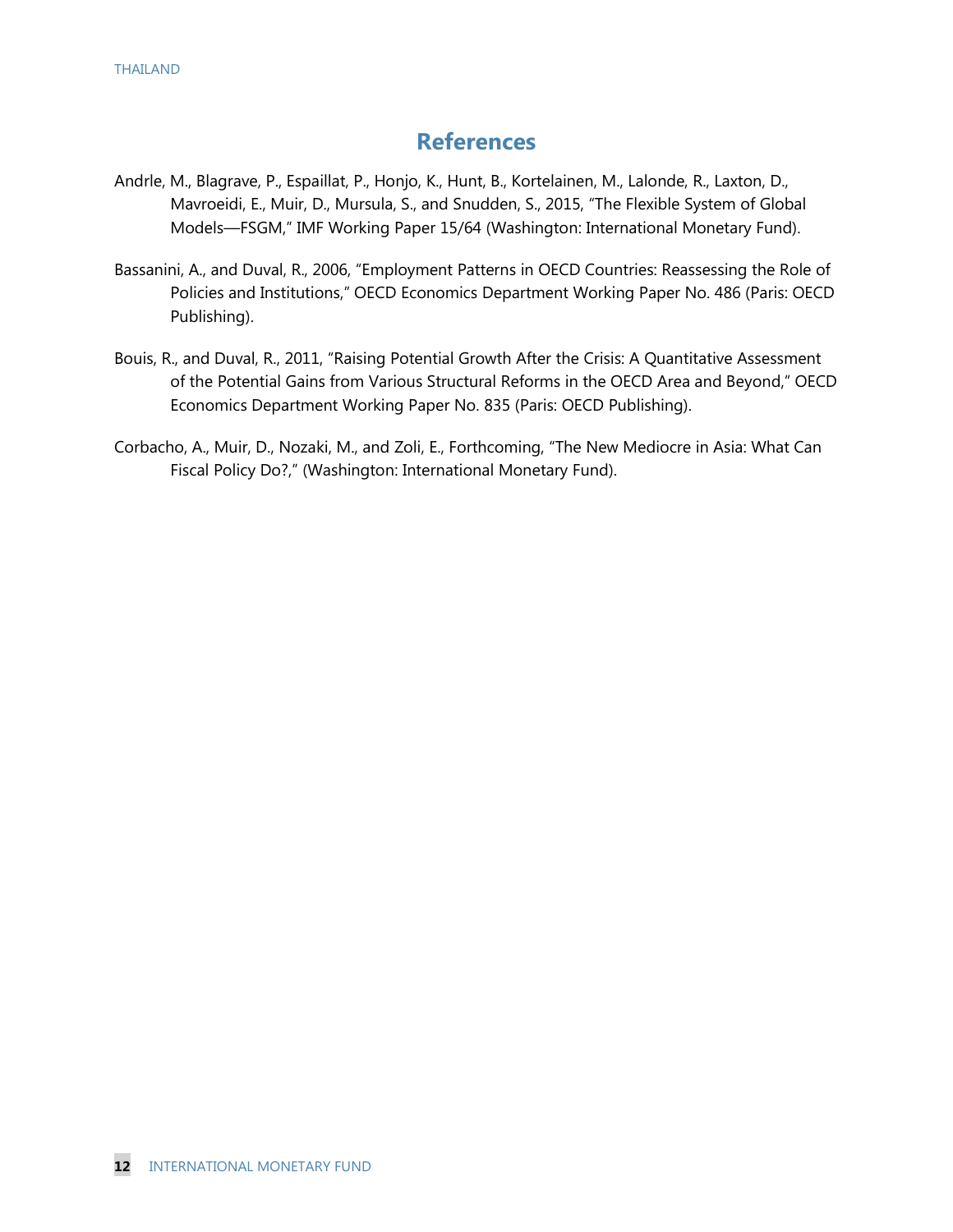## **References**

- Andrle, M., Blagrave, P., Espaillat, P., Honjo, K., Hunt, B., Kortelainen, M., Lalonde, R., Laxton, D., Mavroeidi, E., Muir, D., Mursula, S., and Snudden, S., 2015, "The Flexible System of Global Models—FSGM," IMF Working Paper 15/64 (Washington: International Monetary Fund).
- Bassanini, A., and Duval, R., 2006, "Employment Patterns in OECD Countries: Reassessing the Role of Policies and Institutions," OECD Economics Department Working Paper No. 486 (Paris: OECD Publishing).
- Bouis, R., and Duval, R., 2011, "Raising Potential Growth After the Crisis: A Quantitative Assessment of the Potential Gains from Various Structural Reforms in the OECD Area and Beyond," OECD Economics Department Working Paper No. 835 (Paris: OECD Publishing).
- Corbacho, A., Muir, D., Nozaki, M., and Zoli, E., Forthcoming, "The New Mediocre in Asia: What Can Fiscal Policy Do?," (Washington: International Monetary Fund).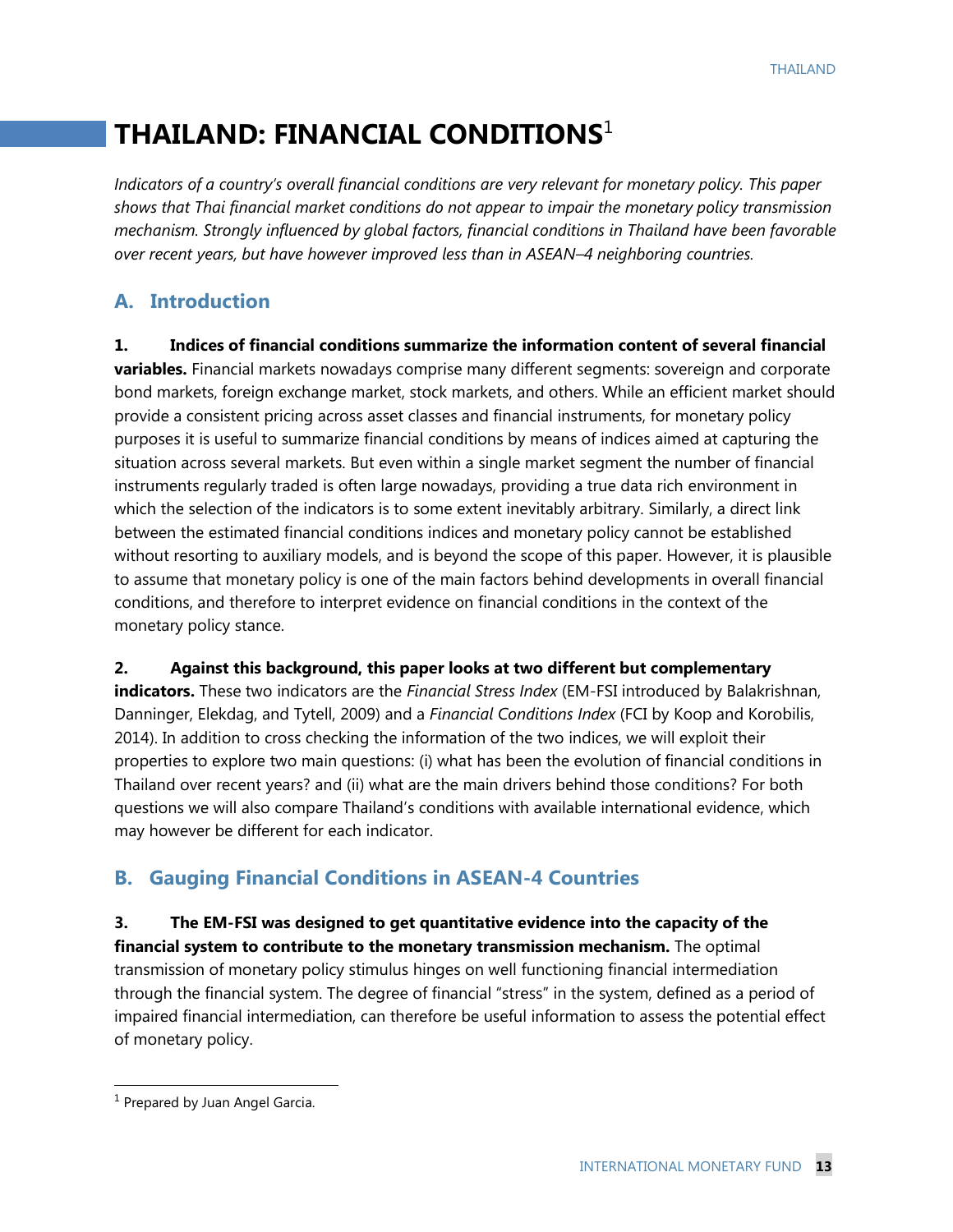## **THAILAND: FINANCIAL CONDITIONS**<sup>1</sup>

*Indicators of a country's overall financial conditions are very relevant for monetary policy. This paper shows that Thai financial market conditions do not appear to impair the monetary policy transmission mechanism. Strongly influenced by global factors, financial conditions in Thailand have been favorable over recent years, but have however improved less than in ASEAN–4 neighboring countries.*

## **A. Introduction**

**1. Indices of financial conditions summarize the information content of several financial variables.** Financial markets nowadays comprise many different segments: sovereign and corporate bond markets, foreign exchange market, stock markets, and others. While an efficient market should provide a consistent pricing across asset classes and financial instruments, for monetary policy purposes it is useful to summarize financial conditions by means of indices aimed at capturing the situation across several markets. But even within a single market segment the number of financial instruments regularly traded is often large nowadays, providing a true data rich environment in which the selection of the indicators is to some extent inevitably arbitrary. Similarly, a direct link between the estimated financial conditions indices and monetary policy cannot be established without resorting to auxiliary models, and is beyond the scope of this paper. However, it is plausible to assume that monetary policy is one of the main factors behind developments in overall financial conditions, and therefore to interpret evidence on financial conditions in the context of the monetary policy stance.

**2. Against this background, this paper looks at two different but complementary indicators.** These two indicators are the *Financial Stress Index* (EM-FSI introduced by Balakrishnan, Danninger, Elekdag, and Tytell, 2009) and a *Financial Conditions Index* (FCI by Koop and Korobilis, 2014). In addition to cross checking the information of the two indices, we will exploit their properties to explore two main questions: (i) what has been the evolution of financial conditions in Thailand over recent years? and (ii) what are the main drivers behind those conditions? For both questions we will also compare Thailand's conditions with available international evidence, which may however be different for each indicator.

## **B. Gauging Financial Conditions in ASEAN-4 Countries**

**3. The EM-FSI was designed to get quantitative evidence into the capacity of the financial system to contribute to the monetary transmission mechanism.** The optimal transmission of monetary policy stimulus hinges on well functioning financial intermediation through the financial system. The degree of financial "stress" in the system, defined as a period of impaired financial intermediation, can therefore be useful information to assess the potential effect of monetary policy.

<sup>&</sup>lt;sup>1</sup> Prepared by Juan Angel Garcia.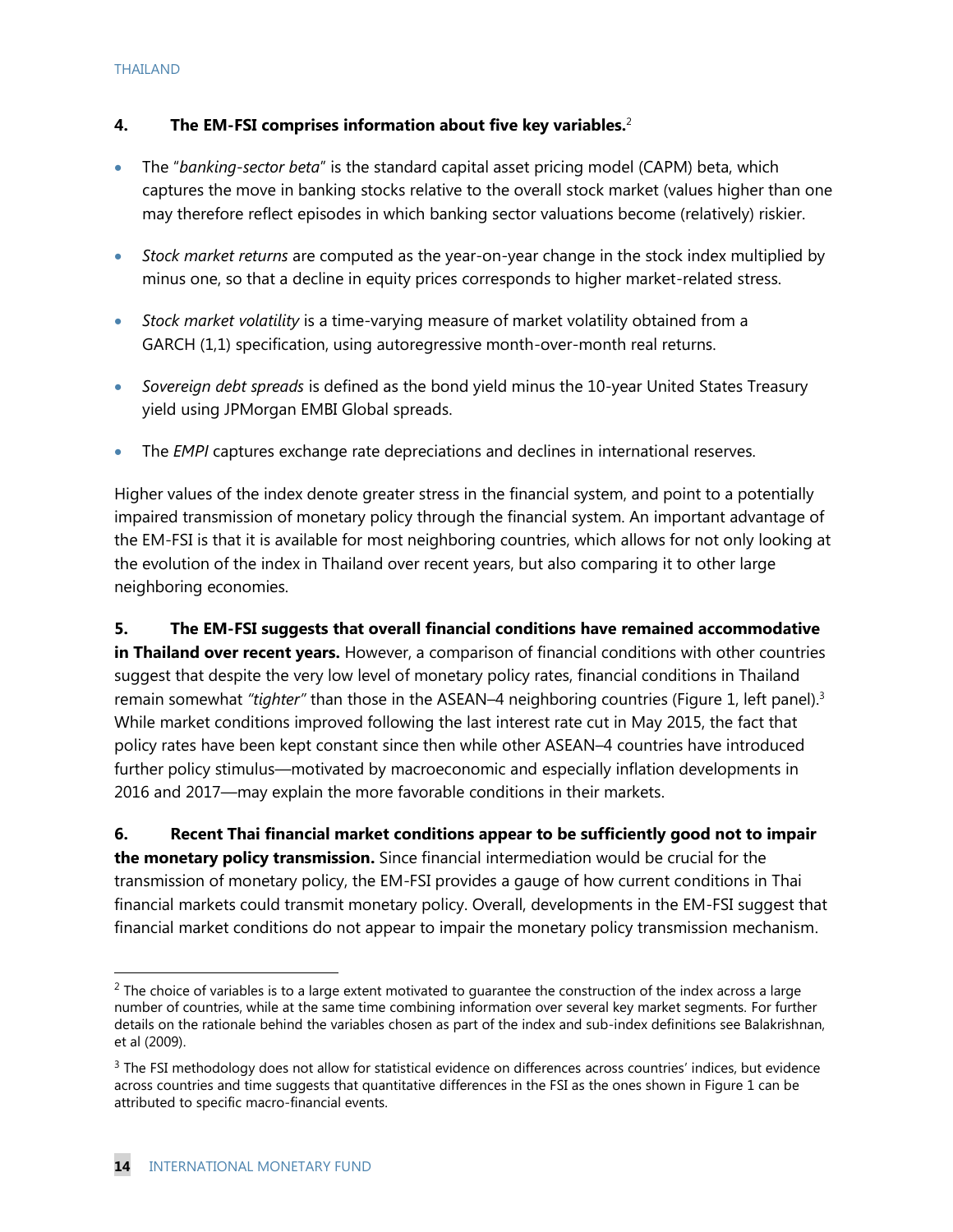#### **4. The EM-FSI comprises information about five key variables.**<sup>2</sup>

- The "*banking-sector beta*" is the standard capital asset pricing model (CAPM) beta, which captures the move in banking stocks relative to the overall stock market (values higher than one may therefore reflect episodes in which banking sector valuations become (relatively) riskier.
- *Stock market returns* are computed as the year-on-year change in the stock index multiplied by minus one, so that a decline in equity prices corresponds to higher market-related stress.
- *Stock market volatility* is a time-varying measure of market volatility obtained from a GARCH (1,1) specification, using autoregressive month-over-month real returns.
- *Sovereign debt spreads* is defined as the bond yield minus the 10-year United States Treasury yield using JPMorgan EMBI Global spreads.
- The *EMPI* captures exchange rate depreciations and declines in international reserves.

Higher values of the index denote greater stress in the financial system, and point to a potentially impaired transmission of monetary policy through the financial system. An important advantage of the EM-FSI is that it is available for most neighboring countries, which allows for not only looking at the evolution of the index in Thailand over recent years, but also comparing it to other large neighboring economies.

**5. The EM-FSI suggests that overall financial conditions have remained accommodative in Thailand over recent years.** However, a comparison of financial conditions with other countries suggest that despite the very low level of monetary policy rates, financial conditions in Thailand remain somewhat *"tighter"* than those in the ASEAN–4 neighboring countries (Figure 1, left panel).<sup>3</sup> While market conditions improved following the last interest rate cut in May 2015, the fact that policy rates have been kept constant since then while other ASEAN–4 countries have introduced further policy stimulus—motivated by macroeconomic and especially inflation developments in 2016 and 2017—may explain the more favorable conditions in their markets.

**6. Recent Thai financial market conditions appear to be sufficiently good not to impair the monetary policy transmission.** Since financial intermediation would be crucial for the transmission of monetary policy, the EM-FSI provides a gauge of how current conditions in Thai financial markets could transmit monetary policy. Overall, developments in the EM-FSI suggest that financial market conditions do not appear to impair the monetary policy transmission mechanism.

 $<sup>2</sup>$  The choice of variables is to a large extent motivated to guarantee the construction of the index across a large</sup> number of countries, while at the same time combining information over several key market segments. For further details on the rationale behind the variables chosen as part of the index and sub-index definitions see Balakrishnan, et al (2009).

 $3$  The FSI methodology does not allow for statistical evidence on differences across countries' indices, but evidence across countries and time suggests that quantitative differences in the FSI as the ones shown in Figure 1 can be attributed to specific macro-financial events.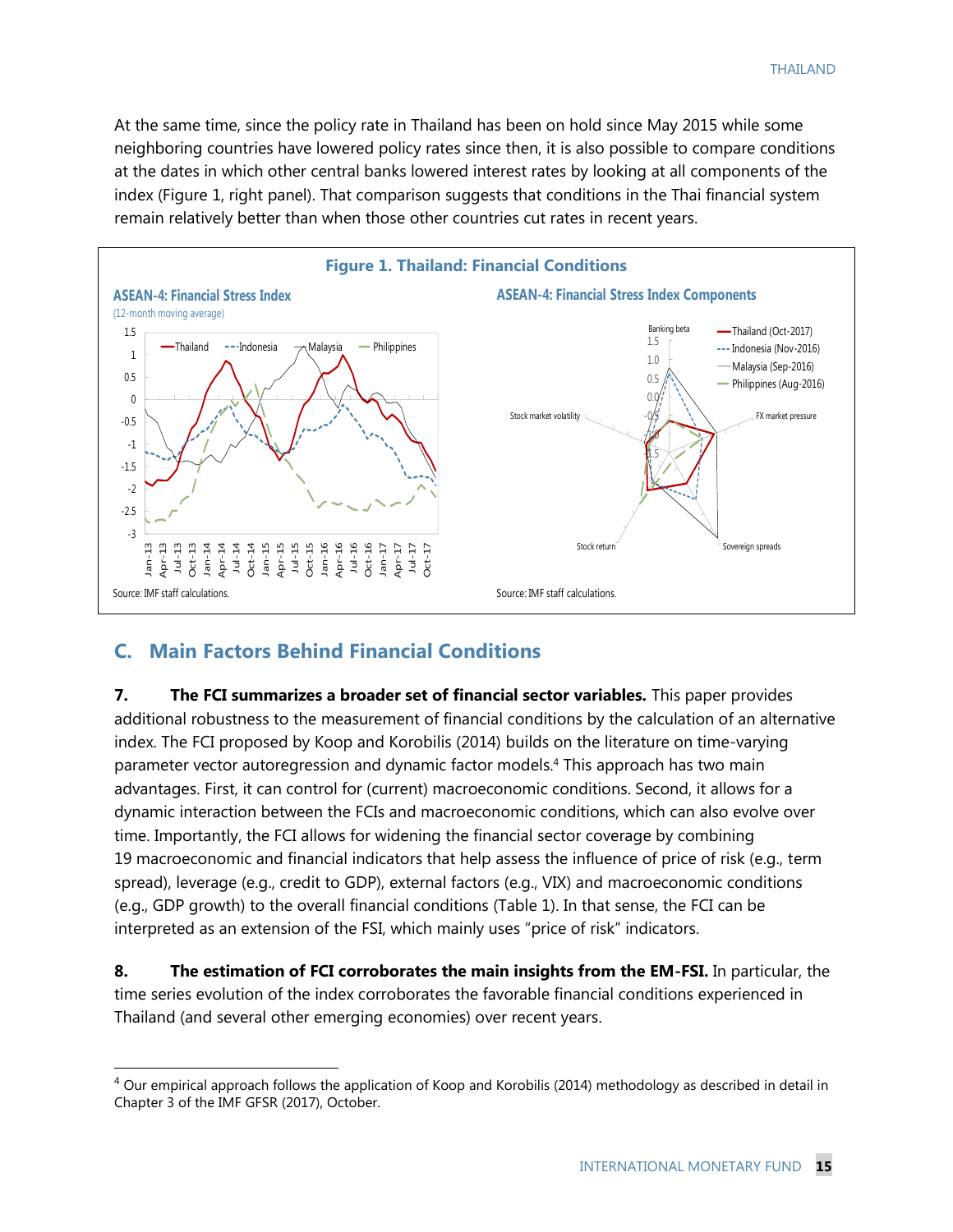At the same time, since the policy rate in Thailand has been on hold since May 2015 while some neighboring countries have lowered policy rates since then, it is also possible to compare conditions at the dates in which other central banks lowered interest rates by looking at all components of the index (Figure 1, right panel). That comparison suggests that conditions in the Thai financial system remain relatively better than when those other countries cut rates in recent years.



#### **C. Main Factors Behind Financial Conditions**

 $\overline{a}$ 

**7. The FCI summarizes a broader set of financial sector variables.** This paper provides additional robustness to the measurement of financial conditions by the calculation of an alternative index. The FCI proposed by Koop and Korobilis (2014) builds on the literature on time-varying parameter vector autoregression and dynamic factor models.<sup>4</sup> This approach has two main advantages. First, it can control for (current) macroeconomic conditions. Second, it allows for a dynamic interaction between the FCIs and macroeconomic conditions, which can also evolve over time. Importantly, the FCI allows for widening the financial sector coverage by combining 19 macroeconomic and financial indicators that help assess the influence of price of risk (e.g., term spread), leverage (e.g., credit to GDP), external factors (e.g., VIX) and macroeconomic conditions (e.g., GDP growth) to the overall financial conditions (Table 1). In that sense, the FCI can be interpreted as an extension of the FSI, which mainly uses "price of risk" indicators.

**8. The estimation of FCI corroborates the main insights from the EM-FSI.** In particular, the time series evolution of the index corroborates the favorable financial conditions experienced in Thailand (and several other emerging economies) over recent years.

 $4$  Our empirical approach follows the application of Koop and Korobilis (2014) methodology as described in detail in Chapter 3 of the IMF GFSR (2017), October.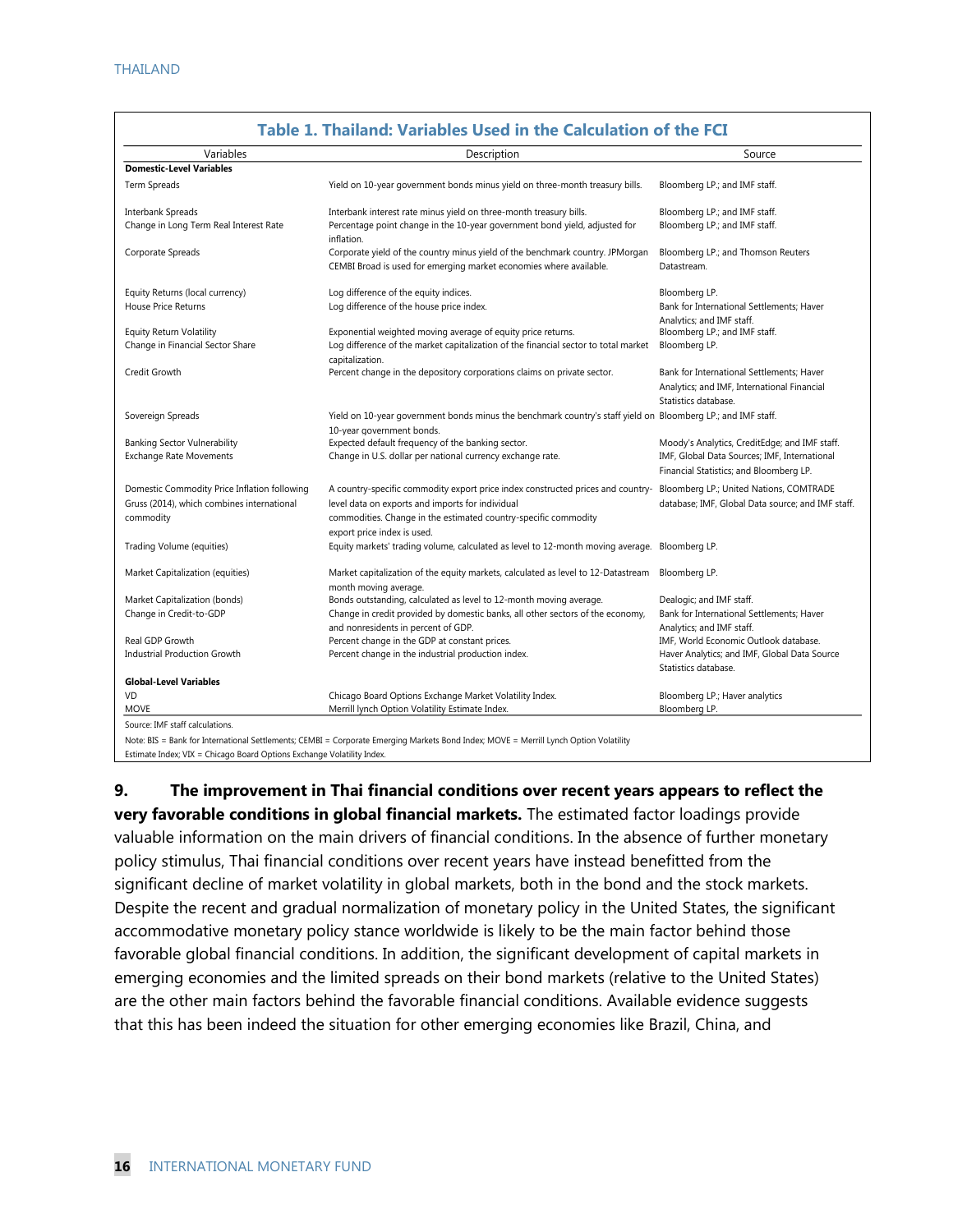| Variables                                    | Description                                                                                                                               | Source                                                                                                           |
|----------------------------------------------|-------------------------------------------------------------------------------------------------------------------------------------------|------------------------------------------------------------------------------------------------------------------|
| <b>Domestic-Level Variables</b>              |                                                                                                                                           |                                                                                                                  |
| Term Spreads                                 | Yield on 10-year government bonds minus yield on three-month treasury bills.                                                              | Bloomberg LP.; and IMF staff.                                                                                    |
| <b>Interbank Spreads</b>                     | Interbank interest rate minus yield on three-month treasury bills.                                                                        | Bloomberg LP.; and IMF staff.                                                                                    |
| Change in Long Term Real Interest Rate       | Percentage point change in the 10-year government bond yield, adjusted for<br>inflation.                                                  | Bloomberg LP.; and IMF staff.                                                                                    |
| Corporate Spreads                            | Corporate yield of the country minus yield of the benchmark country. JPMorgan                                                             | Bloomberg LP.; and Thomson Reuters                                                                               |
|                                              | CEMBI Broad is used for emerging market economies where available.                                                                        | Datastream.                                                                                                      |
| Equity Returns (local currency)              | Log difference of the equity indices.                                                                                                     | Bloomberg LP.                                                                                                    |
| <b>House Price Returns</b>                   | Log difference of the house price index.                                                                                                  | Bank for International Settlements; Haver                                                                        |
|                                              |                                                                                                                                           | Analytics: and IMF staff.                                                                                        |
| Equity Return Volatility                     | Exponential weighted moving average of equity price returns.                                                                              | Bloomberg LP.; and IMF staff.                                                                                    |
| Change in Financial Sector Share             | Log difference of the market capitalization of the financial sector to total market<br>capitalization.                                    | Bloomberg LP.                                                                                                    |
| Credit Growth                                | Percent change in the depository corporations claims on private sector.                                                                   | Bank for International Settlements; Haver<br>Analytics; and IMF, International Financial<br>Statistics database. |
| Sovereign Spreads                            | Yield on 10-year government bonds minus the benchmark country's staff yield on Bloomberg LP.; and IMF staff.<br>10-year government bonds. |                                                                                                                  |
| Banking Sector Vulnerability                 | Expected default frequency of the banking sector.                                                                                         | Moody's Analytics, CreditEdge; and IMF staff.                                                                    |
| <b>Exchange Rate Movements</b>               | Change in U.S. dollar per national currency exchange rate.                                                                                | IMF, Global Data Sources; IMF, International                                                                     |
|                                              |                                                                                                                                           | Financial Statistics; and Bloomberg LP.                                                                          |
| Domestic Commodity Price Inflation following | A country-specific commodity export price index constructed prices and country- Bloomberg LP.; United Nations, COMTRADE                   |                                                                                                                  |
| Gruss (2014), which combines international   | level data on exports and imports for individual                                                                                          | database; IMF, Global Data source; and IMF staff.                                                                |
| commodity                                    | commodities. Change in the estimated country-specific commodity<br>export price index is used.                                            |                                                                                                                  |
| Trading Volume (equities)                    | Equity markets' trading volume, calculated as level to 12-month moving average. Bloomberg LP.                                             |                                                                                                                  |
| Market Capitalization (equities)             | Market capitalization of the equity markets, calculated as level to 12-Datastream<br>month moving average.                                | Bloomberg LP.                                                                                                    |
| Market Capitalization (bonds)                | Bonds outstanding, calculated as level to 12-month moving average.                                                                        | Dealogic; and IMF staff.                                                                                         |
| Change in Credit-to-GDP                      | Change in credit provided by domestic banks, all other sectors of the economy,<br>and nonresidents in percent of GDP.                     | Bank for International Settlements; Haver<br>Analytics; and IMF staff.                                           |
| Real GDP Growth                              | Percent change in the GDP at constant prices.                                                                                             | IMF, World Economic Outlook database.                                                                            |
| <b>Industrial Production Growth</b>          | Percent change in the industrial production index.                                                                                        | Haver Analytics; and IMF, Global Data Source<br>Statistics database.                                             |
| <b>Global-Level Variables</b>                |                                                                                                                                           |                                                                                                                  |
| VD                                           | Chicago Board Options Exchange Market Volatility Index.                                                                                   | Bloomberg LP.; Haver analytics                                                                                   |
| <b>MOVE</b>                                  | Merrill lynch Option Volatility Estimate Index.                                                                                           | Bloomberg LP.                                                                                                    |

### **Table 1. Thailand: Variables Used in the Calculation of the FCI**

Note: BIS = Bank for International Settlements; CEMBI = Corporate Emerging Markets Bond Index; MOVE = Merrill Lynch Option Volatility

Estimate Index; VIX = Chicago Board Options Exchange Volatility Index.

**9. The improvement in Thai financial conditions over recent years appears to reflect the very favorable conditions in global financial markets.** The estimated factor loadings provide valuable information on the main drivers of financial conditions. In the absence of further monetary policy stimulus, Thai financial conditions over recent years have instead benefitted from the significant decline of market volatility in global markets, both in the bond and the stock markets. Despite the recent and gradual normalization of monetary policy in the United States, the significant accommodative monetary policy stance worldwide is likely to be the main factor behind those favorable global financial conditions. In addition, the significant development of capital markets in emerging economies and the limited spreads on their bond markets (relative to the United States) are the other main factors behind the favorable financial conditions. Available evidence suggests that this has been indeed the situation for other emerging economies like Brazil, China, and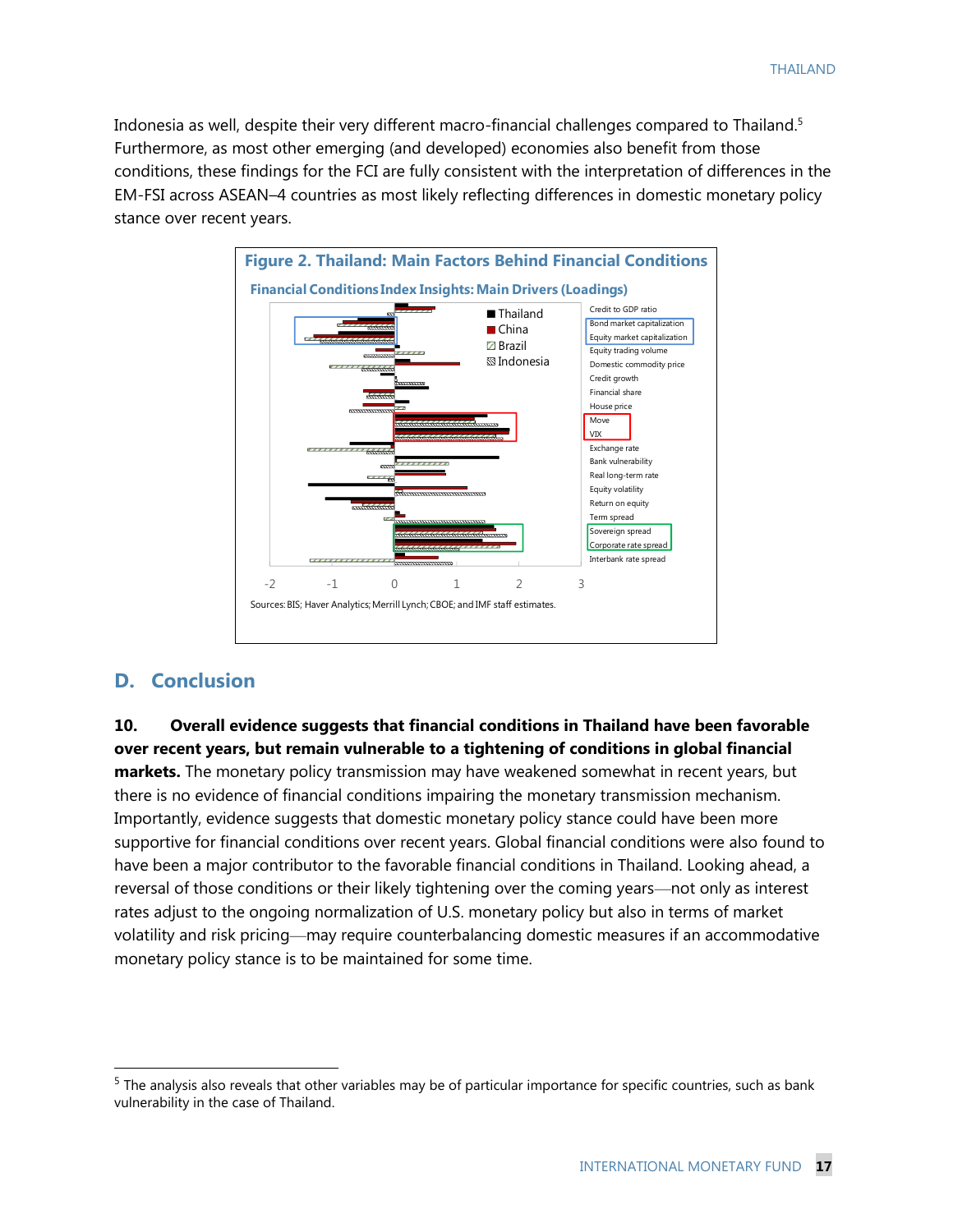Indonesia as well, despite their very different macro-financial challenges compared to Thailand.<sup>5</sup> Furthermore, as most other emerging (and developed) economies also benefit from those conditions, these findings for the FCI are fully consistent with the interpretation of differences in the EM-FSI across ASEAN–4 countries as most likely reflecting differences in domestic monetary policy stance over recent years.



#### **D. Conclusion**

 $\overline{a}$ 

**10. Overall evidence suggests that financial conditions in Thailand have been favorable over recent years, but remain vulnerable to a tightening of conditions in global financial markets.** The monetary policy transmission may have weakened somewhat in recent years, but there is no evidence of financial conditions impairing the monetary transmission mechanism. Importantly, evidence suggests that domestic monetary policy stance could have been more supportive for financial conditions over recent years. Global financial conditions were also found to have been a major contributor to the favorable financial conditions in Thailand. Looking ahead, a reversal of those conditions or their likely tightening over the coming years—not only as interest rates adjust to the ongoing normalization of U.S. monetary policy but also in terms of market volatility and risk pricing—may require counterbalancing domestic measures if an accommodative monetary policy stance is to be maintained for some time.

<sup>&</sup>lt;sup>5</sup> The analysis also reveals that other variables may be of particular importance for specific countries, such as bank vulnerability in the case of Thailand.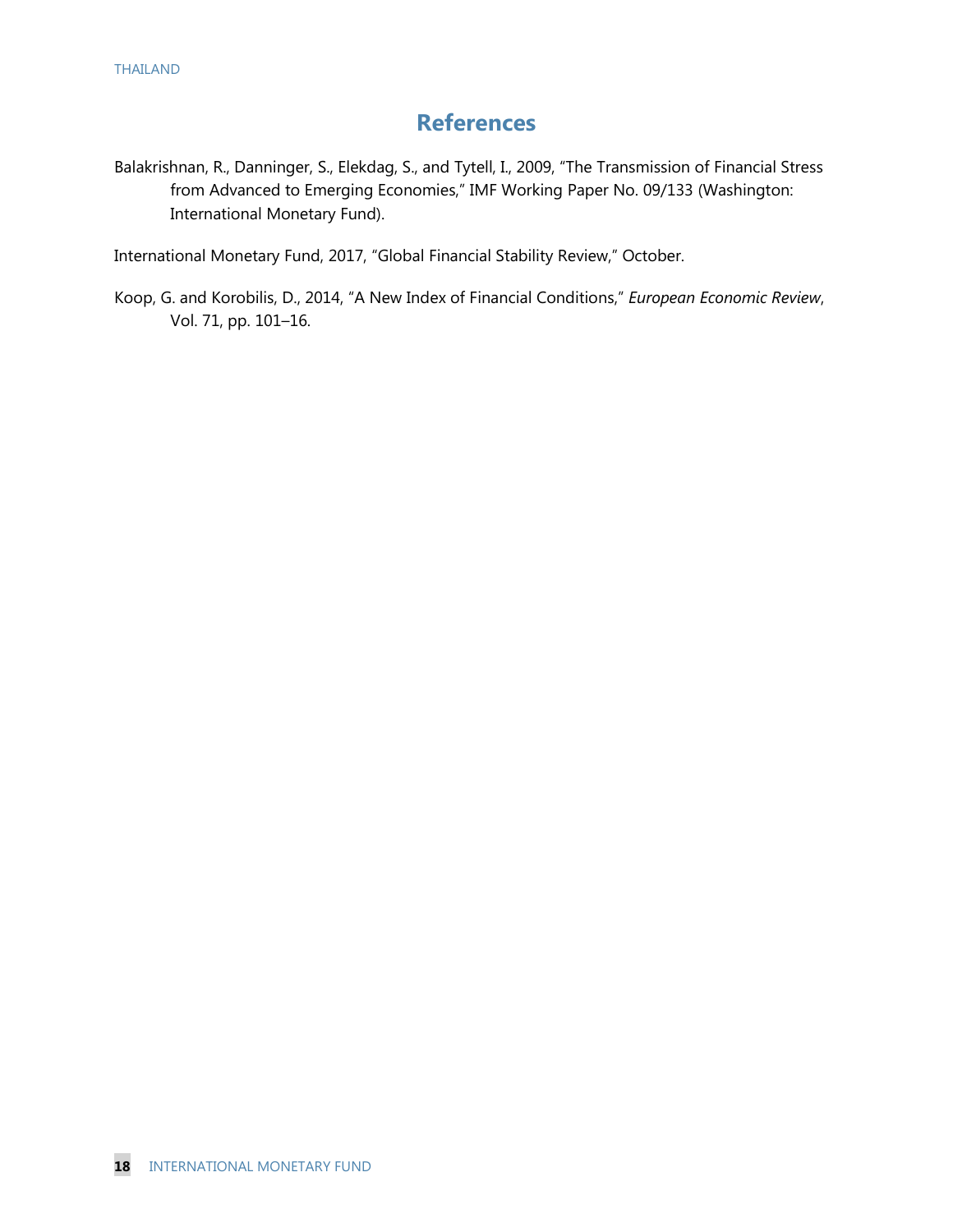## **References**

Balakrishnan, R., Danninger, S., Elekdag, S., and Tytell, I., 2009, "The Transmission of Financial Stress from Advanced to Emerging Economies," IMF Working Paper No. 09/133 (Washington: International Monetary Fund).

International Monetary Fund, 2017, "Global Financial Stability Review," October.

Koop, G. and Korobilis, D., 2014, "A New Index of Financial Conditions," *European Economic Review*, Vol. 71, pp. 101–16.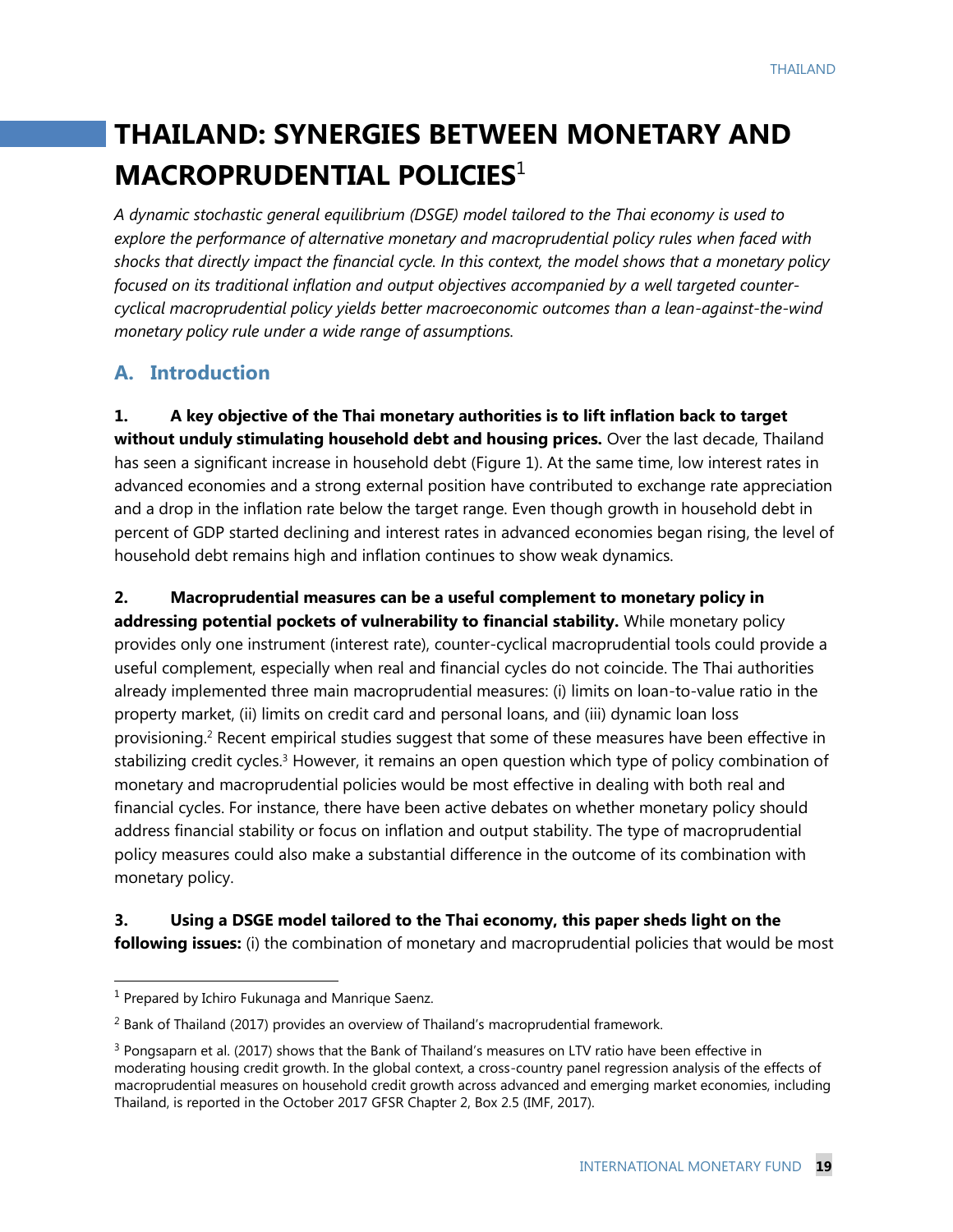# **THAILAND: SYNERGIES BETWEEN MONETARY AND MACROPRUDENTIAL POLICIES**<sup>1</sup>

*A dynamic stochastic general equilibrium (DSGE) model tailored to the Thai economy is used to explore the performance of alternative monetary and macroprudential policy rules when faced with shocks that directly impact the financial cycle. In this context, the model shows that a monetary policy focused on its traditional inflation and output objectives accompanied by a well targeted countercyclical macroprudential policy yields better macroeconomic outcomes than a lean-against-the-wind monetary policy rule under a wide range of assumptions.*

## **A. Introduction**

**1. A key objective of the Thai monetary authorities is to lift inflation back to target without unduly stimulating household debt and housing prices.** Over the last decade, Thailand has seen a significant increase in household debt (Figure 1). At the same time, low interest rates in advanced economies and a strong external position have contributed to exchange rate appreciation and a drop in the inflation rate below the target range. Even though growth in household debt in percent of GDP started declining and interest rates in advanced economies began rising, the level of household debt remains high and inflation continues to show weak dynamics.

**2. Macroprudential measures can be a useful complement to monetary policy in addressing potential pockets of vulnerability to financial stability.** While monetary policy provides only one instrument (interest rate), counter-cyclical macroprudential tools could provide a useful complement, especially when real and financial cycles do not coincide. The Thai authorities already implemented three main macroprudential measures: (i) limits on loan-to-value ratio in the property market, (ii) limits on credit card and personal loans, and (iii) dynamic loan loss provisioning.<sup>2</sup> Recent empirical studies suggest that some of these measures have been effective in stabilizing credit cycles.<sup>3</sup> However, it remains an open question which type of policy combination of monetary and macroprudential policies would be most effective in dealing with both real and financial cycles. For instance, there have been active debates on whether monetary policy should address financial stability or focus on inflation and output stability. The type of macroprudential policy measures could also make a substantial difference in the outcome of its combination with monetary policy.

**3. Using a DSGE model tailored to the Thai economy, this paper sheds light on the following issues:** (i) the combination of monetary and macroprudential policies that would be most

<sup>&</sup>lt;sup>1</sup> Prepared by Ichiro Fukunaga and Manrique Saenz.

<sup>2</sup> Bank of Thailand (2017) provides an overview of Thailand's macroprudential framework.

 $3$  Pongsaparn et al. (2017) shows that the Bank of Thailand's measures on LTV ratio have been effective in moderating housing credit growth. In the global context, a cross-country panel regression analysis of the effects of macroprudential measures on household credit growth across advanced and emerging market economies, including Thailand, is reported in the October 2017 GFSR Chapter 2, Box 2.5 (IMF, 2017).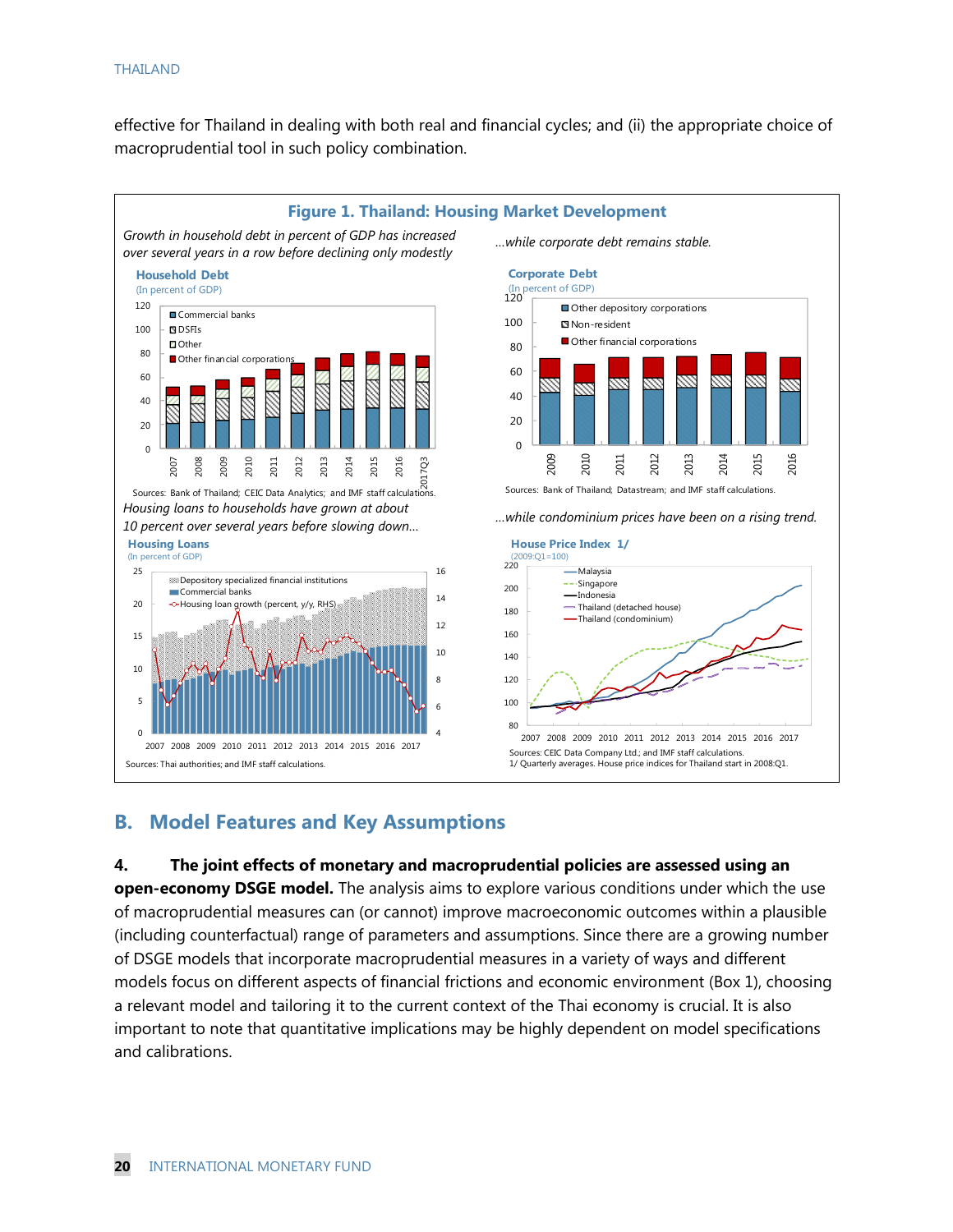#### THAILAND

effective for Thailand in dealing with both real and financial cycles; and (ii) the appropriate choice of macroprudential tool in such policy combination.



### **B. Model Features and Key Assumptions**

#### **4. The joint effects of monetary and macroprudential policies are assessed using an**

**open-economy DSGE model.** The analysis aims to explore various conditions under which the use of macroprudential measures can (or cannot) improve macroeconomic outcomes within a plausible (including counterfactual) range of parameters and assumptions. Since there are a growing number of DSGE models that incorporate macroprudential measures in a variety of ways and different models focus on different aspects of financial frictions and economic environment (Box 1), choosing a relevant model and tailoring it to the current context of the Thai economy is crucial. It is also important to note that quantitative implications may be highly dependent on model specifications and calibrations.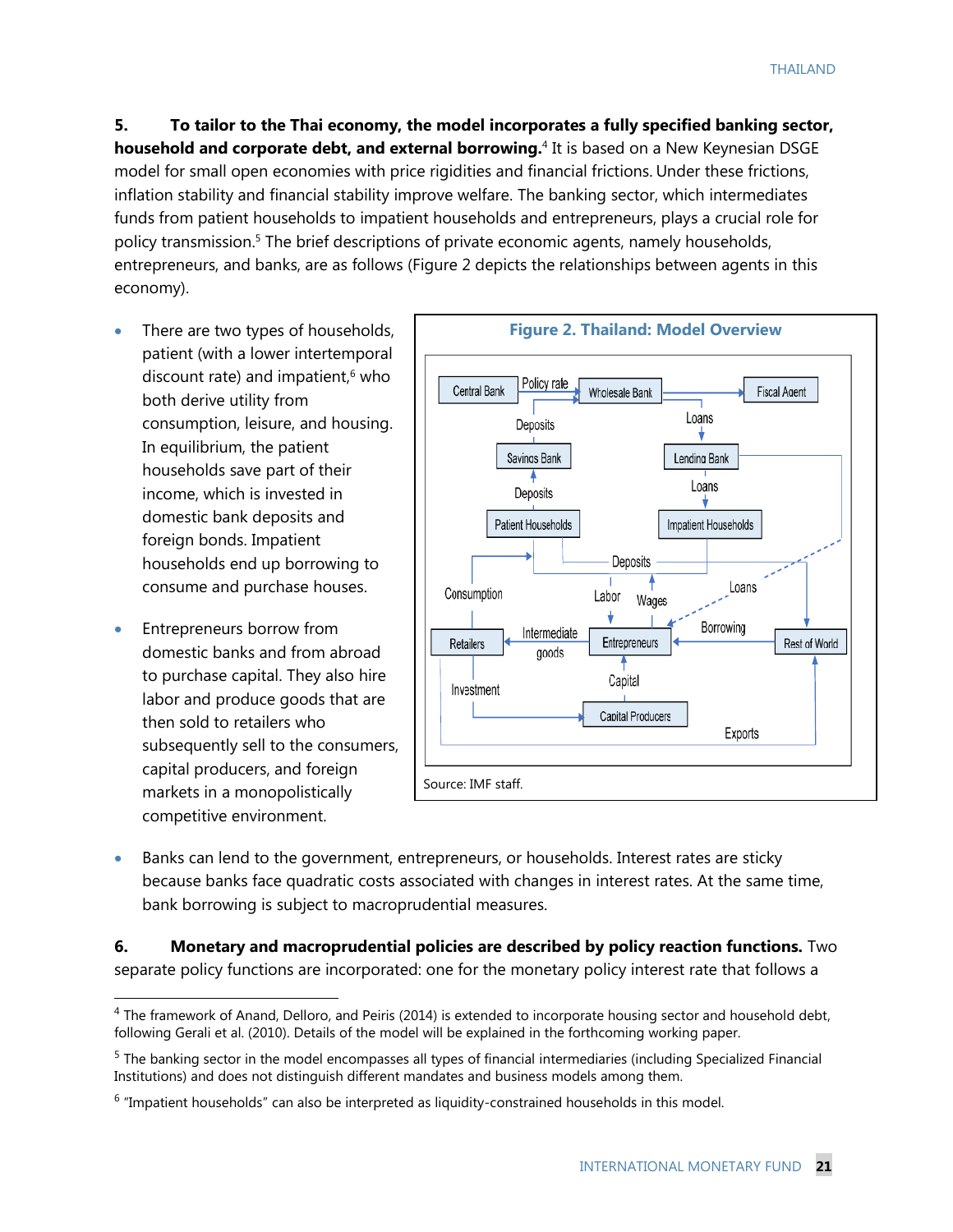**5. To tailor to the Thai economy, the model incorporates a fully specified banking sector, household and corporate debt, and external borrowing.**<sup>4</sup> It is based on a New Keynesian DSGE model for small open economies with price rigidities and financial frictions. Under these frictions, inflation stability and financial stability improve welfare. The banking sector, which intermediates funds from patient households to impatient households and entrepreneurs, plays a crucial role for policy transmission.<sup>5</sup> The brief descriptions of private economic agents, namely households, entrepreneurs, and banks, are as follows (Figure 2 depicts the relationships between agents in this economy).

- There are two types of households, patient (with a lower intertemporal discount rate) and impatient, <sup>6</sup> who both derive utility from consumption, leisure, and housing. In equilibrium, the patient households save part of their income, which is invested in domestic bank deposits and foreign bonds. Impatient households end up borrowing to consume and purchase houses.
- Entrepreneurs borrow from domestic banks and from abroad to purchase capital. They also hire labor and produce goods that are then sold to retailers who subsequently sell to the consumers, capital producers, and foreign markets in a monopolistically competitive environment.

 $\overline{a}$ 



• Banks can lend to the government, entrepreneurs, or households. Interest rates are sticky because banks face quadratic costs associated with changes in interest rates. At the same time, bank borrowing is subject to macroprudential measures.

**6. Monetary and macroprudential policies are described by policy reaction functions.** Two separate policy functions are incorporated: one for the monetary policy interest rate that follows a

 $4$  The framework of Anand, Delloro, and Peiris (2014) is extended to incorporate housing sector and household debt, following Gerali et al. (2010). Details of the model will be explained in the forthcoming working paper.

<sup>&</sup>lt;sup>5</sup> The banking sector in the model encompasses all types of financial intermediaries (including Specialized Financial Institutions) and does not distinguish different mandates and business models among them.

<sup>&</sup>lt;sup>6</sup> "Impatient households" can also be interpreted as liquidity-constrained households in this model.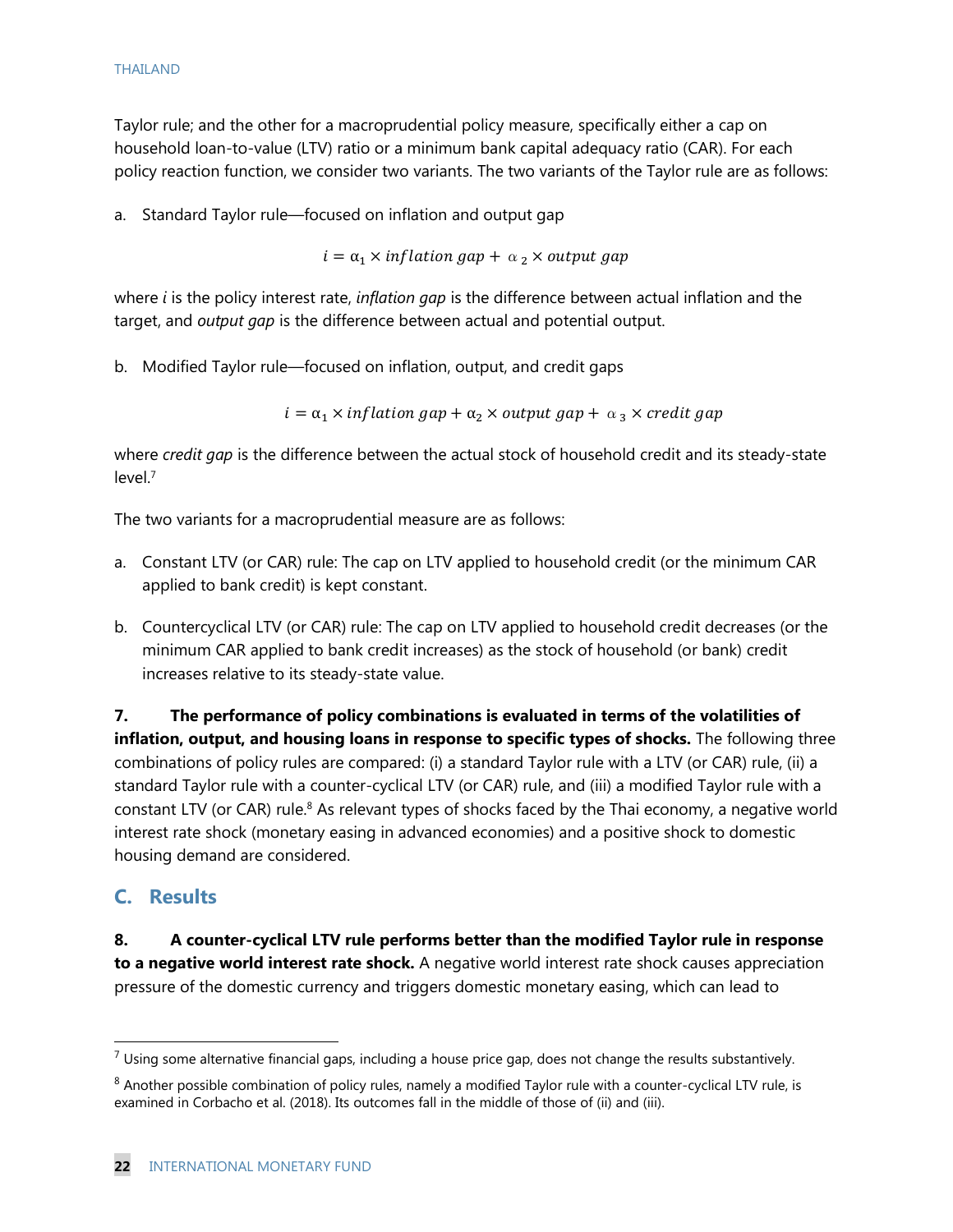Taylor rule; and the other for a macroprudential policy measure, specifically either a cap on household loan-to-value (LTV) ratio or a minimum bank capital adequacy ratio (CAR). For each policy reaction function, we consider two variants. The two variants of the Taylor rule are as follows:

a. Standard Taylor rule—focused on inflation and output gap

 $i = \alpha_1 \times inflation\ gap + \alpha_2 \times output\ gap$ 

where *i* is the policy interest rate, *inflation gap* is the difference between actual inflation and the target, and *output gap* is the difference between actual and potential output.

b. Modified Taylor rule—focused on inflation, output, and credit gaps

 $i = \alpha_1 \times inflation$  gap  $+\alpha_2 \times output$  gap  $+\alpha_3 \times credit$  gap

where *credit gap* is the difference between the actual stock of household credit and its steady-state  $level<sup>7</sup>$ 

The two variants for a macroprudential measure are as follows:

- a. Constant LTV (or CAR) rule: The cap on LTV applied to household credit (or the minimum CAR applied to bank credit) is kept constant.
- b. Countercyclical LTV (or CAR) rule: The cap on LTV applied to household credit decreases (or the minimum CAR applied to bank credit increases) as the stock of household (or bank) credit increases relative to its steady-state value.

**7. The performance of policy combinations is evaluated in terms of the volatilities of inflation, output, and housing loans in response to specific types of shocks.** The following three combinations of policy rules are compared: (i) a standard Taylor rule with a LTV (or CAR) rule, (ii) a standard Taylor rule with a counter-cyclical LTV (or CAR) rule, and (iii) a modified Taylor rule with a constant LTV (or CAR) rule.<sup>8</sup> As relevant types of shocks faced by the Thai economy, a negative world interest rate shock (monetary easing in advanced economies) and a positive shock to domestic housing demand are considered.

### **C. Results**

 $\overline{a}$ 

**8. A counter-cyclical LTV rule performs better than the modified Taylor rule in response to a negative world interest rate shock.** A negative world interest rate shock causes appreciation pressure of the domestic currency and triggers domestic monetary easing, which can lead to

 $7$  Using some alternative financial gaps, including a house price gap, does not change the results substantively.

 $8$  Another possible combination of policy rules, namely a modified Taylor rule with a counter-cyclical LTV rule, is examined in Corbacho et al. (2018). Its outcomes fall in the middle of those of (ii) and (iii).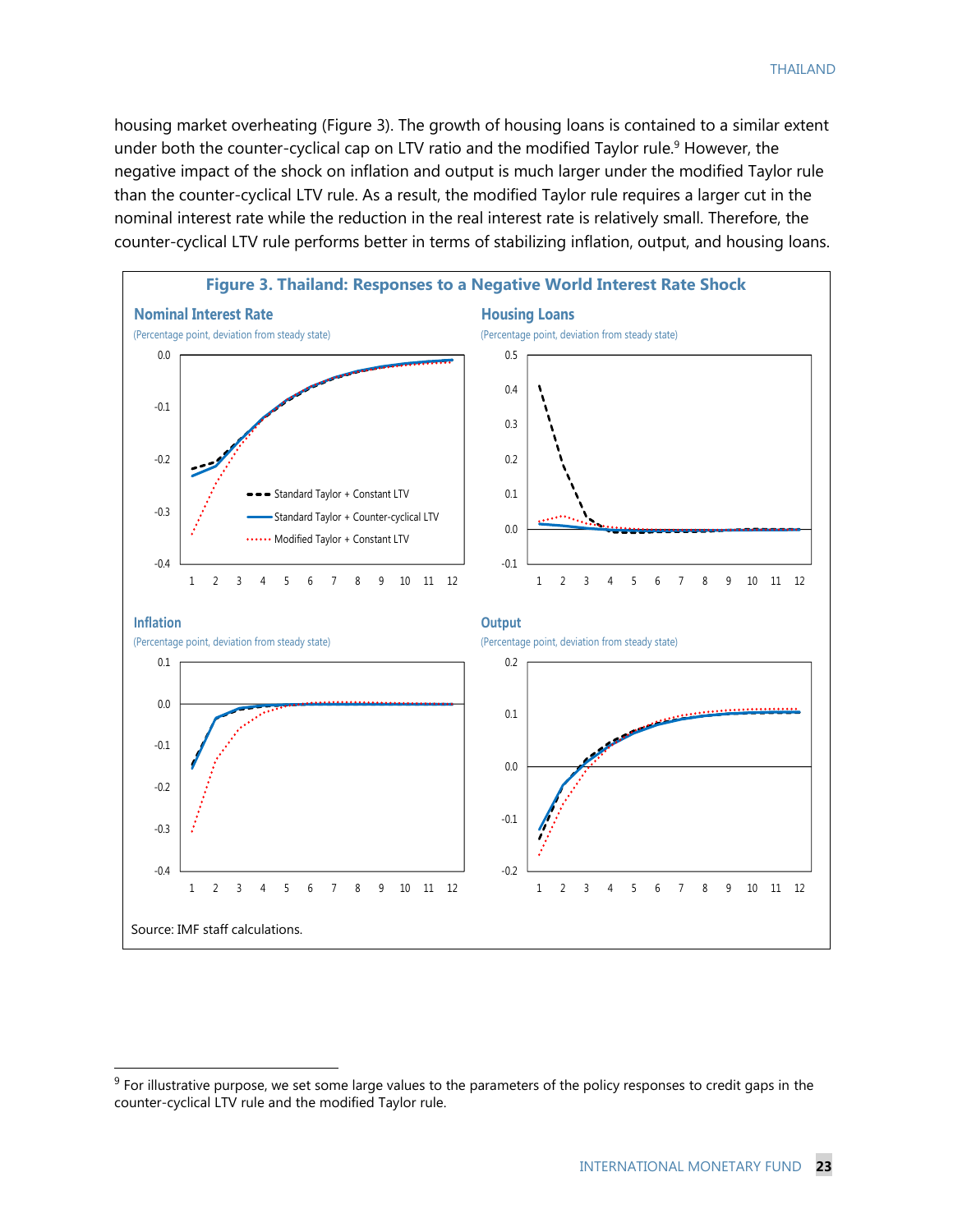housing market overheating (Figure 3). The growth of housing loans is contained to a similar extent under both the counter-cyclical cap on LTV ratio and the modified Taylor rule.<sup>9</sup> However, the negative impact of the shock on inflation and output is much larger under the modified Taylor rule than the counter-cyclical LTV rule. As a result, the modified Taylor rule requires a larger cut in the nominal interest rate while the reduction in the real interest rate is relatively small. Therefore, the counter-cyclical LTV rule performs better in terms of stabilizing inflation, output, and housing loans.



 $9$  For illustrative purpose, we set some large values to the parameters of the policy responses to credit gaps in the counter-cyclical LTV rule and the modified Taylor rule.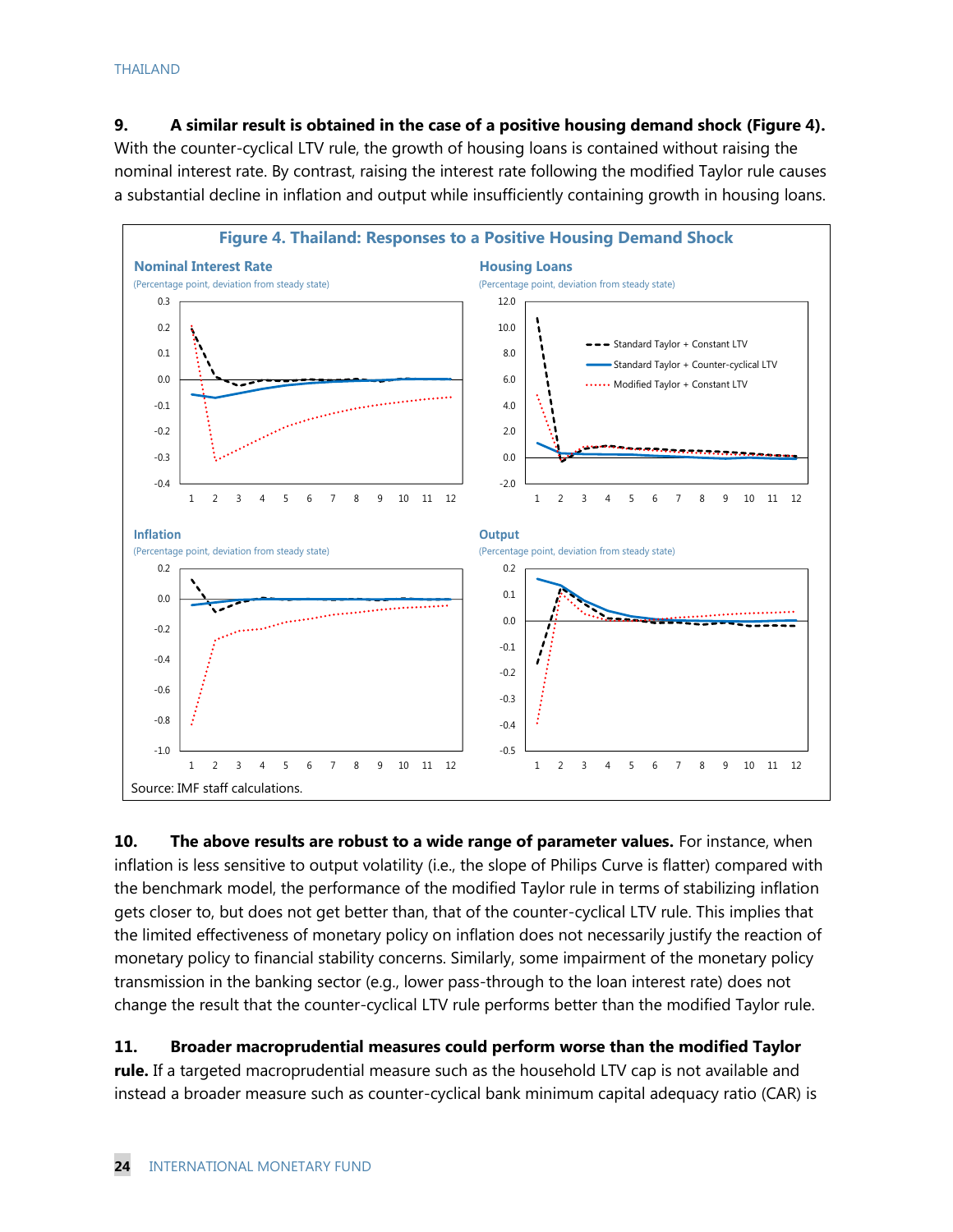#### THAILAND

**9. A similar result is obtained in the case of a positive housing demand shock (Figure 4).** With the counter-cyclical LTV rule, the growth of housing loans is contained without raising the nominal interest rate. By contrast, raising the interest rate following the modified Taylor rule causes a substantial decline in inflation and output while insufficiently containing growth in housing loans.



**10. The above results are robust to a wide range of parameter values.** For instance, when inflation is less sensitive to output volatility (i.e., the slope of Philips Curve is flatter) compared with the benchmark model, the performance of the modified Taylor rule in terms of stabilizing inflation gets closer to, but does not get better than, that of the counter-cyclical LTV rule. This implies that the limited effectiveness of monetary policy on inflation does not necessarily justify the reaction of monetary policy to financial stability concerns. Similarly, some impairment of the monetary policy transmission in the banking sector (e.g., lower pass-through to the loan interest rate) does not change the result that the counter-cyclical LTV rule performs better than the modified Taylor rule.

#### **11. Broader macroprudential measures could perform worse than the modified Taylor**

**rule.** If a targeted macroprudential measure such as the household LTV cap is not available and instead a broader measure such as counter-cyclical bank minimum capital adequacy ratio (CAR) is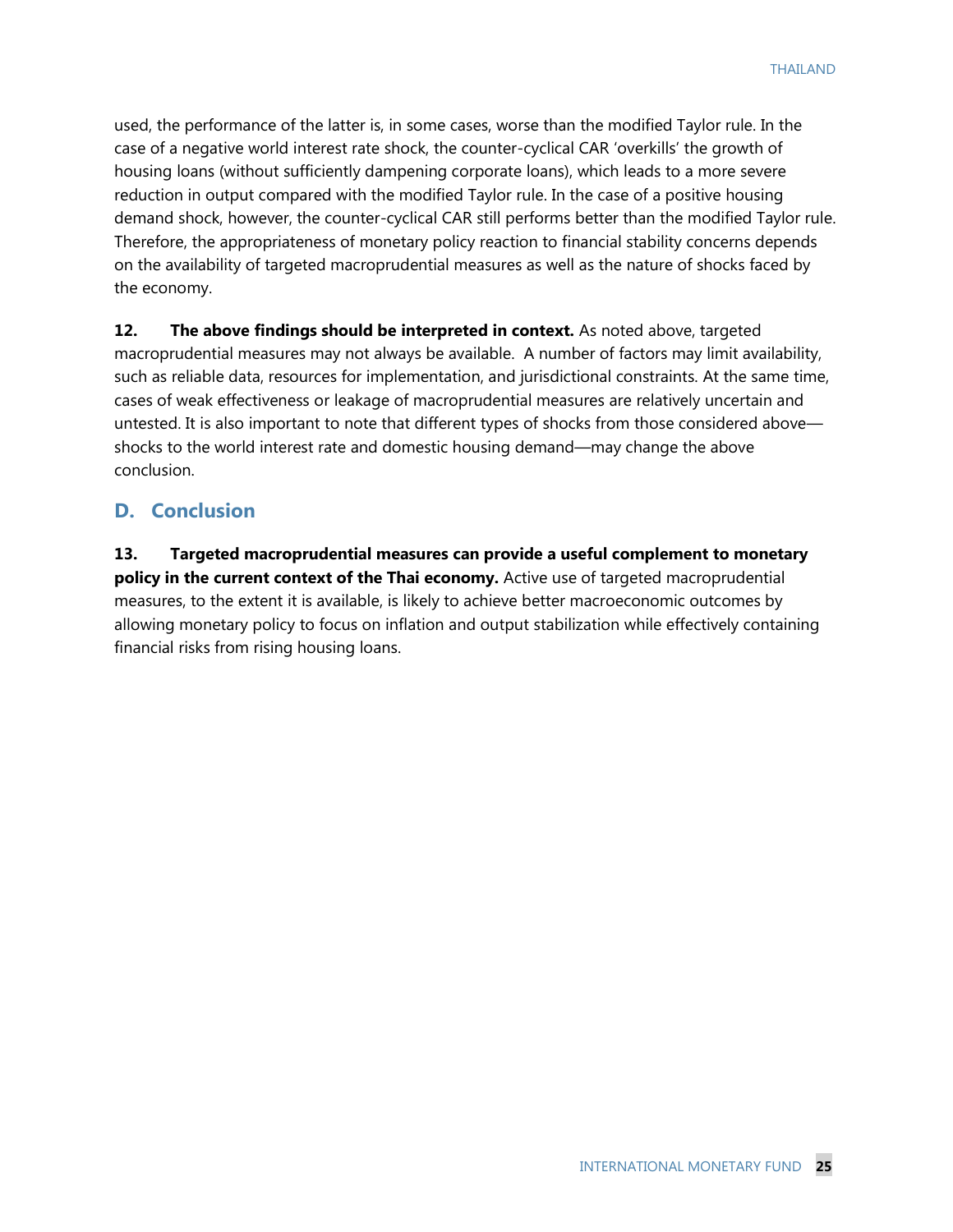used, the performance of the latter is, in some cases, worse than the modified Taylor rule. In the case of a negative world interest rate shock, the counter-cyclical CAR 'overkills' the growth of housing loans (without sufficiently dampening corporate loans), which leads to a more severe reduction in output compared with the modified Taylor rule. In the case of a positive housing demand shock, however, the counter-cyclical CAR still performs better than the modified Taylor rule. Therefore, the appropriateness of monetary policy reaction to financial stability concerns depends on the availability of targeted macroprudential measures as well as the nature of shocks faced by the economy.

**12. The above findings should be interpreted in context.** As noted above, targeted macroprudential measures may not always be available. A number of factors may limit availability, such as reliable data, resources for implementation, and jurisdictional constraints. At the same time, cases of weak effectiveness or leakage of macroprudential measures are relatively uncertain and untested. It is also important to note that different types of shocks from those considered above shocks to the world interest rate and domestic housing demand—may change the above conclusion.

## **D. Conclusion**

**13. Targeted macroprudential measures can provide a useful complement to monetary policy in the current context of the Thai economy.** Active use of targeted macroprudential measures, to the extent it is available, is likely to achieve better macroeconomic outcomes by allowing monetary policy to focus on inflation and output stabilization while effectively containing financial risks from rising housing loans.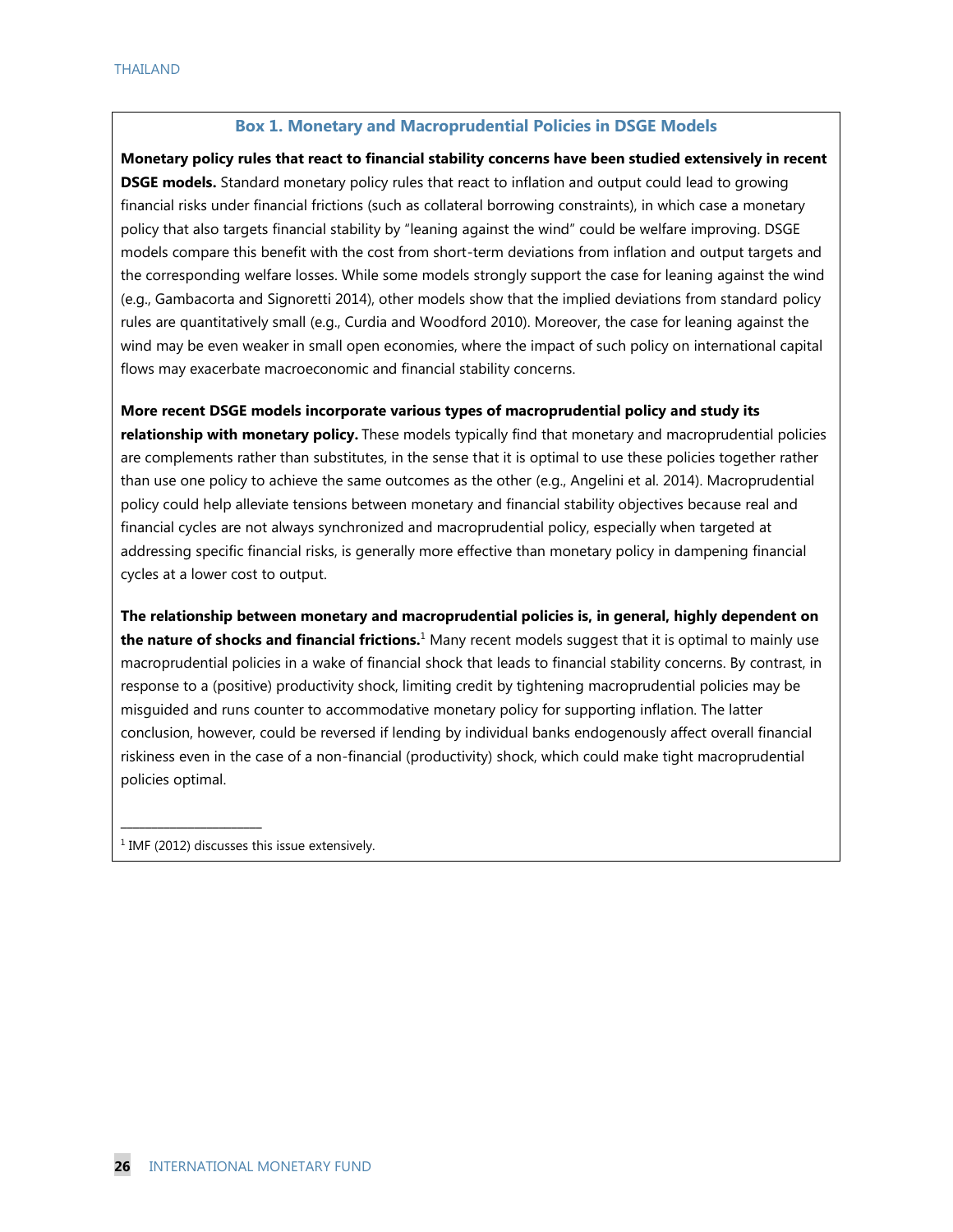#### **Box 1. Monetary and Macroprudential Policies in DSGE Models**

**Monetary policy rules that react to financial stability concerns have been studied extensively in recent DSGE models.** Standard monetary policy rules that react to inflation and output could lead to growing financial risks under financial frictions (such as collateral borrowing constraints), in which case a monetary policy that also targets financial stability by "leaning against the wind" could be welfare improving. DSGE models compare this benefit with the cost from short-term deviations from inflation and output targets and the corresponding welfare losses. While some models strongly support the case for leaning against the wind (e.g., Gambacorta and Signoretti 2014), other models show that the implied deviations from standard policy rules are quantitatively small (e.g., Curdia and Woodford 2010). Moreover, the case for leaning against the wind may be even weaker in small open economies, where the impact of such policy on international capital flows may exacerbate macroeconomic and financial stability concerns.

**More recent DSGE models incorporate various types of macroprudential policy and study its relationship with monetary policy.** These models typically find that monetary and macroprudential policies are complements rather than substitutes, in the sense that it is optimal to use these policies together rather than use one policy to achieve the same outcomes as the other (e.g., Angelini et al. 2014). Macroprudential policy could help alleviate tensions between monetary and financial stability objectives because real and financial cycles are not always synchronized and macroprudential policy, especially when targeted at addressing specific financial risks, is generally more effective than monetary policy in dampening financial cycles at a lower cost to output.

**The relationship between monetary and macroprudential policies is, in general, highly dependent on the nature of shocks and financial frictions.**<sup>1</sup> Many recent models suggest that it is optimal to mainly use macroprudential policies in a wake of financial shock that leads to financial stability concerns. By contrast, in response to a (positive) productivity shock, limiting credit by tightening macroprudential policies may be misguided and runs counter to accommodative monetary policy for supporting inflation. The latter conclusion, however, could be reversed if lending by individual banks endogenously affect overall financial riskiness even in the case of a non-financial (productivity) shock, which could make tight macroprudential policies optimal.

<sup>1</sup> IMF (2012) discusses this issue extensively.

\_\_\_\_\_\_\_\_\_\_\_\_\_\_\_\_\_\_\_\_\_\_\_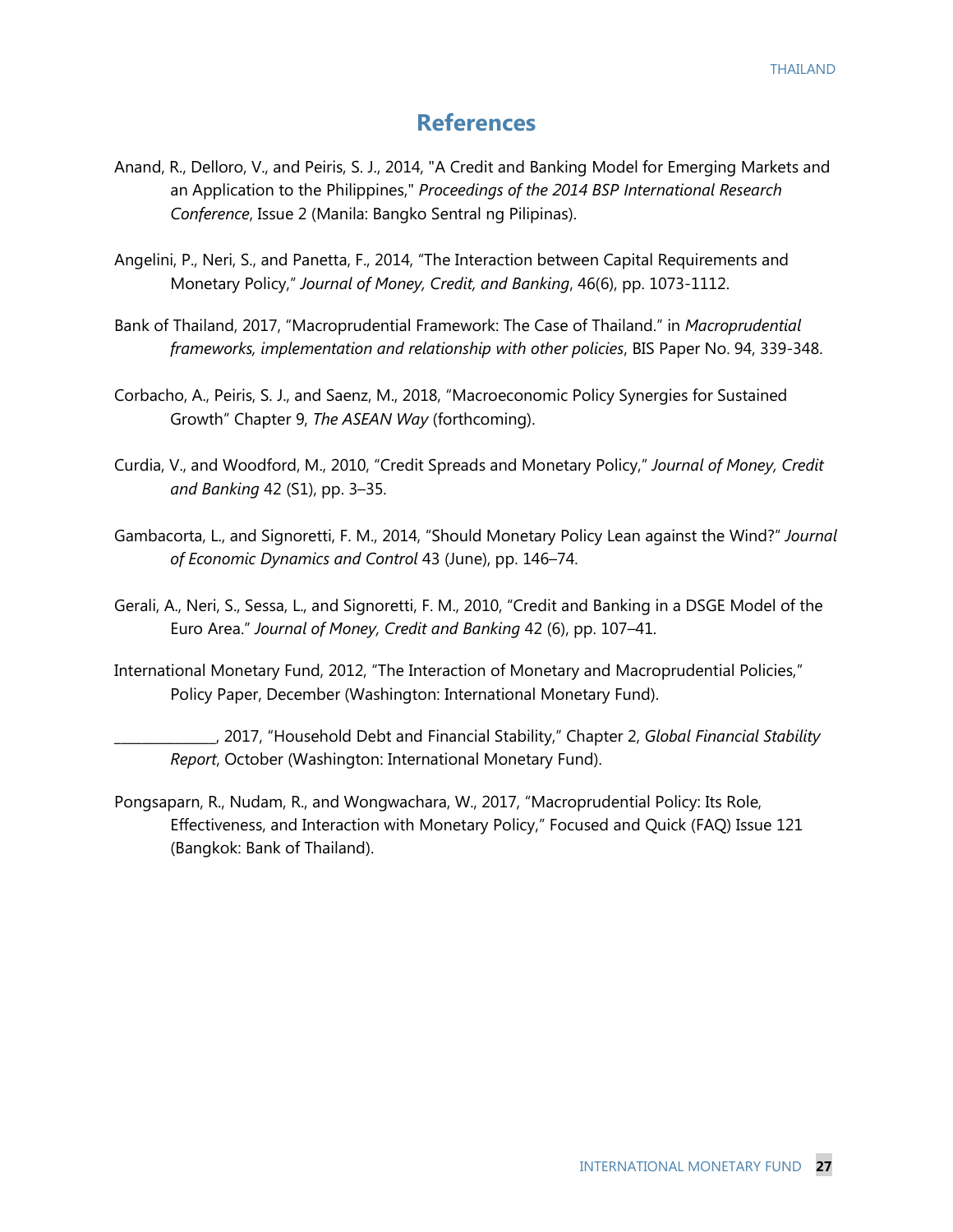## **References**

- Anand, R., Delloro, V., and Peiris, S. J., 2014, "A Credit and Banking Model for Emerging Markets and an Application to the Philippines," *Proceedings of the 2014 BSP International Research Conference*, Issue 2 (Manila: Bangko Sentral ng Pilipinas).
- Angelini, P., Neri, S., and Panetta, F., 2014, "The Interaction between Capital Requirements and Monetary Policy," *Journal of Money, Credit, and Banking*, 46(6), pp. 1073-1112.
- Bank of Thailand, 2017, "Macroprudential Framework: The Case of Thailand." in *Macroprudential frameworks, implementation and relationship with other policies*, BIS Paper No. 94, 339-348.
- Corbacho, A., Peiris, S. J., and Saenz, M., 2018, "Macroeconomic Policy Synergies for Sustained Growth" Chapter 9, *The ASEAN Way* (forthcoming).
- Curdia, V., and Woodford, M., 2010, "Credit Spreads and Monetary Policy," *Journal of Money, Credit and Banking* 42 (S1), pp. 3–35.
- Gambacorta, L., and Signoretti, F. M., 2014, "Should Monetary Policy Lean against the Wind?" *Journal of Economic Dynamics and Control* 43 (June), pp. 146–74.
- Gerali, A., Neri, S., Sessa, L., and Signoretti, F. M., 2010, "Credit and Banking in a DSGE Model of the Euro Area." *Journal of Money, Credit and Banking* 42 (6), pp. 107–41.
- International Monetary Fund, 2012, "The Interaction of Monetary and Macroprudential Policies," Policy Paper, December (Washington: International Monetary Fund).
	- \_\_\_\_\_\_\_\_\_\_\_\_\_\_\_, 2017, "Household Debt and Financial Stability," Chapter 2, *Global Financial Stability Report*, October (Washington: International Monetary Fund).
- Pongsaparn, R., Nudam, R., and Wongwachara, W., 2017, "Macroprudential Policy: Its Role, Effectiveness, and Interaction with Monetary Policy," Focused and Quick (FAQ) Issue 121 (Bangkok: Bank of Thailand).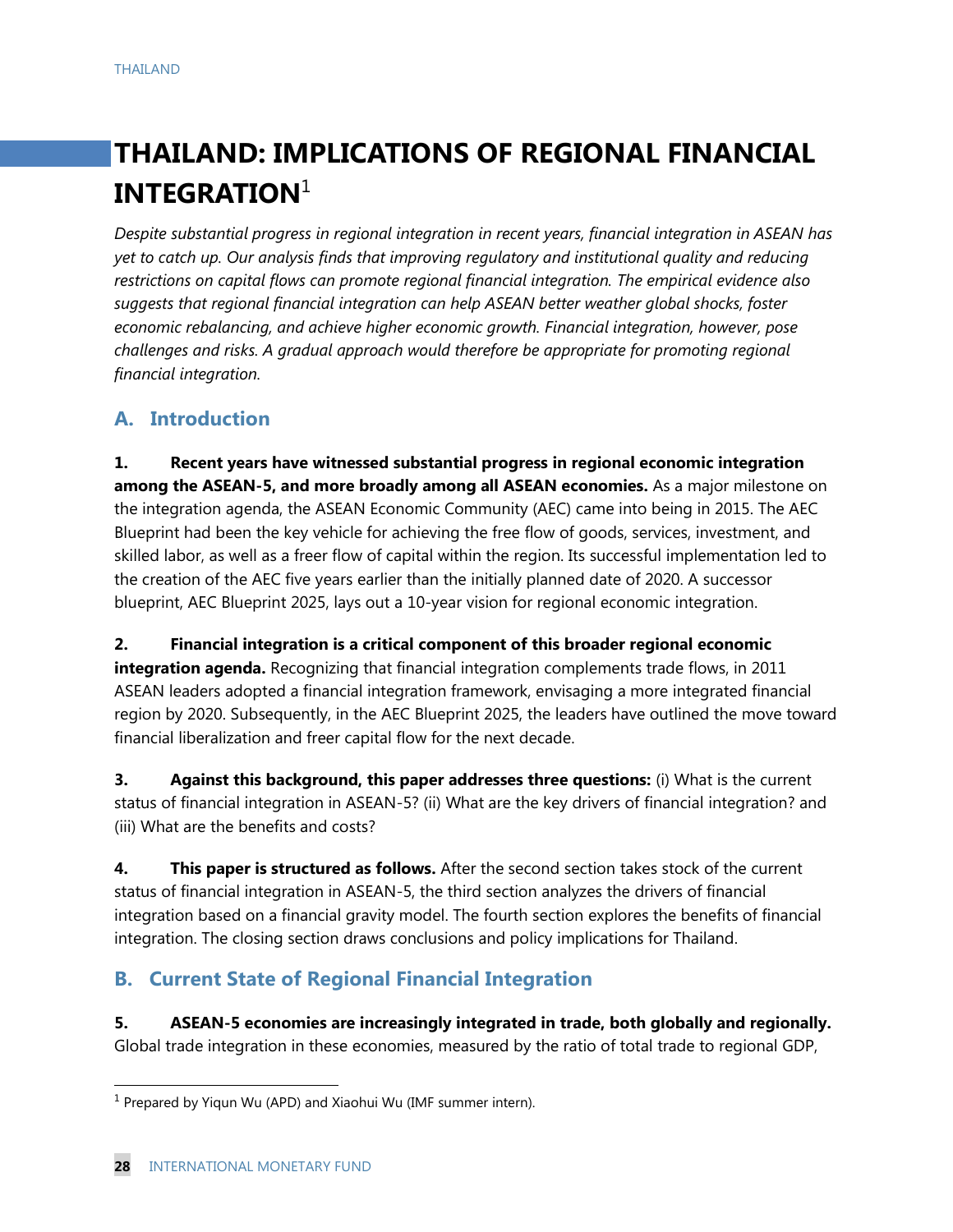# **THAILAND: IMPLICATIONS OF REGIONAL FINANCIAL INTEGRATION**<sup>1</sup>

*Despite substantial progress in regional integration in recent years, financial integration in ASEAN has yet to catch up. Our analysis finds that improving regulatory and institutional quality and reducing restrictions on capital flows can promote regional financial integration. The empirical evidence also suggests that regional financial integration can help ASEAN better weather global shocks, foster economic rebalancing, and achieve higher economic growth. Financial integration, however, pose challenges and risks. A gradual approach would therefore be appropriate for promoting regional financial integration.*

## **A. Introduction**

**1. Recent years have witnessed substantial progress in regional economic integration among the ASEAN-5, and more broadly among all ASEAN economies.** As a major milestone on the integration agenda, the ASEAN Economic Community (AEC) came into being in 2015. The AEC Blueprint had been the key vehicle for achieving the free flow of goods, services, investment, and skilled labor, as well as a freer flow of capital within the region. Its successful implementation led to the creation of the AEC five years earlier than the initially planned date of 2020. A successor blueprint, AEC Blueprint 2025, lays out a 10-year vision for regional economic integration.

**2. Financial integration is a critical component of this broader regional economic integration agenda.** Recognizing that financial integration complements trade flows, in 2011 ASEAN leaders adopted a financial integration framework, envisaging a more integrated financial region by 2020. Subsequently, in the AEC Blueprint 2025, the leaders have outlined the move toward financial liberalization and freer capital flow for the next decade.

**3. Against this background, this paper addresses three questions:** (i) What is the current status of financial integration in ASEAN-5? (ii) What are the key drivers of financial integration? and (iii) What are the benefits and costs?

**4. This paper is structured as follows.** After the second section takes stock of the current status of financial integration in ASEAN-5, the third section analyzes the drivers of financial integration based on a financial gravity model. The fourth section explores the benefits of financial integration. The closing section draws conclusions and policy implications for Thailand.

## **B. Current State of Regional Financial Integration**

**5. ASEAN-5 economies are increasingly integrated in trade, both globally and regionally.**  Global trade integration in these economies, measured by the ratio of total trade to regional GDP,

<sup>&</sup>lt;sup>1</sup> Prepared by Yiqun Wu (APD) and Xiaohui Wu (IMF summer intern).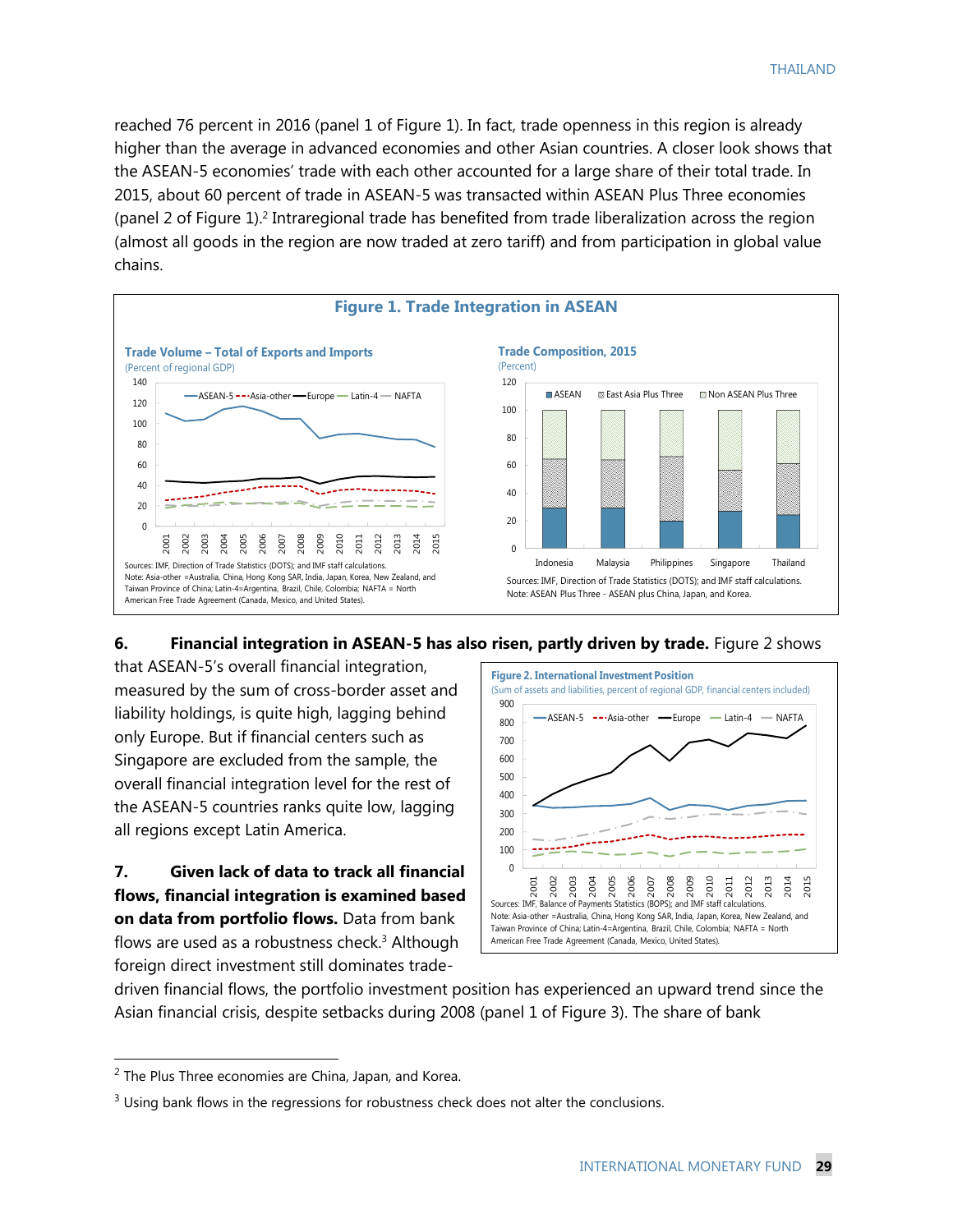reached 76 percent in 2016 (panel 1 of Figure 1). In fact, trade openness in this region is already higher than the average in advanced economies and other Asian countries. A closer look shows that the ASEAN-5 economies' trade with each other accounted for a large share of their total trade. In 2015, about 60 percent of trade in ASEAN-5 was transacted within ASEAN Plus Three economies (panel 2 of Figure 1).<sup>2</sup> Intraregional trade has benefited from trade liberalization across the region (almost all goods in the region are now traded at zero tariff) and from participation in global value chains.



#### **6. Financial integration in ASEAN-5 has also risen, partly driven by trade.** Figure 2 shows

that ASEAN-5's overall financial integration, measured by the sum of cross-border asset and liability holdings, is quite high, lagging behind only Europe. But if financial centers such as Singapore are excluded from the sample, the overall financial integration level for the rest of the ASEAN-5 countries ranks quite low, lagging all regions except Latin America.

**7. Given lack of data to track all financial flows, financial integration is examined based on data from portfolio flows.** Data from bank flows are used as a robustness check.<sup>3</sup> Although foreign direct investment still dominates trade-



driven financial flows, the portfolio investment position has experienced an upward trend since the Asian financial crisis, despite setbacks during 2008 (panel 1 of Figure 3). The share of bank

 $2$  The Plus Three economies are China, Japan, and Korea.

<sup>&</sup>lt;sup>3</sup> Using bank flows in the regressions for robustness check does not alter the conclusions.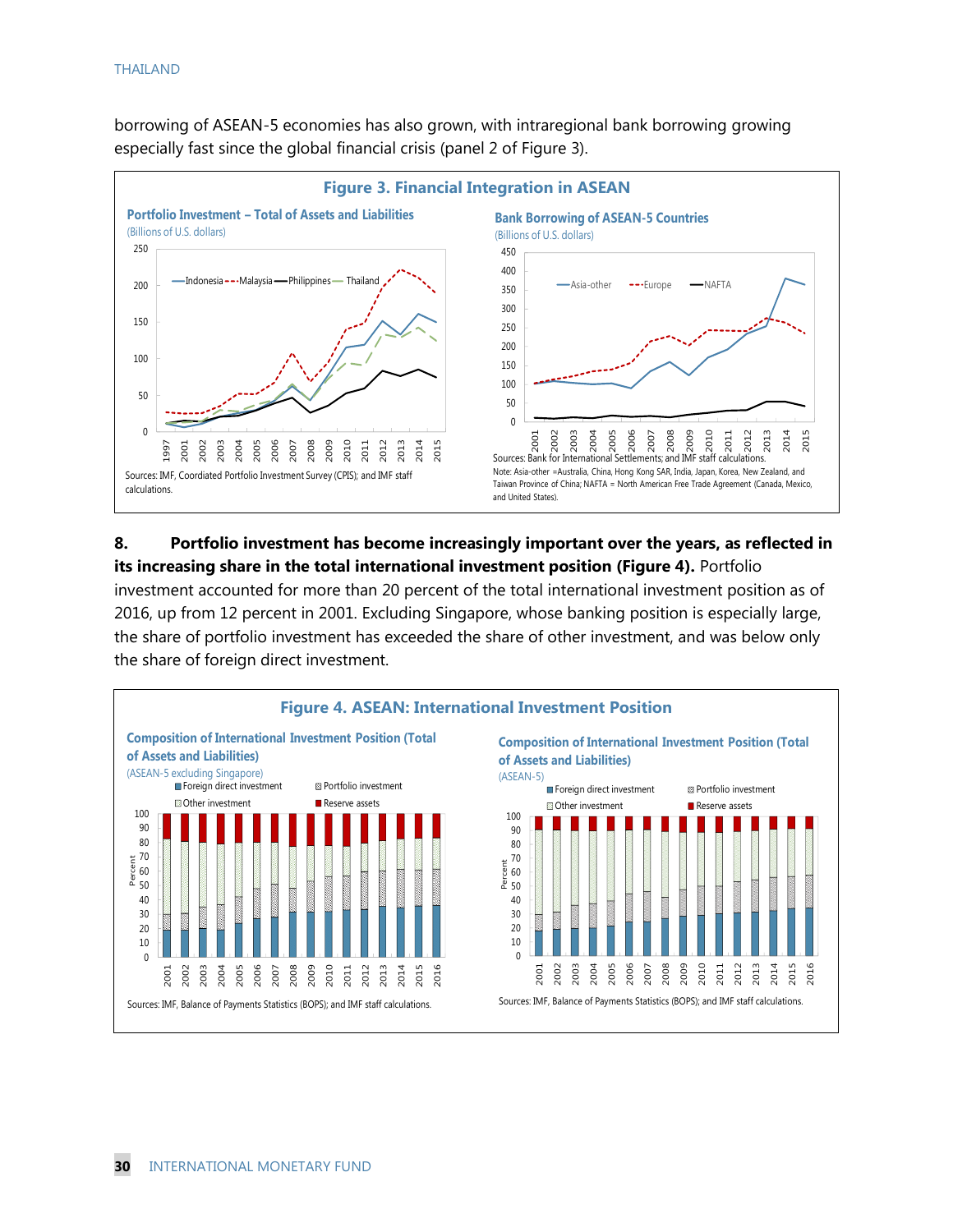borrowing of ASEAN-5 economies has also grown, with intraregional bank borrowing growing especially fast since the global financial crisis (panel 2 of Figure 3).



#### **8. Portfolio investment has become increasingly important over the years, as reflected in its increasing share in the total international investment position (Figure 4).** Portfolio

investment accounted for more than 20 percent of the total international investment position as of 2016, up from 12 percent in 2001. Excluding Singapore, whose banking position is especially large, the share of portfolio investment has exceeded the share of other investment, and was below only the share of foreign direct investment.

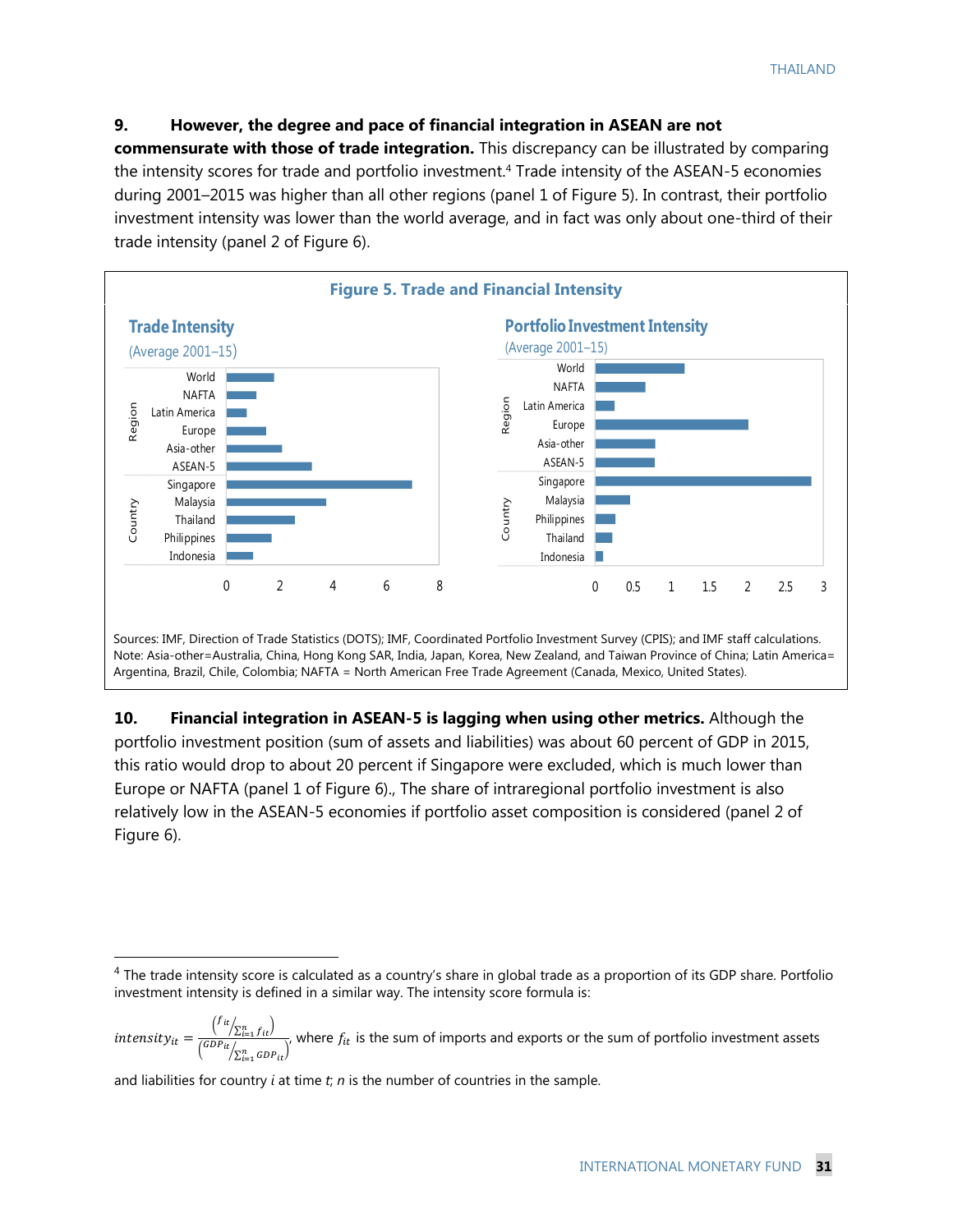#### **9. However, the degree and pace of financial integration in ASEAN are not**

**commensurate with those of trade integration.** This discrepancy can be illustrated by comparing the intensity scores for trade and portfolio investment.<sup>4</sup> Trade intensity of the ASEAN-5 economies during 2001–2015 was higher than all other regions (panel 1 of Figure 5). In contrast, their portfolio investment intensity was lower than the world average, and in fact was only about one-third of their trade intensity (panel 2 of Figure 6).



**10. Financial integration in ASEAN-5 is lagging when using other metrics.** Although the portfolio investment position (sum of assets and liabilities) was about 60 percent of GDP in 2015, this ratio would drop to about 20 percent if Singapore were excluded, which is much lower than Europe or NAFTA (panel 1 of Figure 6)., The share of intraregional portfolio investment is also relatively low in the ASEAN-5 economies if portfolio asset composition is considered (panel 2 of Figure 6).

<sup>4</sup> The trade intensity score is calculated as a country's share in global trade as a proportion of its GDP share. Portfolio investment intensity is defined in a similar way. The intensity score formula is:

 $intensity_{it} = \frac{f_{it}}{f_{GDP:t}}/f_{it}}$  $\sqrt{\frac{(GPL_{i=1}/it)}{\sum_{i=1}^{n} GDP_{it}}}$ , where  $f_{it}$  is the sum of imports and exports or the sum of portfolio investment assets

and liabilities for country *i* at time *t*; *n* is the number of countries in the sample.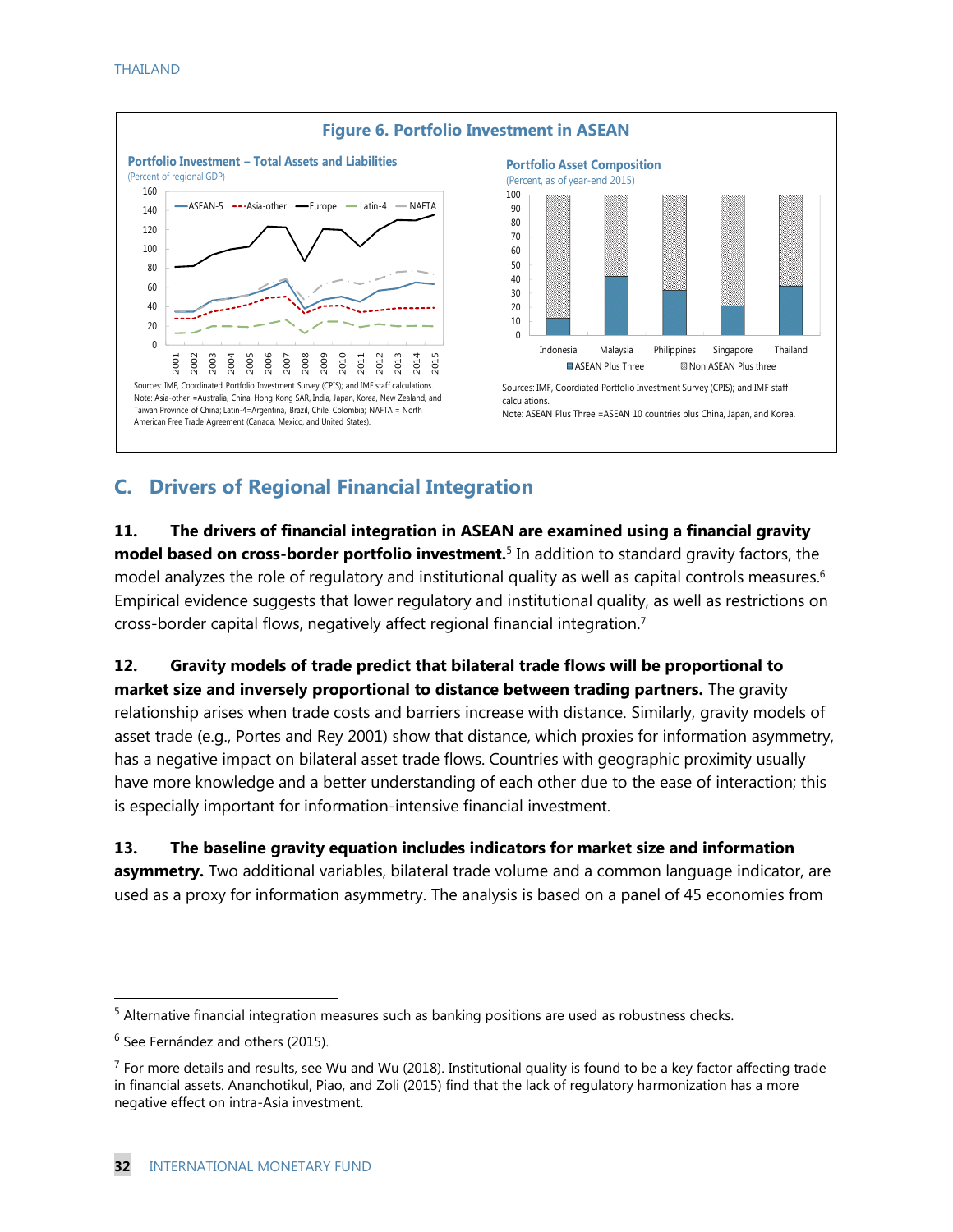

## **C. Drivers of Regional Financial Integration**

**11. The drivers of financial integration in ASEAN are examined using a financial gravity model based on cross-border portfolio investment.**<sup>5</sup> In addition to standard gravity factors, the model analyzes the role of regulatory and institutional quality as well as capital controls measures. 6 Empirical evidence suggests that lower regulatory and institutional quality, as well as restrictions on cross-border capital flows, negatively affect regional financial integration.<sup>7</sup>

**12. Gravity models of trade predict that bilateral trade flows will be proportional to market size and inversely proportional to distance between trading partners.** The gravity relationship arises when trade costs and barriers increase with distance. Similarly, gravity models of asset trade (e.g., Portes and Rey 2001) show that distance, which proxies for information asymmetry, has a negative impact on bilateral asset trade flows. Countries with geographic proximity usually have more knowledge and a better understanding of each other due to the ease of interaction; this is especially important for information-intensive financial investment.

**13. The baseline gravity equation includes indicators for market size and information asymmetry.** Two additional variables, bilateral trade volume and a common language indicator, are used as a proxy for information asymmetry. The analysis is based on a panel of 45 economies from

<sup>&</sup>lt;sup>5</sup> Alternative financial integration measures such as banking positions are used as robustness checks.

 $6$  See Fernández and others (2015).

 $^7$  For more details and results, see Wu and Wu (2018). Institutional quality is found to be a key factor affecting trade in financial assets. Ananchotikul, Piao, and Zoli (2015) find that the lack of regulatory harmonization has a more negative effect on intra-Asia investment.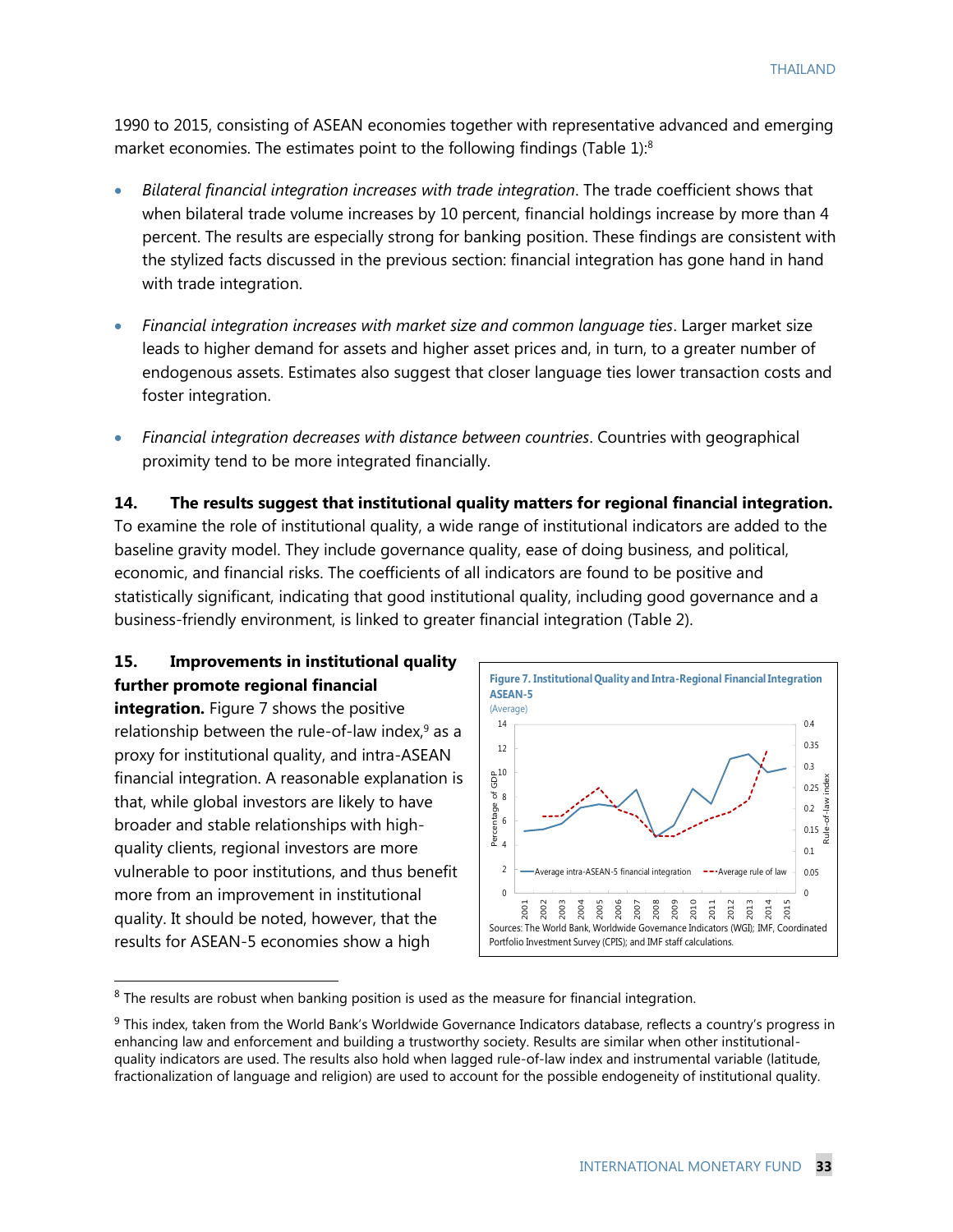1990 to 2015, consisting of ASEAN economies together with representative advanced and emerging market economies. The estimates point to the following findings (Table 1):<sup>8</sup>

- *Bilateral financial integration increases with trade integration*. The trade coefficient shows that when bilateral trade volume increases by 10 percent, financial holdings increase by more than 4 percent. The results are especially strong for banking position. These findings are consistent with the stylized facts discussed in the previous section: financial integration has gone hand in hand with trade integration.
- *Financial integration increases with market size and common language ties*. Larger market size leads to higher demand for assets and higher asset prices and, in turn, to a greater number of endogenous assets. Estimates also suggest that closer language ties lower transaction costs and foster integration.
- *Financial integration decreases with distance between countries*. Countries with geographical proximity tend to be more integrated financially.

**14. The results suggest that institutional quality matters for regional financial integration.**  To examine the role of institutional quality, a wide range of institutional indicators are added to the baseline gravity model. They include governance quality, ease of doing business, and political, economic, and financial risks. The coefficients of all indicators are found to be positive and statistically significant, indicating that good institutional quality, including good governance and a business-friendly environment, is linked to greater financial integration (Table 2).

#### **15. Improvements in institutional quality further promote regional financial**

**integration.** Figure 7 shows the positive relationship between the rule-of-law index, $9$  as a proxy for institutional quality, and intra-ASEAN financial integration. A reasonable explanation is that, while global investors are likely to have broader and stable relationships with highquality clients, regional investors are more vulnerable to poor institutions, and thus benefit more from an improvement in institutional quality. It should be noted, however, that the results for ASEAN-5 economies show a high



<sup>&</sup>lt;sup>8</sup> The results are robust when banking position is used as the measure for financial integration.

<sup>&</sup>lt;sup>9</sup> This index, taken from the World Bank's Worldwide Governance Indicators database, reflects a country's progress in enhancing law and enforcement and building a trustworthy society. Results are similar when other institutionalquality indicators are used. The results also hold when lagged rule-of-law index and instrumental variable (latitude, fractionalization of language and religion) are used to account for the possible endogeneity of institutional quality.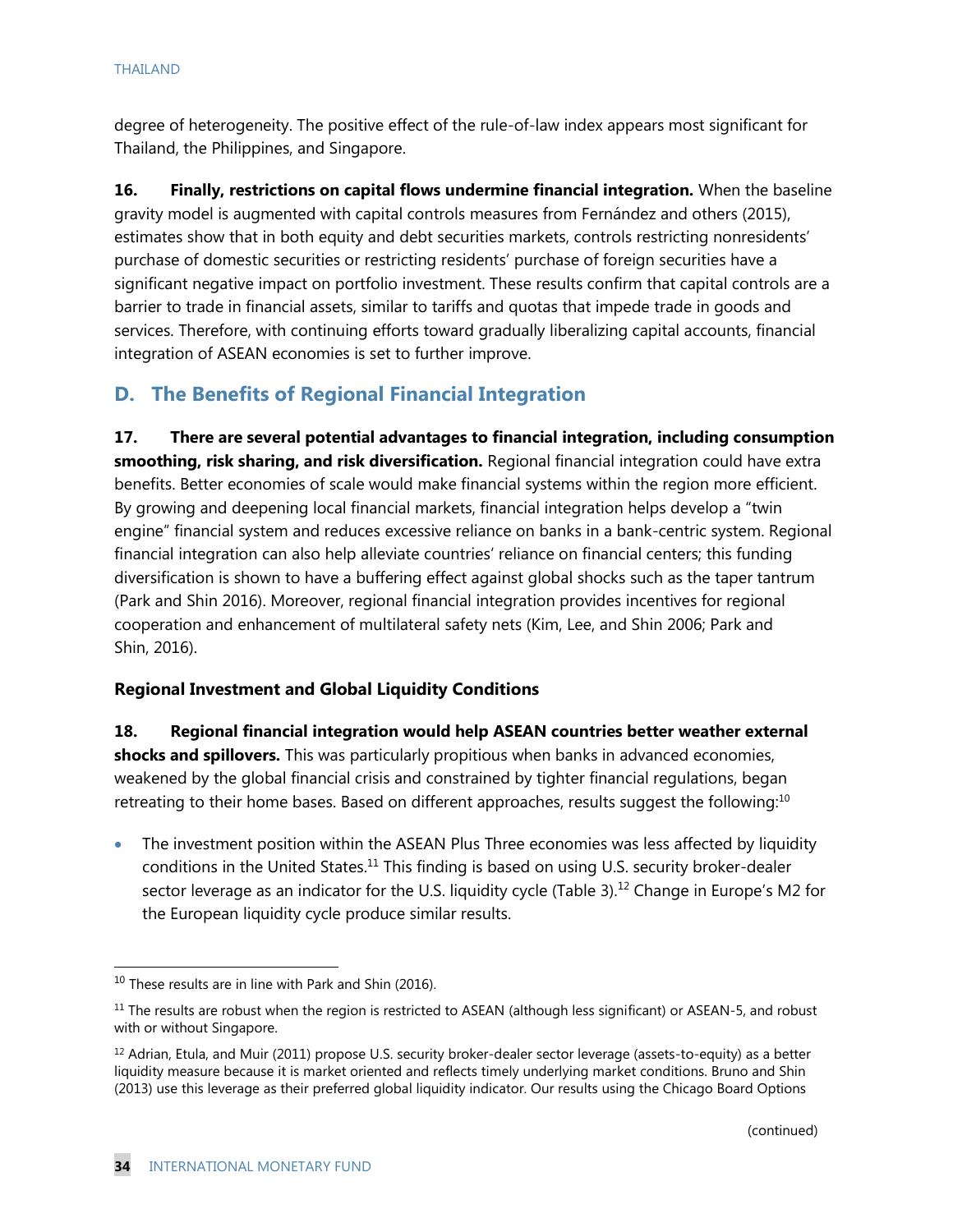degree of heterogeneity. The positive effect of the rule-of-law index appears most significant for Thailand, the Philippines, and Singapore.

**16. Finally, restrictions on capital flows undermine financial integration.** When the baseline gravity model is augmented with capital controls measures from Fernández and others (2015), estimates show that in both equity and debt securities markets, controls restricting nonresidents' purchase of domestic securities or restricting residents' purchase of foreign securities have a significant negative impact on portfolio investment. These results confirm that capital controls are a barrier to trade in financial assets, similar to tariffs and quotas that impede trade in goods and services. Therefore, with continuing efforts toward gradually liberalizing capital accounts, financial integration of ASEAN economies is set to further improve.

## **D. The Benefits of Regional Financial Integration**

**17. There are several potential advantages to financial integration, including consumption smoothing, risk sharing, and risk diversification.** Regional financial integration could have extra benefits. Better economies of scale would make financial systems within the region more efficient. By growing and deepening local financial markets, financial integration helps develop a "twin engine" financial system and reduces excessive reliance on banks in a bank-centric system. Regional financial integration can also help alleviate countries' reliance on financial centers; this funding diversification is shown to have a buffering effect against global shocks such as the taper tantrum (Park and Shin 2016). Moreover, regional financial integration provides incentives for regional cooperation and enhancement of multilateral safety nets (Kim, Lee, and Shin 2006; Park and Shin, 2016).

#### **Regional Investment and Global Liquidity Conditions**

**18. Regional financial integration would help ASEAN countries better weather external shocks and spillovers.** This was particularly propitious when banks in advanced economies, weakened by the global financial crisis and constrained by tighter financial regulations, began retreating to their home bases. Based on different approaches, results suggest the following:<sup>10</sup>

• The investment position within the ASEAN Plus Three economies was less affected by liquidity conditions in the United States.<sup>11</sup> This finding is based on using U.S. security broker-dealer sector leverage as an indicator for the U.S. liquidity cycle (Table 3).<sup>12</sup> Change in Europe's M2 for the European liquidity cycle produce similar results.

<sup>&</sup>lt;sup>10</sup> These results are in line with Park and Shin (2016).

 $11$  The results are robust when the region is restricted to ASEAN (although less significant) or ASEAN-5, and robust with or without Singapore.

 $12$  Adrian, Etula, and Muir (2011) propose U.S. security broker-dealer sector leverage (assets-to-equity) as a better liquidity measure because it is market oriented and reflects timely underlying market conditions. Bruno and Shin (2013) use this leverage as their preferred global liquidity indicator. Our results using the Chicago Board Options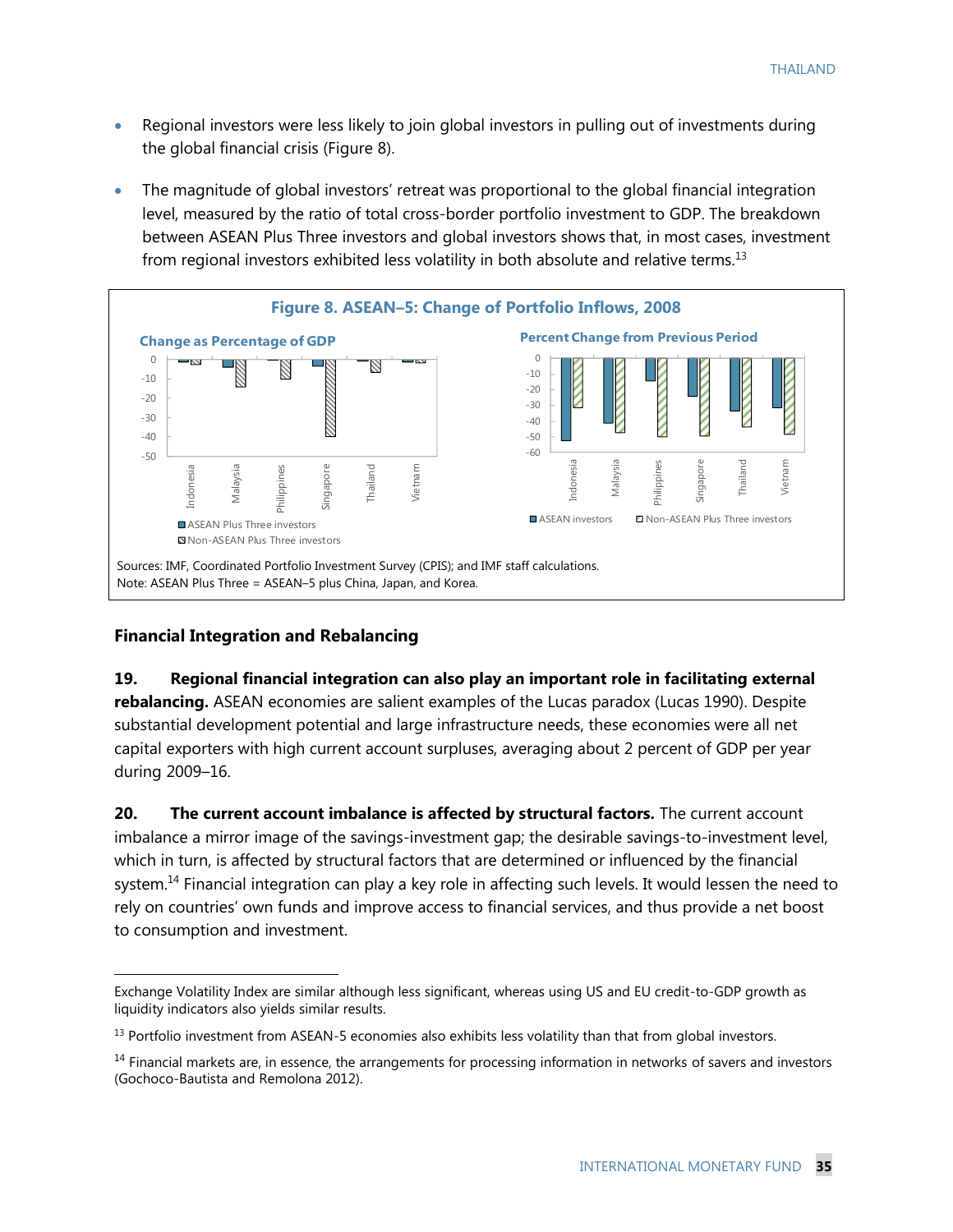- Regional investors were less likely to join global investors in pulling out of investments during the global financial crisis (Figure 8).
- The magnitude of global investors' retreat was proportional to the global financial integration level, measured by the ratio of total cross-border portfolio investment to GDP. The breakdown between ASEAN Plus Three investors and global investors shows that, in most cases, investment from regional investors exhibited less volatility in both absolute and relative terms.<sup>13</sup>



#### **Financial Integration and Rebalancing**

 $\overline{a}$ 

## **19. Regional financial integration can also play an important role in facilitating external rebalancing.** ASEAN economies are salient examples of the Lucas paradox (Lucas 1990). Despite substantial development potential and large infrastructure needs, these economies were all net capital exporters with high current account surpluses, averaging about 2 percent of GDP per year during 2009–16.

**20. The current account imbalance is affected by structural factors.** The current account imbalance a mirror image of the savings-investment gap; the desirable savings-to-investment level, which in turn, is affected by structural factors that are determined or influenced by the financial system.<sup>14</sup> Financial integration can play a key role in affecting such levels. It would lessen the need to rely on countries' own funds and improve access to financial services, and thus provide a net boost to consumption and investment.

Exchange Volatility Index are similar although less significant, whereas using US and EU credit-to-GDP growth as liquidity indicators also yields similar results.

 $<sup>13</sup>$  Portfolio investment from ASEAN-5 economies also exhibits less volatility than that from global investors.</sup>

 $<sup>14</sup>$  Financial markets are, in essence, the arrangements for processing information in networks of savers and investors</sup> (Gochoco-Bautista and Remolona 2012).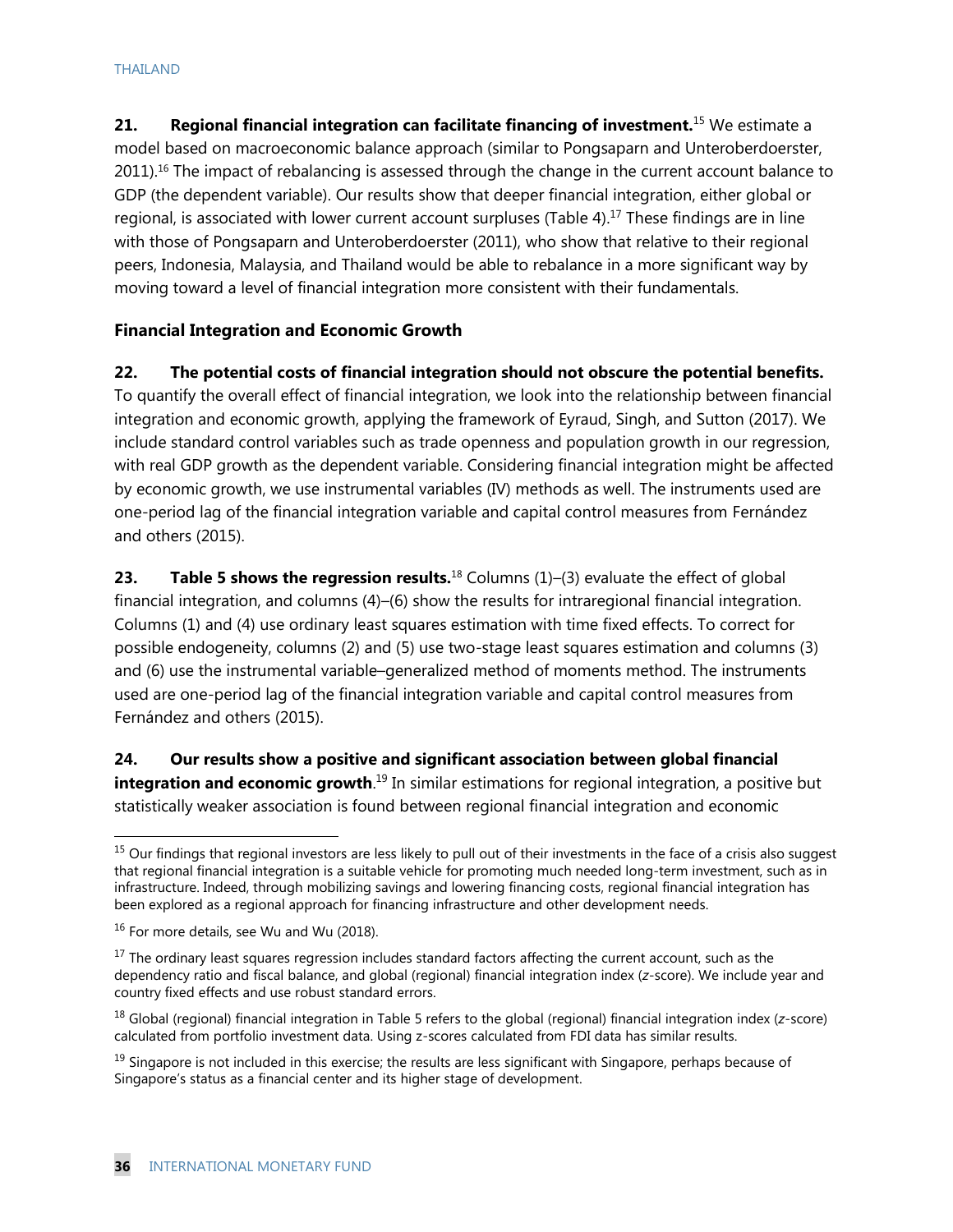**21. Regional financial integration can facilitate financing of investment.**<sup>15</sup> We estimate a model based on macroeconomic balance approach (similar to Pongsaparn and Unteroberdoerster, 2011).<sup>16</sup> The impact of rebalancing is assessed through the change in the current account balance to GDP (the dependent variable). Our results show that deeper financial integration, either global or regional, is associated with lower current account surpluses (Table 4).<sup>17</sup> These findings are in line with those of Pongsaparn and Unteroberdoerster (2011), who show that relative to their regional peers, Indonesia, Malaysia, and Thailand would be able to rebalance in a more significant way by moving toward a level of financial integration more consistent with their fundamentals.

#### **Financial Integration and Economic Growth**

#### **22. The potential costs of financial integration should not obscure the potential benefits.**

To quantify the overall effect of financial integration, we look into the relationship between financial integration and economic growth, applying the framework of Eyraud, Singh, and Sutton (2017). We include standard control variables such as trade openness and population growth in our regression, with real GDP growth as the dependent variable. Considering financial integration might be affected by economic growth, we use instrumental variables (IV) methods as well. The instruments used are one-period lag of the financial integration variable and capital control measures from Fernández and others (2015).

**23. Table 5 shows the regression results.**<sup>18</sup> Columns (1)–(3) evaluate the effect of global financial integration, and columns (4)–(6) show the results for intraregional financial integration. Columns (1) and (4) use ordinary least squares estimation with time fixed effects. To correct for possible endogeneity, columns (2) and (5) use two-stage least squares estimation and columns (3) and (6) use the instrumental variable–generalized method of moments method. The instruments used are one-period lag of the financial integration variable and capital control measures from Fernández and others (2015).

**24. Our results show a positive and significant association between global financial integration and economic growth**.<sup>19</sup> In similar estimations for regional integration, a positive but statistically weaker association is found between regional financial integration and economic

<sup>&</sup>lt;sup>15</sup> Our findings that regional investors are less likely to pull out of their investments in the face of a crisis also suggest that regional financial integration is a suitable vehicle for promoting much needed long-term investment, such as in infrastructure. Indeed, through mobilizing savings and lowering financing costs, regional financial integration has been explored as a regional approach for financing infrastructure and other development needs.

<sup>&</sup>lt;sup>16</sup> For more details, see Wu and Wu (2018).

<sup>&</sup>lt;sup>17</sup> The ordinary least squares regression includes standard factors affecting the current account, such as the dependency ratio and fiscal balance, and global (regional) financial integration index (*z*-score). We include year and country fixed effects and use robust standard errors.

<sup>18</sup> Global (regional) financial integration in Table 5 refers to the global (regional) financial integration index (*z*-score) calculated from portfolio investment data. Using z-scores calculated from FDI data has similar results.

 $19$  Singapore is not included in this exercise; the results are less significant with Singapore, perhaps because of Singapore's status as a financial center and its higher stage of development.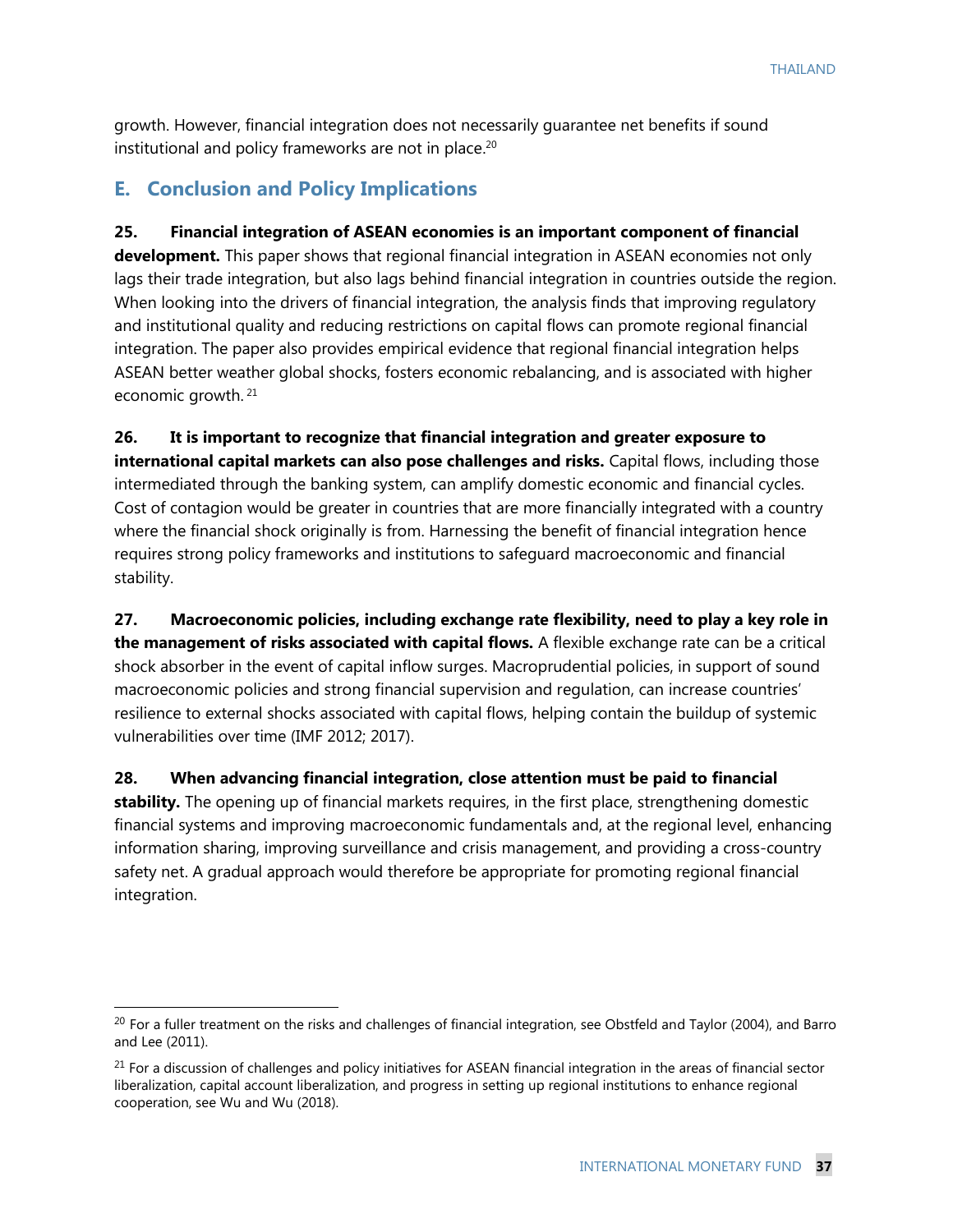growth. However, financial integration does not necessarily guarantee net benefits if sound institutional and policy frameworks are not in place. 20

## **E. Conclusion and Policy Implications**

 $\overline{a}$ 

**25. Financial integration of ASEAN economies is an important component of financial development.** This paper shows that regional financial integration in ASEAN economies not only lags their trade integration, but also lags behind financial integration in countries outside the region. When looking into the drivers of financial integration, the analysis finds that improving regulatory and institutional quality and reducing restrictions on capital flows can promote regional financial integration. The paper also provides empirical evidence that regional financial integration helps ASEAN better weather global shocks, fosters economic rebalancing, and is associated with higher economic growth. <sup>21</sup>

**26. It is important to recognize that financial integration and greater exposure to international capital markets can also pose challenges and risks.** Capital flows, including those intermediated through the banking system, can amplify domestic economic and financial cycles. Cost of contagion would be greater in countries that are more financially integrated with a country where the financial shock originally is from. Harnessing the benefit of financial integration hence requires strong policy frameworks and institutions to safeguard macroeconomic and financial stability.

**27. Macroeconomic policies, including exchange rate flexibility, need to play a key role in the management of risks associated with capital flows.** A flexible exchange rate can be a critical shock absorber in the event of capital inflow surges. Macroprudential policies, in support of sound macroeconomic policies and strong financial supervision and regulation, can increase countries' resilience to external shocks associated with capital flows, helping contain the buildup of systemic vulnerabilities over time (IMF 2012; 2017).

**28. When advancing financial integration, close attention must be paid to financial stability.** The opening up of financial markets requires, in the first place, strengthening domestic financial systems and improving macroeconomic fundamentals and, at the regional level, enhancing information sharing, improving surveillance and crisis management, and providing a cross-country safety net. A gradual approach would therefore be appropriate for promoting regional financial integration.

<sup>&</sup>lt;sup>20</sup> For a fuller treatment on the risks and challenges of financial integration, see Obstfeld and Taylor (2004), and Barro and Lee (2011).

<sup>&</sup>lt;sup>21</sup> For a discussion of challenges and policy initiatives for ASEAN financial integration in the areas of financial sector liberalization, capital account liberalization, and progress in setting up regional institutions to enhance regional cooperation, see Wu and Wu (2018).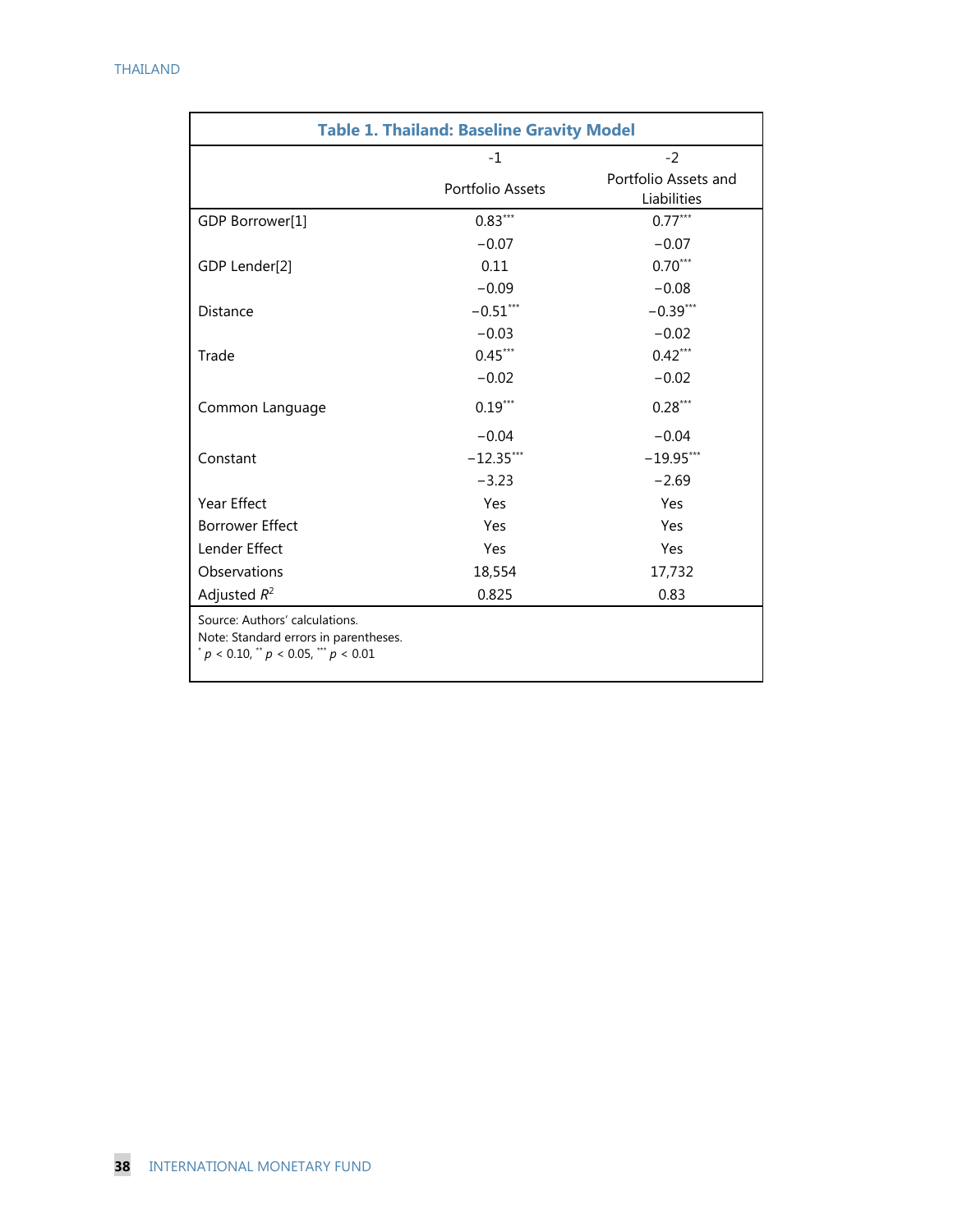| <b>Table 1. Thailand: Baseline Gravity Model</b>                                                                |                  |                                     |  |
|-----------------------------------------------------------------------------------------------------------------|------------------|-------------------------------------|--|
|                                                                                                                 | $-1$             | $-2$                                |  |
|                                                                                                                 | Portfolio Assets | Portfolio Assets and<br>Liabilities |  |
| GDP Borrower[1]                                                                                                 | $0.83***$        | $0.77***$                           |  |
|                                                                                                                 | $-0.07$          | $-0.07$                             |  |
| GDP Lender[2]                                                                                                   | 0.11             | $0.70***$                           |  |
|                                                                                                                 | $-0.09$          | $-0.08$                             |  |
| <b>Distance</b>                                                                                                 | $-0.51***$       | $-0.39***$                          |  |
|                                                                                                                 | $-0.03$          | $-0.02$                             |  |
| Trade                                                                                                           | $0.45***$        | $0.42***$                           |  |
|                                                                                                                 | $-0.02$          | $-0.02$                             |  |
| Common Language                                                                                                 | $0.19***$        | $0.28***$                           |  |
|                                                                                                                 | $-0.04$          | $-0.04$                             |  |
| Constant                                                                                                        | $-12.35***$      | $-19.95***$                         |  |
|                                                                                                                 | $-3.23$          | $-2.69$                             |  |
| Year Effect                                                                                                     | Yes              | Yes                                 |  |
| <b>Borrower Effect</b>                                                                                          | Yes              | Yes                                 |  |
| Lender Effect                                                                                                   | Yes              | Yes                                 |  |
| Observations                                                                                                    | 18,554           | 17,732                              |  |
| Adjusted $R^2$                                                                                                  | 0.825            | 0.83                                |  |
| Source: Authors' calculations.<br>Note: Standard errors in parentheses.<br>$p < 0.10$ , $p < 0.05$ , $p < 0.01$ |                  |                                     |  |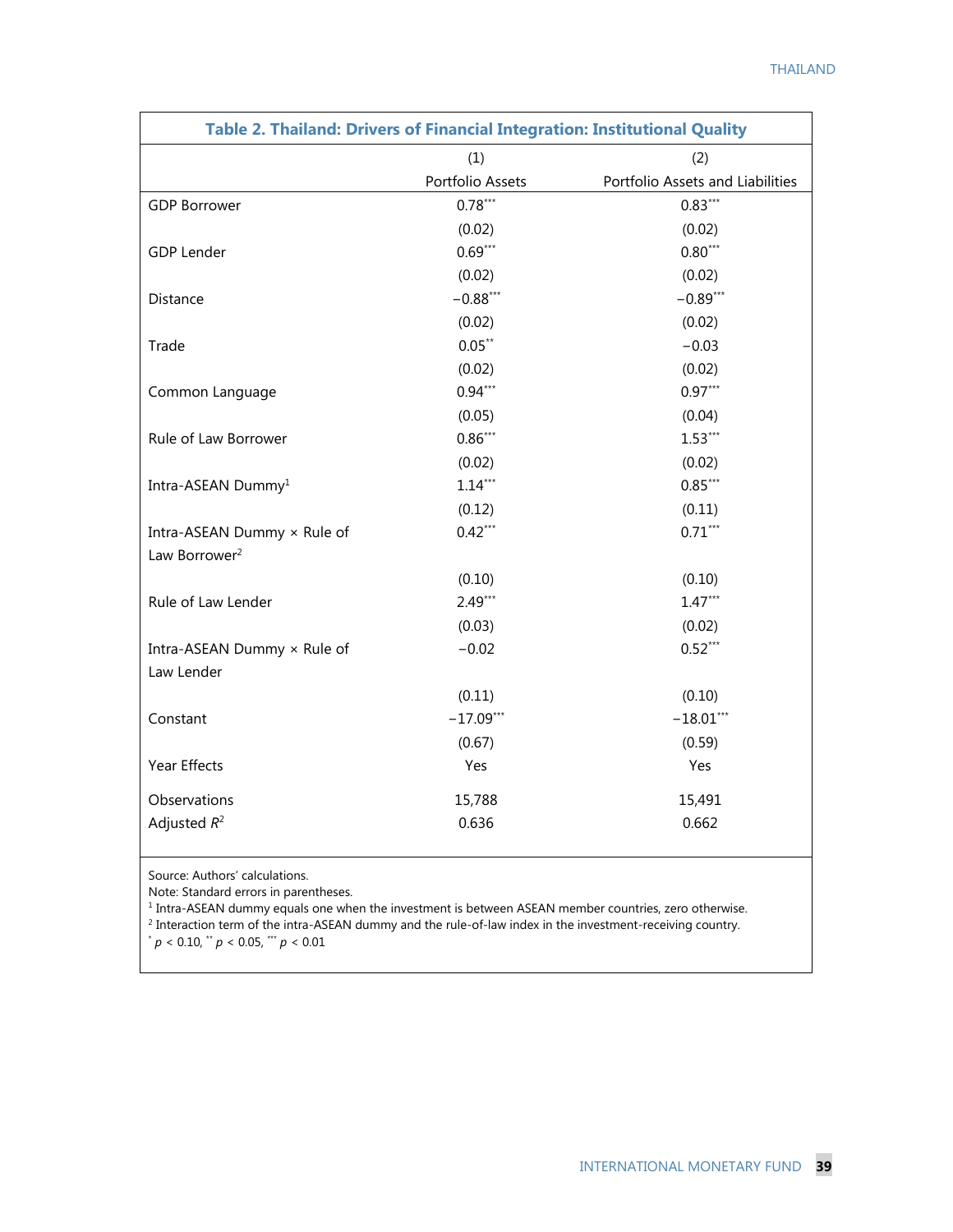| (1)<br>(2)<br>Portfolio Assets<br>Portfolio Assets and Liabilities<br>$0.78***$<br>$0.83***$<br><b>GDP Borrower</b><br>(0.02)<br>(0.02)<br>$0.69***$<br>$0.80***$<br><b>GDP Lender</b><br>(0.02)<br>(0.02)<br>$-0.88***$<br>$-0.89***$<br>Distance<br>(0.02)<br>(0.02)<br>$0.05***$<br>$-0.03$<br>Trade<br>(0.02)<br>(0.02)<br>$0.94***$<br>$0.97***$<br>Common Language<br>(0.04)<br>(0.05)<br>$0.86***$<br>$1.53***$<br>Rule of Law Borrower<br>(0.02)<br>(0.02)<br>$1.14***$<br>$0.85***$<br>Intra-ASEAN Dummy <sup>1</sup> |
|--------------------------------------------------------------------------------------------------------------------------------------------------------------------------------------------------------------------------------------------------------------------------------------------------------------------------------------------------------------------------------------------------------------------------------------------------------------------------------------------------------------------------------|
|                                                                                                                                                                                                                                                                                                                                                                                                                                                                                                                                |
|                                                                                                                                                                                                                                                                                                                                                                                                                                                                                                                                |
|                                                                                                                                                                                                                                                                                                                                                                                                                                                                                                                                |
|                                                                                                                                                                                                                                                                                                                                                                                                                                                                                                                                |
|                                                                                                                                                                                                                                                                                                                                                                                                                                                                                                                                |
|                                                                                                                                                                                                                                                                                                                                                                                                                                                                                                                                |
|                                                                                                                                                                                                                                                                                                                                                                                                                                                                                                                                |
|                                                                                                                                                                                                                                                                                                                                                                                                                                                                                                                                |
|                                                                                                                                                                                                                                                                                                                                                                                                                                                                                                                                |
|                                                                                                                                                                                                                                                                                                                                                                                                                                                                                                                                |
|                                                                                                                                                                                                                                                                                                                                                                                                                                                                                                                                |
|                                                                                                                                                                                                                                                                                                                                                                                                                                                                                                                                |
|                                                                                                                                                                                                                                                                                                                                                                                                                                                                                                                                |
|                                                                                                                                                                                                                                                                                                                                                                                                                                                                                                                                |
|                                                                                                                                                                                                                                                                                                                                                                                                                                                                                                                                |
| (0.12)<br>(0.11)                                                                                                                                                                                                                                                                                                                                                                                                                                                                                                               |
| $0.42***$<br>$0.71***$<br>Intra-ASEAN Dummy × Rule of                                                                                                                                                                                                                                                                                                                                                                                                                                                                          |
| Law Borrower <sup>2</sup>                                                                                                                                                                                                                                                                                                                                                                                                                                                                                                      |
| (0.10)<br>(0.10)                                                                                                                                                                                                                                                                                                                                                                                                                                                                                                               |
| $2.49***$<br>$1.47***$<br>Rule of Law Lender                                                                                                                                                                                                                                                                                                                                                                                                                                                                                   |
| (0.02)<br>(0.03)                                                                                                                                                                                                                                                                                                                                                                                                                                                                                                               |
| $0.52***$<br>Intra-ASEAN Dummy × Rule of<br>$-0.02$                                                                                                                                                                                                                                                                                                                                                                                                                                                                            |
| Law Lender                                                                                                                                                                                                                                                                                                                                                                                                                                                                                                                     |
| (0.11)<br>(0.10)                                                                                                                                                                                                                                                                                                                                                                                                                                                                                                               |
| $-17.09***$<br>$-18.01***$<br>Constant                                                                                                                                                                                                                                                                                                                                                                                                                                                                                         |
| (0.67)<br>(0.59)                                                                                                                                                                                                                                                                                                                                                                                                                                                                                                               |
| Year Effects<br>Yes<br>Yes                                                                                                                                                                                                                                                                                                                                                                                                                                                                                                     |
| Observations<br>15,788<br>15,491                                                                                                                                                                                                                                                                                                                                                                                                                                                                                               |
| Adjusted $R^2$<br>0.662<br>0.636                                                                                                                                                                                                                                                                                                                                                                                                                                                                                               |

Source: Authors' calculations.

Note: Standard errors in parentheses.

<sup>1</sup> Intra-ASEAN dummy equals one when the investment is between ASEAN member countries, zero otherwise. <sup>2</sup> Interaction term of the intra-ASEAN dummy and the rule-of-law index in the investment-receiving country.  $p < 0.10,$   $\sqrt{p} < 0.05,$   $\sqrt{p} < 0.01$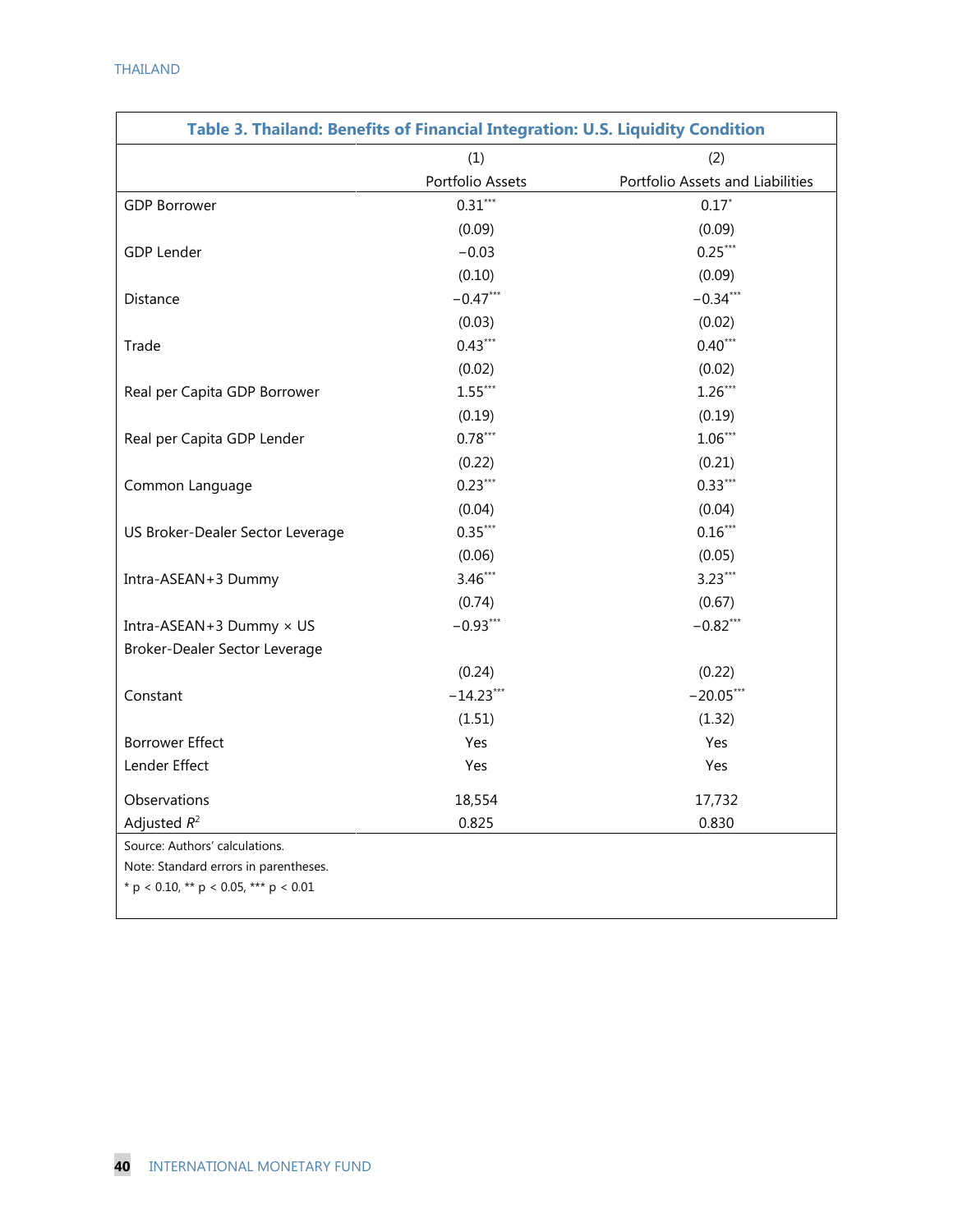| Table 3. Thailand: Benefits of Financial Integration: U.S. Liquidity Condition |                  |                                  |  |  |
|--------------------------------------------------------------------------------|------------------|----------------------------------|--|--|
|                                                                                | (1)              | (2)                              |  |  |
|                                                                                | Portfolio Assets | Portfolio Assets and Liabilities |  |  |
| <b>GDP Borrower</b>                                                            | $0.31***$        | $0.17*$                          |  |  |
|                                                                                | (0.09)           | (0.09)                           |  |  |
| <b>GDP Lender</b>                                                              | $-0.03$          | $0.25***$                        |  |  |
|                                                                                | (0.10)           | (0.09)                           |  |  |
| Distance                                                                       | $-0.47***$       | $-0.34***$                       |  |  |
|                                                                                | (0.03)           | (0.02)                           |  |  |
| Trade                                                                          | $0.43***$        | $0.40***$                        |  |  |
|                                                                                | (0.02)           | (0.02)                           |  |  |
| Real per Capita GDP Borrower                                                   | $1.55***$        | $1.26***$                        |  |  |
|                                                                                | (0.19)           | (0.19)                           |  |  |
| Real per Capita GDP Lender                                                     | $0.78***$        | $1.06***$                        |  |  |
|                                                                                | (0.22)           | (0.21)                           |  |  |
| Common Language                                                                | $0.23***$        | $0.33***$                        |  |  |
|                                                                                | (0.04)           | (0.04)                           |  |  |
| US Broker-Dealer Sector Leverage                                               | $0.35***$        | $0.16***$                        |  |  |
|                                                                                | (0.06)           | (0.05)                           |  |  |
| Intra-ASEAN+3 Dummy                                                            | $3.46***$        | $3.23***$                        |  |  |
|                                                                                | (0.74)           | (0.67)                           |  |  |
| Intra-ASEAN+3 Dummy × US                                                       | $-0.93***$       | $-0.82***$                       |  |  |
| Broker-Dealer Sector Leverage                                                  |                  |                                  |  |  |
|                                                                                | (0.24)           | (0.22)                           |  |  |
| Constant                                                                       | $-14.23***$      | $-20.05***$                      |  |  |
|                                                                                | (1.51)           | (1.32)                           |  |  |
| <b>Borrower Effect</b>                                                         | Yes              | Yes                              |  |  |
| Lender Effect                                                                  | Yes              | Yes                              |  |  |
| Observations                                                                   | 18,554           | 17,732                           |  |  |
| Adjusted $R^2$                                                                 | 0.825            | 0.830                            |  |  |
| Source: Authors' calculations.                                                 |                  |                                  |  |  |
| Note: Standard errors in parentheses.                                          |                  |                                  |  |  |
| * p < 0.10, ** p < 0.05, *** p < 0.01                                          |                  |                                  |  |  |
|                                                                                |                  |                                  |  |  |

 $\mathbf{I}$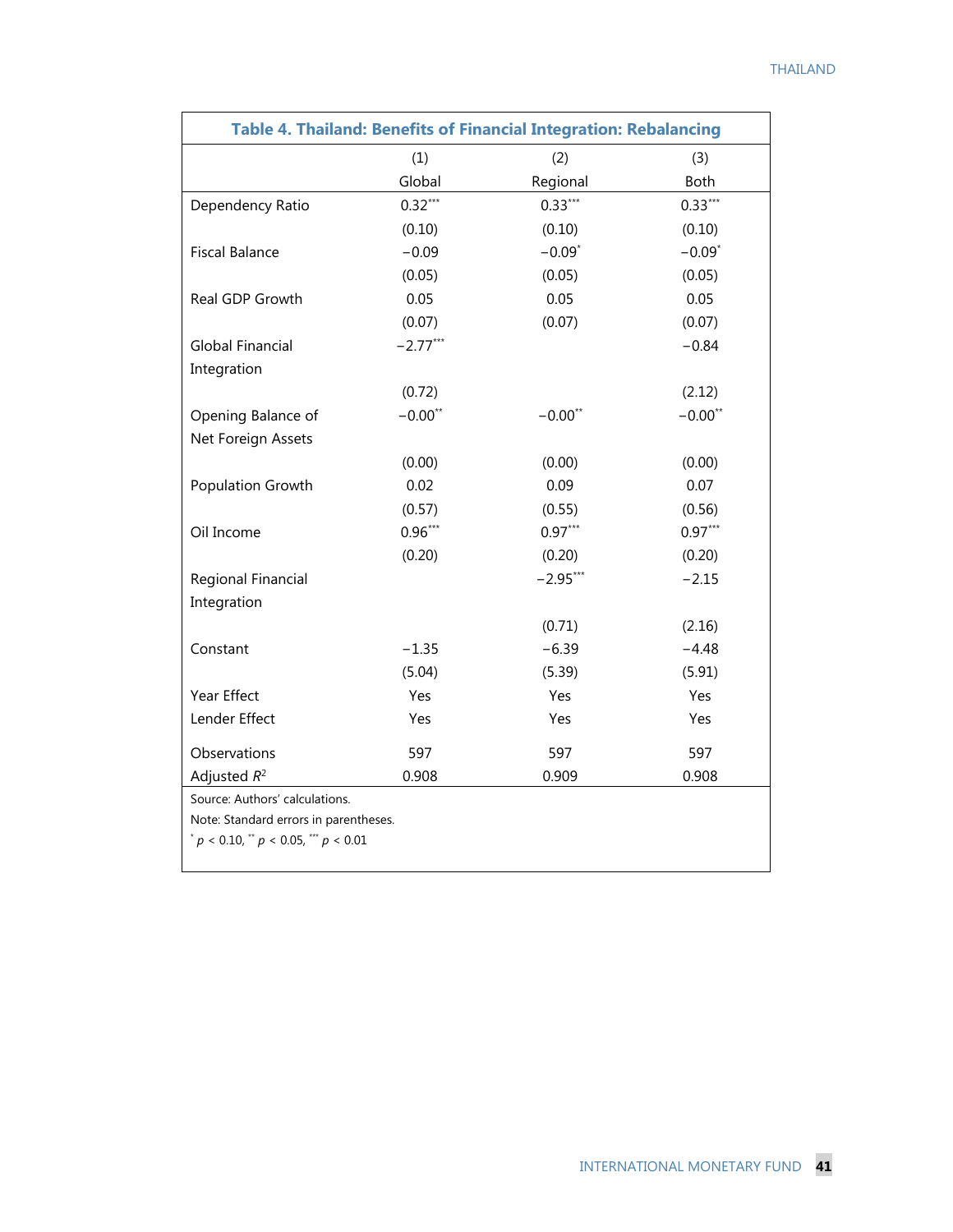| Table 4. Thailand: Benefits of Financial Integration: Rebalancing |            |            |           |  |  |
|-------------------------------------------------------------------|------------|------------|-----------|--|--|
|                                                                   | (1)        | (2)        | (3)       |  |  |
|                                                                   | Global     | Regional   | Both      |  |  |
| Dependency Ratio                                                  | $0.32***$  | $0.33***$  | $0.33***$ |  |  |
|                                                                   | (0.10)     | (0.10)     | (0.10)    |  |  |
| <b>Fiscal Balance</b>                                             | $-0.09$    | $-0.09*$   | $-0.09*$  |  |  |
|                                                                   | (0.05)     | (0.05)     | (0.05)    |  |  |
| Real GDP Growth                                                   | 0.05       | 0.05       | 0.05      |  |  |
|                                                                   | (0.07)     | (0.07)     | (0.07)    |  |  |
| <b>Global Financial</b>                                           | $-2.77***$ |            | $-0.84$   |  |  |
| Integration                                                       |            |            |           |  |  |
|                                                                   | (0.72)     |            | (2.12)    |  |  |
| Opening Balance of                                                | $-0.00**$  | $-0.00**$  | $-0.00**$ |  |  |
| Net Foreign Assets                                                |            |            |           |  |  |
|                                                                   | (0.00)     | (0.00)     | (0.00)    |  |  |
| Population Growth                                                 | 0.02       | 0.09       | 0.07      |  |  |
|                                                                   | (0.57)     | (0.55)     | (0.56)    |  |  |
| Oil Income                                                        | $0.96***$  | $0.97***$  | $0.97***$ |  |  |
|                                                                   | (0.20)     | (0.20)     | (0.20)    |  |  |
| Regional Financial                                                |            | $-2.95***$ | $-2.15$   |  |  |
| Integration                                                       |            |            |           |  |  |
|                                                                   |            | (0.71)     | (2.16)    |  |  |
| Constant                                                          | $-1.35$    | $-6.39$    | $-4.48$   |  |  |
|                                                                   | (5.04)     | (5.39)     | (5.91)    |  |  |
| Year Effect                                                       | Yes        | Yes        | Yes       |  |  |
| Lender Effect                                                     | Yes        | Yes        | Yes       |  |  |
| Observations                                                      | 597        | 597        | 597       |  |  |
| Adjusted $R^2$                                                    | 0.908      | 0.909      | 0.908     |  |  |
| Source: Authors' calculations.                                    |            |            |           |  |  |
| Note: Standard errors in parentheses.                             |            |            |           |  |  |
| $p < 0.10$ , $p < 0.05$ , $p < 0.01$                              |            |            |           |  |  |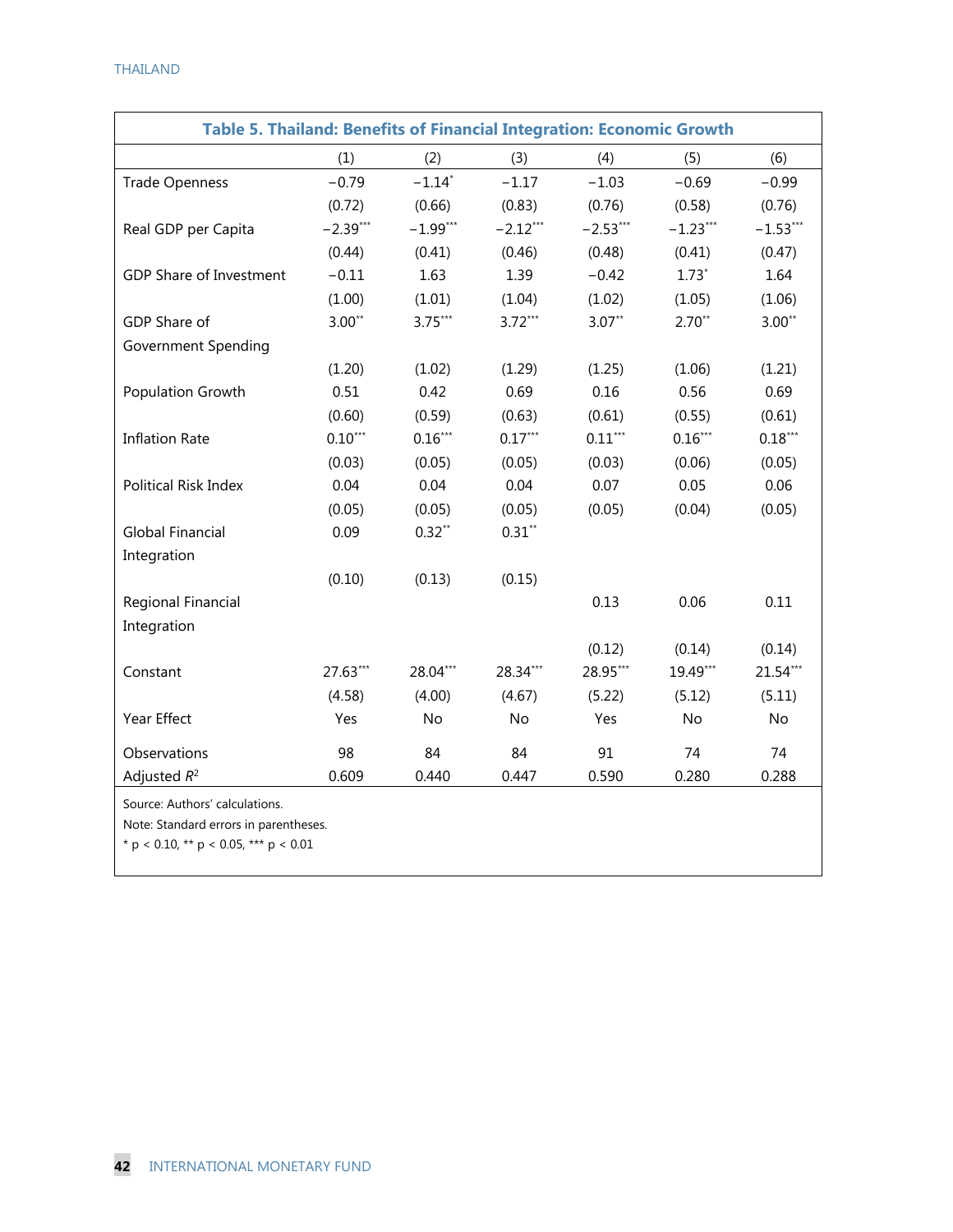| Table 5. Thailand: Benefits of Financial Integration: Economic Growth   |            |                      |            |            |            |            |
|-------------------------------------------------------------------------|------------|----------------------|------------|------------|------------|------------|
|                                                                         | (1)        | (2)                  | (3)        | (4)        | (5)        | (6)        |
| <b>Trade Openness</b>                                                   | $-0.79$    | $-1.14$ <sup>*</sup> | $-1.17$    | $-1.03$    | $-0.69$    | $-0.99$    |
|                                                                         | (0.72)     | (0.66)               | (0.83)     | (0.76)     | (0.58)     | (0.76)     |
| Real GDP per Capita                                                     | $-2.39***$ | $-1.99***$           | $-2.12***$ | $-2.53***$ | $-1.23***$ | $-1.53***$ |
|                                                                         | (0.44)     | (0.41)               | (0.46)     | (0.48)     | (0.41)     | (0.47)     |
| <b>GDP Share of Investment</b>                                          | $-0.11$    | 1.63                 | 1.39       | $-0.42$    | $1.73*$    | 1.64       |
|                                                                         | (1.00)     | (1.01)               | (1.04)     | (1.02)     | (1.05)     | (1.06)     |
| GDP Share of                                                            | $3.00**$   | $3.75***$            | $3.72***$  | $3.07**$   | $2.70**$   | $3.00**$   |
| Government Spending                                                     |            |                      |            |            |            |            |
|                                                                         | (1.20)     | (1.02)               | (1.29)     | (1.25)     | (1.06)     | (1.21)     |
| Population Growth                                                       | 0.51       | 0.42                 | 0.69       | 0.16       | 0.56       | 0.69       |
|                                                                         | (0.60)     | (0.59)               | (0.63)     | (0.61)     | (0.55)     | (0.61)     |
| <b>Inflation Rate</b>                                                   | $0.10***$  | $0.16***$            | $0.17***$  | $0.11***$  | $0.16***$  | $0.18***$  |
|                                                                         | (0.03)     | (0.05)               | (0.05)     | (0.03)     | (0.06)     | (0.05)     |
| Political Risk Index                                                    | 0.04       | 0.04                 | 0.04       | 0.07       | 0.05       | 0.06       |
|                                                                         | (0.05)     | (0.05)               | (0.05)     | (0.05)     | (0.04)     | (0.05)     |
| <b>Global Financial</b>                                                 | 0.09       | $0.32**$             | $0.31**$   |            |            |            |
| Integration                                                             |            |                      |            |            |            |            |
|                                                                         | (0.10)     | (0.13)               | (0.15)     |            |            |            |
| Regional Financial                                                      |            |                      |            | 0.13       | 0.06       | 0.11       |
| Integration                                                             |            |                      |            |            |            |            |
|                                                                         |            |                      |            | (0.12)     | (0.14)     | (0.14)     |
| Constant                                                                | 27.63***   | 28.04***             | 28.34***   | 28.95***   | 19.49***   | 21.54***   |
|                                                                         | (4.58)     | (4.00)               | (4.67)     | (5.22)     | (5.12)     | (5.11)     |
| Year Effect                                                             | Yes        | No                   | No         | Yes        | No         | No         |
| Observations                                                            | 98         | 84                   | 84         | 91         | 74         | 74         |
| Adjusted $R^2$                                                          | 0.609      | 0.440                | 0.447      | 0.590      | 0.280      | 0.288      |
| Source: Authors' calculations.<br>Note: Standard errors in parentheses. |            |                      |            |            |            |            |

\* p < 0.10, \*\* p < 0.05, \*\*\* p < 0.01